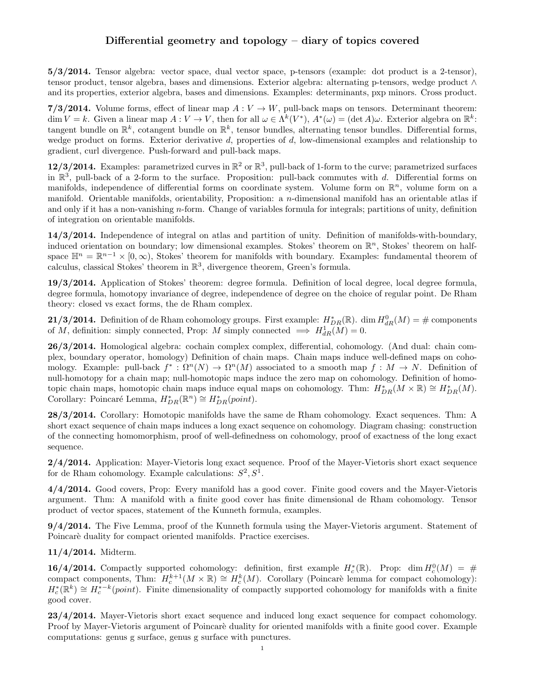# Differential geometry and topology – diary of topics covered

5/3/2014. Tensor algebra: vector space, dual vector space, p-tensors (example: dot product is a 2-tensor), tensor product, tensor algebra, bases and dimensions. Exterior algebra: alternating p-tensors, wedge product ∧ and its properties, exterior algebra, bases and dimensions. Examples: determinants, pxp minors. Cross product.

7/3/2014. Volume forms, effect of linear map  $A: V \to W$ , pull-back maps on tensors. Determinant theorem:  $\dim V = k$ . Given a linear map  $A: V \to V$ , then for all  $\omega \in \Lambda^k(V^*)$ ,  $A^*(\omega) = (\det A)\omega$ . Exterior algebra on  $\mathbb{R}^k$ : tangent bundle on  $\mathbb{R}^k$ , cotangent bundle on  $\mathbb{R}^k$ , tensor bundles, alternating tensor bundles. Differential forms, wedge product on forms. Exterior derivative  $d$ , properties of  $d$ , low-dimensional examples and relationship to gradient, curl divergence. Push-forward and pull-back maps.

12/3/2014. Examples: parametrized curves in  $\mathbb{R}^2$  or  $\mathbb{R}^3$ , pull-back of 1-form to the curve; parametrized surfaces in  $\mathbb{R}^3$ , pull-back of a 2-form to the surface. Proposition: pull-back commutes with d. Differential forms on manifolds, independence of differential forms on coordinate system. Volume form on  $\mathbb{R}^n$ , volume form on a manifold. Orientable manifolds, orientability, Proposition: a  $n$ -dimensional manifold has an orientable atlas if and only if it has a non-vanishing  $n$ -form. Change of variables formula for integrals; partitions of unity, definition of integration on orientable manifolds.

14/3/2014. Independence of integral on atlas and partition of unity. Definition of manifolds-with-boundary, induced orientation on boundary; low dimensional examples. Stokes' theorem on  $\mathbb{R}^n$ , Stokes' theorem on halfspace  $\mathbb{H}^n = \mathbb{R}^{n-1} \times [0, \infty)$ , Stokes' theorem for manifolds with boundary. Examples: fundamental theorem of calculus, classical Stokes' theorem in  $\mathbb{R}^3$ , divergence theorem, Green's formula.

19/3/2014. Application of Stokes' theorem: degree formula. Definition of local degree, local degree formula, degree formula, homotopy invariance of degree, independence of degree on the choice of regular point. De Rham theory: closed vs exact forms, the de Rham complex.

**21/3/2014.** Definition of de Rham cohomology groups. First example:  $H^*_{DR}(\mathbb{R})$ . dim  $H^0_{dR}(M) = \text{\# components}$ of M, definition: simply connected, Prop: M simply connected  $\implies H_{dR}^1(M) = 0$ .

26/3/2014. Homological algebra: cochain complex complex, differential, cohomology. (And dual: chain complex, boundary operator, homology) Definition of chain maps. Chain maps induce well-defined maps on cohomology. Example: pull-back  $f^*: \Omega^n(N) \to \Omega^n(M)$  associated to a smooth map  $f: M \to N$ . Definition of null-homotopy for a chain map; null-homotopic maps induce the zero map on cohomology. Definition of homotopic chain maps, homotopic chain maps induce equal maps on cohomology. Thm:  $H_{DR}^*(M \times \mathbb{R}) \cong H_{DR}^*(M)$ . Corollary: Poincaré Lemma,  $H^*_{DR}(\mathbb{R}^n) \cong H^*_{DR}(point)$ .

28/3/2014. Corollary: Homotopic manifolds have the same de Rham cohomology. Exact sequences. Thm: A short exact sequence of chain maps induces a long exact sequence on cohomology. Diagram chasing: construction of the connecting homomorphism, proof of well-definedness on cohomology, proof of exactness of the long exact sequence.

2/4/2014. Application: Mayer-Vietoris long exact sequence. Proof of the Mayer-Vietoris short exact sequence for de Rham cohomology. Example calculations:  $S^2, S^1$ .

4/4/2014. Good covers, Prop: Every manifold has a good cover. Finite good covers and the Mayer-Vietoris argument. Thm: A manifold with a finite good cover has finite dimensional de Rham cohomology. Tensor product of vector spaces, statement of the Kunneth formula, examples.

9/4/2014. The Five Lemma, proof of the Kunneth formula using the Mayer-Vietoris argument. Statement of Poincarè duality for compact oriented manifolds. Practice exercises.

11/4/2014. Midterm.

16/4/2014. Compactly supported cohomology: definition, first example  $H_c^*(\mathbb{R})$ . Prop: dim  $H_c^0(M) = #$ compact components, Thm:  $H_c^{k+1}(M \times \mathbb{R}) \cong H_c^k(M)$ . Corollary (Poincarè lemma for compact cohomology):  $H_c^*(\mathbb{R}^k) \cong H_c^{*-k}(point)$ . Finite dimensionality of compactly supported cohomology for manifolds with a finite good cover.

23/4/2014. Mayer-Vietoris short exact sequence and induced long exact sequence for compact cohomology. Proof by Mayer-Vietoris argument of Poincarè duality for oriented manifolds with a finite good cover. Example computations: genus g surface, genus g surface with punctures.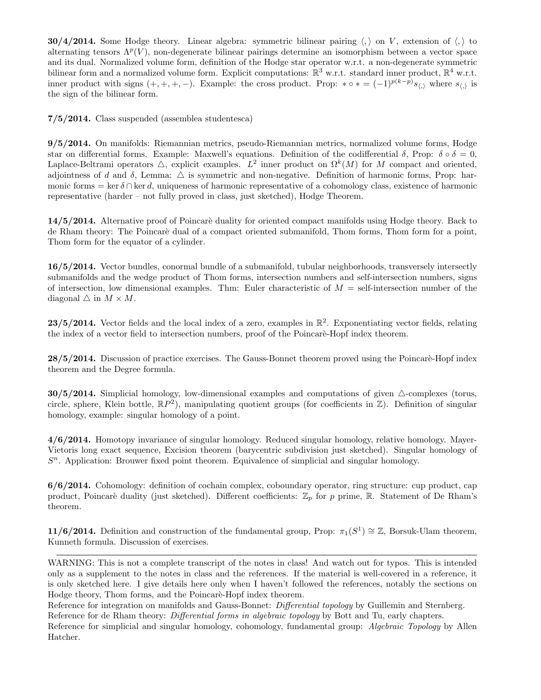**30/4/2014.** Some Hodge theory. Linear algebra: symmetric bilinear pairing  $\langle, \rangle$  on V, extension of  $\langle, \rangle$  to alternating tensors  $\Lambda^p(V)$ , non-degenerate bilinear pairings determine an isomorphism between a vector space and its dual. Normalized volume form, definition of the Hodge star operator w.r.t. a non-degenerate symmetric bilinear form and a normalized volume form. Explicit computations:  $\mathbb{R}^3$  w.r.t. standard inner product,  $\mathbb{R}^4$  w.r.t. inner product with signs  $(+, +, +, -)$ . Example: the cross product. Prop: \*  $\circ$  \* =  $(-1)^{p(k-p)}s_{\langle,\rangle}$  where  $s_{\langle,\rangle}$  is the sign of the bilinear form.

7/5/2014. Class suspended (assemblea studentesca)

9/5/2014. On manifolds: Riemannian metrics, pseudo-Riemannian metrics, normalized volume forms, Hodge star on differential forms. Example: Maxwell's equations. Definition of the codifferential  $\delta$ , Prop:  $\delta \circ \delta = 0$ , Laplace-Beltrami operators  $\triangle$ , explicit examples.  $L^2$  inner product on  $\Omega^k(M)$  for M compact and oriented, adjointness of d and  $\delta$ , Lemma:  $\Delta$  is symmetric and non-negative. Definition of harmonic forms, Prop: harmonic forms = ker  $\delta \cap$  ker d, uniqueness of harmonic representative of a cohomology class, existence of harmonic representative (harder – not fully proved in class, just sketched), Hodge Theorem.

14/5/2014. Alternative proof of Poincare duality for oriented compact manifolds using Hodge theory. Back to de Rham theory: The Poincarè dual of a compact oriented submanifold, Thom forms, Thom form for a point, Thom form for the equator of a cylinder.

16/5/2014. Vector bundles, conormal bundle of a submanifold, tubular neighborhoods, transversely intersectly submanifolds and the wedge product of Thom forms, intersection numbers and self-intersection numbers, signs of intersection, low dimensional examples. Thm: Euler characteristic of  $M = \text{self-intersection number of the}$ diagonal  $\triangle$  in  $M \times M$ .

23/5/2014. Vector fields and the local index of a zero, examples in  $\mathbb{R}^2$ . Exponentiating vector fields, relating the index of a vector field to intersection numbers, proof of the Poincaré-Hopf index theorem.

28/5/2014. Discussion of practice exercises. The Gauss-Bonnet theorem proved using the Poincarè-Hopf index theorem and the Degree formula.

**30/5/2014.** Simplicial homology, low-dimensional examples and computations of given  $\triangle$ -complexes (torus, circle, sphere, Klein bottle,  $\mathbb{R}P^2$ ), manipulating quotient groups (for coefficients in  $\mathbb{Z}$ ). Definition of singular homology, example: singular homology of a point.

4/6/2014. Homotopy invariance of singular homology. Reduced singular homology, relative homology. Mayer-Vietoris long exact sequence, Excision theorem (barycentric subdivision just sketched). Singular homology of  $S<sup>n</sup>$ . Application: Brouwer fixed point theorem. Equivalence of simplicial and singular homology.

6/6/2014. Cohomology: definition of cochain complex, coboundary operator, ring structure: cup product, cap product, Poincarè duality (just sketched). Different coefficients:  $\mathbb{Z}_p$  for p prime, R. Statement of De Rham's theorem.

**11/6/2014.** Definition and construction of the fundamental group, Prop:  $\pi_1(S^1) \cong \mathbb{Z}$ , Borsuk-Ulam theorem, Kunneth formula. Discussion of exercises.

WARNING: This is not a complete transcript of the notes in class! And watch out for typos. This is intended only as a supplement to the notes in class and the references. If the material is well-covered in a reference, it is only sketched here. I give details here only when I haven't followed the references, notably the sections on Hodge theory, Thom forms, and the Poincare-Hopf index theorem.

Reference for integration on manifolds and Gauss-Bonnet: *Differential topology* by Guillemin and Sternberg. Reference for de Rham theory: *Differential forms in algebraic topology* by Bott and Tu, early chapters.

Reference for simplicial and singular homology, cohomology, fundamental group: *Algebraic Topology* by Allen Hatcher.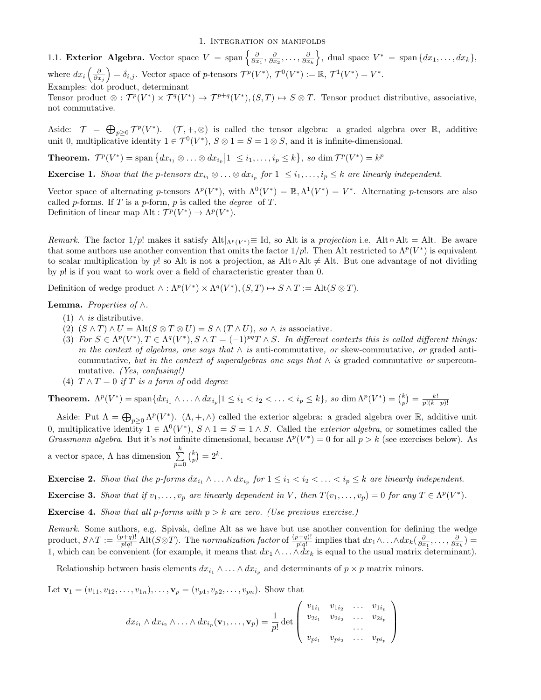1. Integration on manifolds

1.1. Exterior Algebra. Vector space  $V = \text{span}\left\{\frac{\partial}{\partial x_1}, \frac{\partial}{\partial x_2}, \dots, \frac{\partial}{\partial x_k}\right\}$ , dual space  $V^* = \text{span}\{dx_1, \dots, dx_k\}$ , where  $dx_i\left(\frac{\partial}{\partial x_j}\right) = \delta_{i,j}$ . Vector space of p-tensors  $\mathcal{T}^p(V^*)$ ,  $\mathcal{T}^0(V^*) := \mathbb{R}, \mathcal{T}^1(V^*) = V^*$ . Examples: dot product, determinant Tensor product  $\otimes : \mathcal{T}^p(V^*) \times \mathcal{T}^q(V^*) \to \mathcal{T}^{p+q}(V^*), (S,T) \mapsto S \otimes T$ . Tensor product distributive, associative,

not commutative.

Aside:  $\mathcal{T} = \bigoplus_{p\geq 0} \mathcal{T}^p(V^*)$ .  $(\mathcal{T}, +, \otimes)$  is called the tensor algebra: a graded algebra over R, additive unit 0, multiplicative identity  $1 \in \mathcal{T}^0(V^*)$ ,  $S \otimes 1 = S = 1 \otimes S$ , and it is infinite-dimensional.

**Theorem.**  $\mathcal{T}^p(V^*) = \text{span} \{ dx_{i_1} \otimes \ldots \otimes dx_{i_p} \mid 1 \leq i_1, \ldots, i_p \leq k \},\text{ so } \dim \mathcal{T}^p(V^*) = k^p$ 

**Exercise 1.** Show that the p-tensors  $dx_{i_1} \otimes \ldots \otimes dx_{i_p}$  for  $1 \leq i_1, \ldots, i_p \leq k$  are linearly independent.

Vector space of alternating p-tensors  $\Lambda^p(V^*)$ , with  $\Lambda^0(V^*) = \mathbb{R}, \Lambda^1(V^*) = V^*$ . Alternating p-tensors are also called p-forms. If T is a p-form, p is called the *degree* of T. Definition of linear map Alt :  $\mathcal{T}^p(V^*) \to \Lambda^p(V^*)$ .

Remark. The factor  $1/p!$  makes it satisfy  $\text{Alt}|_{\Lambda^p(V^*)} \equiv \text{Id}$ , so Alt is a projection i.e. Alt  $\circ$  Alt = Alt. Be aware that some authors use another convention that omits the factor  $1/p!$ . Then Alt restricted to  $\Lambda^p(V^*)$  is equivalent to scalar multiplication by p! so Alt is not a projection, as Alt  $\circ$  Alt  $\neq$  Alt. But one advantage of not dividing by p! is if you want to work over a field of characteristic greater than 0.

Definition of wedge product  $\wedge : \Lambda^p(V^*) \times \Lambda^q(V^*), (S,T) \mapsto S \wedge T := \text{Alt}(S \otimes T).$ 

## **Lemma.** Properties of  $\wedge$ .

- (1)  $\wedge$  *is* distributive.
- (2)  $(S \wedge T) \wedge U = \text{Alt}(S \otimes T \otimes U) = S \wedge (T \wedge U)$ , so  $\wedge$  is associative.
- (3) For  $S \in \Lambda^p(V^*), T \in \Lambda^q(V^*), S \wedge T = (-1)^{pq}T \wedge S$ . In different contexts this is called different things: in the context of algebras, one says that  $\wedge$  is anti-commutative, or skew-commutative, or graded anticommutative, but in the context of superalgebras one says that  $\wedge$  is graded commutative or supercommutative. (Yes, confusing!)
- (4)  $T \wedge T = 0$  if T is a form of odd degree

**Theorem.**  $\Lambda^p(V^*) = \text{span}\{dx_{i_1} \wedge \ldots \wedge dx_{i_p} | 1 \leq i_1 < i_2 < \ldots < i_p \leq k\}$ , so  $\dim \Lambda^p(V^*) = {k \choose p} = \frac{k!}{p!(k-p)!}$ 

Aside: Put  $\Lambda = \bigoplus_{p\geq 0} \Lambda^p(V^*)$ .  $(\Lambda, +, \wedge)$  called the exterior algebra: a graded algebra over  $\mathbb{R}$ , additive unit 0, multiplicative identity  $1 \in \Lambda^0(V^*)$ ,  $S \wedge 1 = S = 1 \wedge S$ . Called the *exterior algebra*, or sometimes called the Grassmann algebra. But it's not infinite dimensional, because  $\Lambda^p(V^*)=0$  for all  $p > k$  (see exercises below). As

a vector space,  $\Lambda$  has dimension  $\sum_{k=1}^{k}$  $p=0$  ${k \choose p} = 2^k.$ 

**Exercise 2.** Show that the p-forms  $dx_{i_1} \wedge \ldots \wedge dx_{i_p}$  for  $1 \leq i_1 < i_2 < \ldots < i_p \leq k$  are linearly independent.

**Exercise 3.** Show that if  $v_1, \ldots, v_p$  are linearly dependent in V, then  $T(v_1, \ldots, v_p) = 0$  for any  $T \in \Lambda^p(V^*)$ .

**Exercise 4.** Show that all p-forms with  $p > k$  are zero. (Use previous exercise.)

Remark. Some authors, e.g. Spivak, define Alt as we have but use another convention for defining the wedge product,  $S \wedge T := \frac{(p+q)!}{p!q!}$  Alt $(S \otimes T)$ . The normalization factor of  $\frac{(p+q)!}{p!q!}$  implies that  $dx_1 \wedge \ldots \wedge dx_k \left(\frac{\partial}{\partial x_1}, \ldots, \frac{\partial}{\partial x_k}\right) =$ 1, which can be convenient (for example, it means that  $dx_1 \wedge \ldots \wedge dx_k$  is equal to the usual matrix determinant).

Relationship between basis elements  $dx_{i_1} \wedge \ldots \wedge dx_{i_p}$  and determinants of  $p \times p$  matrix minors.

Let  $\mathbf{v}_1 = (v_{11}, v_{12}, \dots, v_{1n}), \dots, \mathbf{v}_p = (v_{p1}, v_{p2}, \dots, v_{pn}).$  Show that

$$
dx_{i_1} \wedge dx_{i_2} \wedge \ldots \wedge dx_{i_p} (\mathbf{v}_1, \ldots, \mathbf{v}_p) = \frac{1}{p!} \det \begin{pmatrix} v_{1i_1} & v_{1i_2} & \ldots & v_{1i_p} \\ v_{2i_1} & v_{2i_2} & \ldots & v_{2i_p} \\ \vdots & \vdots & \ddots & \vdots \\ v_{pi_1} & v_{pi_2} & \ldots & v_{pi_p} \end{pmatrix}
$$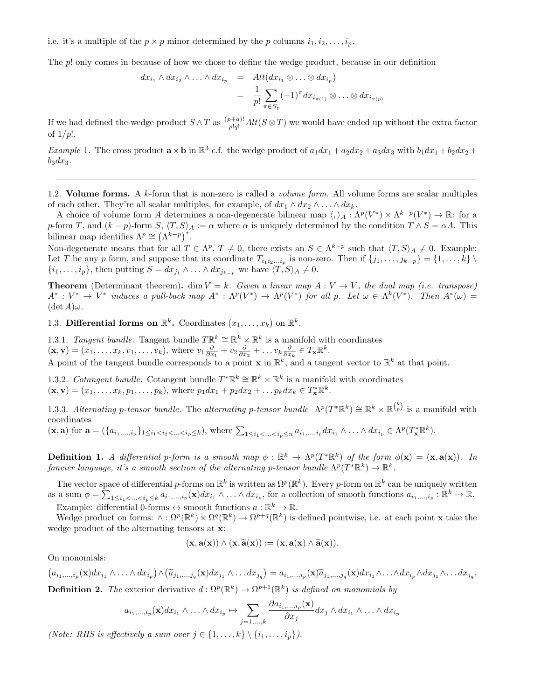i.e. it's a multiple of the  $p \times p$  minor determined by the p columns  $i_1, i_2, \ldots, i_p$ .

The p! only comes in because of how we chose to define the wedge product, because in our definition

$$
dx_{i_1} \wedge dx_{i_2} \wedge \ldots \wedge dx_{i_p} = Alt(dx_{i_1} \otimes \ldots \otimes dx_{i_p})
$$
  

$$
= \frac{1}{p!} \sum_{\pi \in S_p} (-1)^{\pi} dx_{i_{\pi(1)}} \otimes \ldots \otimes dx_{i_{\pi(p)}}
$$

If we had defined the wedge product  $S \wedge T$  as  $\frac{(p+q)!}{p!q!} Alt(S \otimes T)$  we would have ended up without the extra factor of  $1/p!$ .

*Example* 1. The cross product  $\mathbf{a} \times \mathbf{b}$  in  $\mathbb{R}^3$  c.f. the wedge product of  $a_1 dx_1 + a_2 dx_2 + a_3 dx_3$  with  $b_1 dx_1 + b_2 dx_2 + b_3 dx_3$  $b_3dx_3.$ 

1.2. Volume forms. A  $k$ -form that is non-zero is called a *volume form*. All volume forms are scalar multiples of each other. They're all scalar multiples, for example, of  $dx_1 \wedge dx_2 \wedge \ldots \wedge dx_k$ .

A choice of volume form A determines a non-degenerate bilinear map  $\langle , \rangle_A : \Lambda^p(V^*) \times \Lambda^{k-p}(V^*) \to \mathbb{R}$ : for a p-form T, and  $(k - p)$ -form  $S, \langle T, S \rangle_A := \alpha$  where  $\alpha$  is uniquely determined by the condition  $T \wedge S = \alpha A$ . This bilinear map identifies  $\Lambda^p \cong (\Lambda^{k-p})^*$ .

Non-degenerate means that for all  $T \in \Lambda^p$ ,  $T \neq 0$ , there exists an  $S \in \Lambda^{k-p}$  such that  $\langle T, S \rangle_A \neq 0$ . Example: Let T be any p form, and suppose that its coordinate  $T_{i_1i_2...i_p}$  is non-zero. Then if  $\{j_1,\ldots,j_{k-p}\}=\{1,\ldots,k\}\setminus\{1\}$  $\{i_1, \ldots, i_p\}$ , then putting  $S = dx_{j_1} \wedge \ldots \wedge dx_{j_{k-p}}$  we have  $\langle T, S \rangle_A \neq 0$ .

**Theorem** (Determinant theorem). dim  $V = k$ . Given a linear map  $A: V \to V$ , the dual map (i.e. transpose)  $A^*: V^* \to V^*$  induces a pull-back map  $A^*: \Lambda^p(V^*) \to \Lambda^p(V^*)$  for all p. Let  $\omega \in \Lambda^k(V^*)$ . Then  $A^*(\omega) =$  $(\det A)\omega$ .

1.3. Differential forms on  $\mathbb{R}^k$ . Coordinates  $(x_1, \ldots, x_k)$  on  $\mathbb{R}^k$ .

1.3.1. Tangent bundle. Tangent bundle  $T\mathbb{R}^k \cong \mathbb{R}^k \times \mathbb{R}^k$  is a manifold with coordinates  $(\mathbf{x}, \mathbf{v}) = (x_1, \dots, x_k, v_1, \dots, v_k)$ , where  $v_1 \frac{\partial}{\partial x_1} + v_2 \frac{\partial}{\partial x_2} + \dots v_k \frac{\partial}{\partial x_k} \in T_{\mathbf{x}} \mathbb{R}^k$ .

A point of the tangent bundle corresponds to a point **x** in  $\mathbb{R}^k$ , and a tangent vector to  $\mathbb{R}^k$  at that point.

1.3.2. Cotangent bundle. Cotangent bundle  $T^*\mathbb{R}^k \cong \mathbb{R}^k \times \mathbb{R}^k$  is a manifold with coordinates  $(\mathbf{x}, \mathbf{v}) = (x_1, \dots, x_k, p_1, \dots, p_k)$ , where  $p_1 dx_1 + p_2 dx_2 + \dots p_k dx_k \in T_{\mathbf{x}}^* \mathbb{R}^k$ .

1.3.3. Alternating p-tensor bundle. The alternating p-tensor bundle  $\Lambda^p(T^*\mathbb{R}^k) \cong \mathbb{R}^k \times \mathbb{R}^{k \choose p}$  is a manifold with coordinates

 $(\mathbf{x}, \mathbf{a})$  for  $\mathbf{a} = (\{a_{i_1},...,i_p\}_{1 \leq i_1 < i_2 < ... < i_p \leq k}),$  where  $\sum_{1 \leq i_1 < ... < i_p \leq n} a_{i_1,...,i_p} dx_{i_1} \wedge ... \wedge dx_{i_p} \in \Lambda^p(T_{\mathbf{x}}^* \mathbb{R}^k).$ 

**Definition 1.** A differential p-form is a smooth map  $\phi : \mathbb{R}^k \to \Lambda^p(T^*\mathbb{R}^k)$  of the form  $\phi(\mathbf{x}) = (\mathbf{x}, \mathbf{a}(\mathbf{x}))$ . In fancier language, it's a smooth section of the alternating p-tensor bundle  $\Lambda^p(T^*\mathbb{R}^k) \to \mathbb{R}^k$ .

The vector space of differential p-forms on  $\mathbb{R}^k$  is written as  $\Omega^p(\mathbb{R}^k)$ . Every p-form on  $\mathbb{R}^k$  can be uniquely written as a sum  $\phi = \sum_{1 \leq i_1 < \ldots < i_p \leq k} a_{i_1, \ldots, i_p}(\mathbf{x}) dx_{i_1} \wedge \ldots \wedge dx_{i_p}$ , for a collection of smooth functions  $a_{i_1, \ldots, i_p} : \mathbb{R}^k \to \mathbb{R}$ . Example: differential 0-forms  $\leftrightarrow$  smooth functions  $a : \mathbb{R}^k \to \mathbb{R}$ .

Wedge product on forms:  $\wedge : \Omega^p(\mathbb{R}^k) \times \Omega^q(\mathbb{R}^k) \to \Omega^{p+q}(\mathbb{R}^k)$  is defined pointwise, i.e. at each point **x** take the wedge product of the alternating tensors at x:

$$
(\mathbf{x},\mathbf{a}(\mathbf{x})) \wedge (\mathbf{x},\widetilde{\mathbf{a}}(\mathbf{x})) := (\mathbf{x},\mathbf{a}(\mathbf{x}) \wedge \widetilde{\mathbf{a}}(\mathbf{x})).
$$

On monomials:

$$
(a_{i_1,\ldots,i_p}(\mathbf{x})dx_{i_1}\wedge\ldots\wedge dx_{i_p})\wedge(\widetilde{a}_{j_1,\ldots,j_q}(\mathbf{x})dx_{j_1}\wedge\ldots dx_{j_q})=a_{i_1,\ldots,i_p}(\mathbf{x})\widetilde{a}_{j_1,\ldots,j_q}(\mathbf{x})dx_{i_1}\wedge\ldots\wedge dx_{i_p}\wedge dx_{j_1}\wedge\ldots dx_{j_q}.
$$

**Definition 2.** The exterior derivative  $d$ :  $\Omega^p(\mathbb{R}^k) \to \Omega^{p+1}(\mathbb{R}^k)$  is defined on monomials by

$$
a_{i_1,\ldots,i_p}(\mathbf{x})dx_{i_1}\wedge\ldots\wedge dx_{i_p}\mapsto\sum_{j=1,\ldots,k}\frac{\partial a_{i_1,\ldots,i_p}(\mathbf{x})}{\partial x_j}dx_j\wedge dx_{i_1}\wedge\ldots\wedge dx_{i_p}
$$

(Note: RHS is effectively a sum over  $j \in \{1, ..., k\} \setminus \{i_1, ..., i_p\}$ ).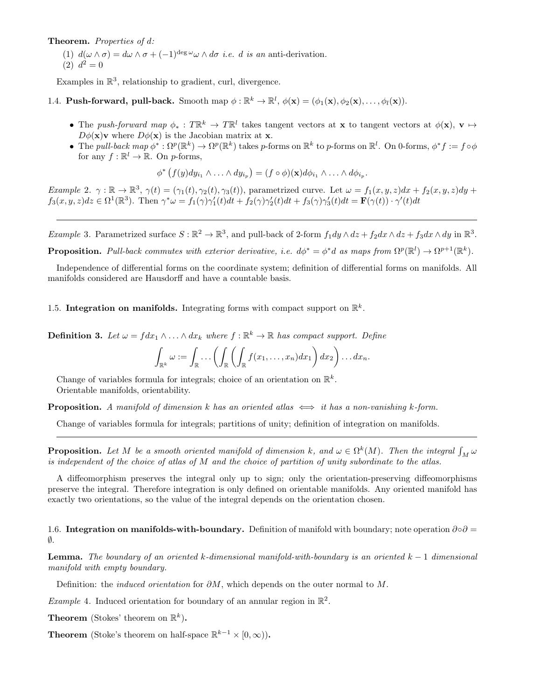Theorem. Properties of d:

(1)  $d(\omega \wedge \sigma) = d\omega \wedge \sigma + (-1)^{\deg \omega} \omega \wedge d\sigma$  *i.e. d is an anti-derivation.* (2)  $d^2 = 0$ 

Examples in  $\mathbb{R}^3$ , relationship to gradient, curl, divergence.

# 1.4. **Push-forward, pull-back.** Smooth map  $\phi : \mathbb{R}^k \to \mathbb{R}^l$ ,  $\phi(\mathbf{x}) = (\phi_1(\mathbf{x}), \phi_2(\mathbf{x}), \dots, \phi_l(\mathbf{x}))$ .

- The push-forward map  $\phi_* : T\mathbb{R}^k \to T\mathbb{R}^l$  takes tangent vectors at x to tangent vectors at  $\phi(\mathbf{x}), \mathbf{v} \mapsto$  $D\phi(\mathbf{x})\mathbf{v}$  where  $D\phi(\mathbf{x})$  is the Jacobian matrix at **x**.
- The pull-back map  $\phi^*: \Omega^p(\mathbb{R}^k) \to \Omega^p(\mathbb{R}^k)$  takes p-forms on  $\mathbb{R}^k$  to p-forms on  $\mathbb{R}^l$ . On 0-forms,  $\phi^* f := f \circ \phi$ for any  $f : \mathbb{R}^l \to \mathbb{R}$ . On p-forms,

$$
\phi^* (f(y)dy_{i_1} \wedge \ldots \wedge dy_{i_p}) = (f \circ \phi)(\mathbf{x})d\phi_{i_1} \wedge \ldots \wedge d\phi_{i_p}.
$$

Example 2.  $\gamma : \mathbb{R} \to \mathbb{R}^3$ ,  $\gamma(t) = (\gamma_1(t), \gamma_2(t), \gamma_3(t))$ , parametrized curve. Let  $\omega = f_1(x, y, z)dx + f_2(x, y, z)dy +$  $f_3(x, y, z)dz \in \Omega^1(\mathbb{R}^3)$ . Then  $\gamma^*\omega = f_1(\gamma)\gamma_1'(t)dt + f_2(\gamma)\gamma_2'(t)dt + f_3(\gamma)\gamma_3'(t)dt = \mathbf{F}(\gamma(t)) \cdot \gamma'(t)dt$ 

Example 3. Parametrized surface  $S : \mathbb{R}^2 \to \mathbb{R}^3$ , and pull-back of 2-form  $f_1 dy \wedge dz + f_2 dx \wedge dz + f_3 dx \wedge dy$  in  $\mathbb{R}^3$ . **Proposition.** Pull-back commutes with exterior derivative, i.e.  $d\phi^* = \phi^* d$  as maps from  $\Omega^p(\mathbb{R}^l) \to \Omega^{p+1}(\mathbb{R}^k)$ .

Independence of differential forms on the coordinate system; definition of differential forms on manifolds. All manifolds considered are Hausdorff and have a countable basis.

1.5. Integration on manifolds. Integrating forms with compact support on  $\mathbb{R}^k$ .

**Definition 3.** Let  $\omega = f dx_1 \wedge \ldots \wedge dx_k$  where  $f : \mathbb{R}^k \to \mathbb{R}$  has compact support. Define

$$
\int_{\mathbb{R}^k} \omega := \int_{\mathbb{R}} \ldots \left( \int_{\mathbb{R}} \left( \int_{\mathbb{R}} f(x_1, \ldots, x_n) dx_1 \right) dx_2 \right) \ldots dx_n.
$$

Change of variables formula for integrals; choice of an orientation on  $\mathbb{R}^k$ . Orientable manifolds, orientability.

**Proposition.** A manifold of dimension k has an oriented atlas  $\iff$  it has a non-vanishing k-form.

Change of variables formula for integrals; partitions of unity; definition of integration on manifolds.

**Proposition.** Let M be a smooth oriented manifold of dimension k, and  $\omega \in \Omega^k(M)$ . Then the integral  $\int_M \omega$ is independent of the choice of atlas of M and the choice of partition of unity subordinate to the atlas.

A diffeomorphism preserves the integral only up to sign; only the orientation-preserving diffeomorphisms preserve the integral. Therefore integration is only defined on orientable manifolds. Any oriented manifold has exactly two orientations, so the value of the integral depends on the orientation chosen.

1.6. Integration on manifolds-with-boundary. Definition of manifold with boundary; note operation  $\partial \circ \partial =$ ∅.

**Lemma.** The boundary of an oriented k-dimensional manifold-with-boundary is an oriented  $k - 1$  dimensional manifold with empty boundary.

Definition: the *induced orientation* for  $\partial M$ , which depends on the outer normal to M.

*Example* 4. Induced orientation for boundary of an annular region in  $\mathbb{R}^2$ .

**Theorem** (Stokes' theorem on  $\mathbb{R}^k$ ).

**Theorem** (Stoke's theorem on half-space  $\mathbb{R}^{k-1} \times [0,\infty)$ ).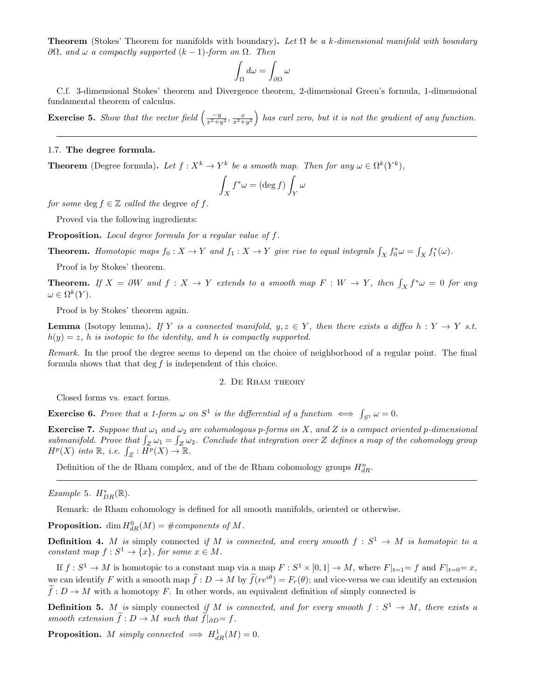**Theorem** (Stokes' Theorem for manifolds with boundary). Let  $\Omega$  be a k-dimensional manifold with boundary  $\partial\Omega$ , and ω a compactly supported  $(k-1)$ -form on  $\Omega$ . Then

$$
\int_{\Omega}d\omega=\int_{\partial\Omega}\omega
$$

C.f. 3-dimensional Stokes' theorem and Divergence theorem, 2-dimensional Green's formula, 1-dimensional fundamental theorem of calculus.

**Exercise 5.** Show that the vector field  $\left(\frac{-y}{x^2+y^2}, \frac{x}{x^2+y^2}\right)$  has curl zero, but it is not the gradient of any function.

### 1.7. The degree formula.

**Theorem** (Degree formula). Let  $f: X^k \to Y^k$  be a smooth map. Then for any  $\omega \in \Omega^k(Y^k)$ ,

$$
\int_X f^*\omega = (\deg f) \int_Y \omega
$$

for some deg  $f \in \mathbb{Z}$  called the degree of f.

Proved via the following ingredients:

Proposition. Local degree formula for a regular value of f.

**Theorem.** Homotopic maps  $f_0: X \to Y$  and  $f_1: X \to Y$  give rise to equal integrals  $\int_X f_0^* \omega = \int_X f_1^*(\omega)$ .

Proof is by Stokes' theorem.

**Theorem.** If  $X = \partial W$  and  $f : X \to Y$  extends to a smooth map  $F : W \to Y$ , then  $\int_X f^* \omega = 0$  for any  $\omega \in \Omega^k(Y).$ 

Proof is by Stokes' theorem again.

**Lemma** (Isotopy lemma). If Y is a connected manifold,  $y, z \in Y$ , then there exists a diffeo h: Y  $\rightarrow$  Y s.t.  $h(y) = z$ , h is isotopic to the identity, and h is compactly supported.

Remark. In the proof the degree seems to depend on the choice of neighborhood of a regular point. The final formula shows that that  $\deg f$  is independent of this choice.

#### 2. De Rham theory

Closed forms vs. exact forms.

**Exercise 6.** Prove that a 1-form  $\omega$  on  $S^1$  is the differential of a function  $\iff \int_{S^1} \omega = 0$ .

**Exercise 7.** Suppose that  $\omega_1$  and  $\omega_2$  are cohomologous p-forms on X, and Z is a compact oriented p-dimensional submanifold. Prove that  $\int_Z \omega_1 = \int_Z \omega_2$ . Conclude that integration over Z defines a map of the cohomology group  $H^p(X)$  into  $\mathbb{R}, i.e.$   $\int_Z : H^p(X) \to \mathbb{R}.$ 

Definition of the de Rham complex, and of the de Rham cohomology groups  $H_{dR}^n$ .

Example 5.  $H^*_{DR}(\mathbb{R})$ .

Remark: de Rham cohomology is defined for all smooth manifolds, oriented or otherwise.

**Proposition.** dim  $H_{dR}^{0}(M) = \text{\#components of } M$ .

**Definition 4.** M is simply connected if M is connected, and every smooth  $f: S^1 \to M$  is homotopic to a constant map  $f: S^1 \to \{x\}$ , for some  $x \in M$ .

If  $f: S^1 \to M$  is homotopic to a constant map via a map  $F: S^1 \times [0,1] \to M$ , where  $F|_{t=1} = f$  and  $F|_{t=0} = x$ , we can identify F with a smooth map  $\tilde{f}: D \to M$  by  $\tilde{f}(re^{i\theta}) = F_r(\theta)$ ; and vice-versa we can identify an extension  $\tilde{f}: D \to M$  with a homotopy F. In other words, an equivalent definition of simply connected is

**Definition 5.** M is simply connected if M is connected, and for every smooth  $f : S^1 \to M$ , there exists a smooth extension  $\tilde{f}: D \to M$  such that  $\tilde{f}|_{\partial D} = f$ .

**Proposition.** M simply connected  $\implies H_{dR}^1(M) = 0$ .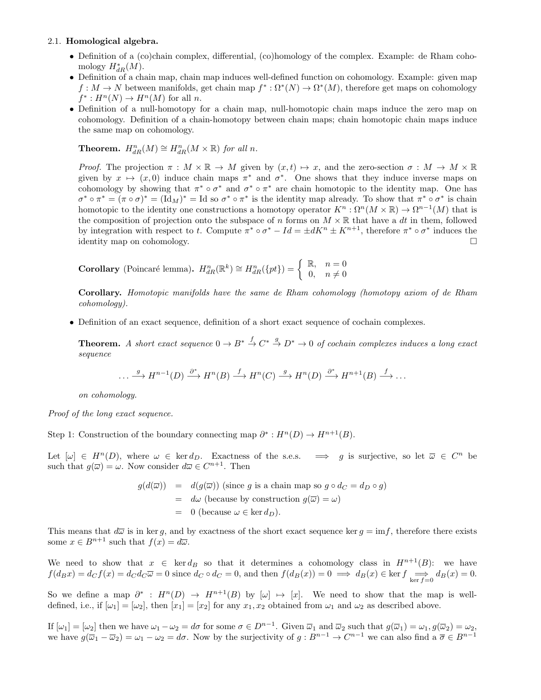#### 2.1. Homological algebra.

- Definition of a (co)chain complex, differential, (co)homology of the complex. Example: de Rham cohomology  $H^*_{dR}(M)$ .
- Definition of a chain map, chain map induces well-defined function on cohomology. Example: given map  $f: M \to N$  between manifolds, get chain map  $f^*: \Omega^*(N) \to \Omega^*(M)$ , therefore get maps on cohomology  $f^*: H^n(N) \to H^n(M)$  for all *n*.
- Definition of a null-homotopy for a chain map, null-homotopic chain maps induce the zero map on cohomology. Definition of a chain-homotopy between chain maps; chain homotopic chain maps induce the same map on cohomology.

# **Theorem.**  $H_{dR}^n(M) \cong H_{dR}^n(M \times \mathbb{R})$  for all n.

*Proof.* The projection  $\pi : M \times \mathbb{R} \to M$  given by  $(x, t) \mapsto x$ , and the zero-section  $\sigma : M \to M \times \mathbb{R}$ given by  $x \mapsto (x, 0)$  induce chain maps  $\pi^*$  and  $\sigma^*$ . One shows that they induce inverse maps on cohomology by showing that  $\pi^* \circ \sigma^*$  and  $\sigma^* \circ \pi^*$  are chain homotopic to the identity map. One has  $\sigma^* \circ \pi^* = (\pi \circ \sigma)^* = (\text{Id}_M)^* = \text{Id}$  so  $\sigma^* \circ \pi^*$  is the identity map already. To show that  $\pi^* \circ \sigma^*$  is chain homotopic to the identity one constructions a homotopy operator  $K^n : \Omega^n(M \times \mathbb{R}) \to \Omega^{n-1}(M)$  that is the composition of projection onto the subspace of n forms on  $M \times \mathbb{R}$  that have a dt in them, followed by integration with respect to t. Compute  $\pi^* \circ \sigma^* - Id = \pm dK^n \pm K^{n+1}$ , therefore  $\pi^* \circ \sigma^*$  induces the identity map on cohomology.

Corollary (Poincaré lemma). 
$$
H_{dR}^n(\mathbb{R}^k) \cong H_{dR}^n(\{pt\}) = \begin{cases} \mathbb{R}, & n = 0 \\ 0, & n \neq 0 \end{cases}
$$

Corollary. Homotopic manifolds have the same de Rham cohomology (homotopy axiom of de Rham cohomology).

• Definition of an exact sequence, definition of a short exact sequence of cochain complexes.

**Theorem.** A short exact sequence  $0 \to B^* \stackrel{f}{\to} C^* \stackrel{g}{\to} D^* \to 0$  of cochain complexes induces a long exact sequence

$$
\dots \xrightarrow{g} H^{n-1}(D) \xrightarrow{\partial^*} H^n(B) \xrightarrow{f} H^n(C) \xrightarrow{g} H^n(D) \xrightarrow{\partial^*} H^{n+1}(B) \xrightarrow{f} \dots
$$

on cohomology.

Proof of the long exact sequence.

Step 1: Construction of the boundary connecting map  $\partial^* : H^n(D) \to H^{n+1}(B)$ .

Let  $[\omega] \in H^n(D)$ , where  $\omega \in \ker d_D$ . Exactness of the s.e.s.  $\implies g$  is surjective, so let  $\overline{\omega} \in C^n$  be such that  $g(\overline{\omega}) = \omega$ . Now consider  $d\overline{\omega} \in C^{n+1}$ . Then

$$
g(d(\overline{\omega})) = d(g(\overline{\omega})) \text{ (since } g \text{ is a chain map so } g \circ d_C = d_D \circ g)
$$
  
=  $d\omega$  (because by construction  $g(\overline{\omega}) = \omega$ )  
= 0 (because  $\omega \in \text{ker } d_D$ ).

This means that  $d\overline{\omega}$  is in ker q, and by exactness of the short exact sequence ker  $q = \inf$ , therefore there exists some  $x \in B^{n+1}$  such that  $f(x) = d\overline{\omega}$ .

We need to show that  $x \in \text{ker } d_B$  so that it determines a cohomology class in  $H^{n+1}(B)$ : we have  $f(d_Bx) = d_C f(x) = d_C d_C \overline{\omega} = 0$  since  $d_C \circ d_C = 0$ , and then  $f(d_B(x)) = 0 \implies d_B(x) \in \text{ker } f \implies d_B(x) = 0$ .

So we define a map  $\partial^*$ :  $H^n(D) \to H^{n+1}(B)$  by  $[\omega] \mapsto [x]$ . We need to show that the map is welldefined, i.e., if  $[\omega_1] = [\omega_2]$ , then  $[x_1] = [x_2]$  for any  $x_1, x_2$  obtained from  $\omega_1$  and  $\omega_2$  as described above.

If  $[\omega_1] = [\omega_2]$  then we have  $\omega_1 - \omega_2 = d\sigma$  for some  $\sigma \in D^{n-1}$ . Given  $\overline{\omega}_1$  and  $\overline{\omega}_2$  such that  $g(\overline{\omega}_1) = \omega_1, g(\overline{\omega}_2) = \omega_2$ , we have  $g(\overline{\omega}_1 - \overline{\omega}_2) = \omega_1 - \omega_2 = d\sigma$ . Now by the surjectivity of  $g: B^{n-1} \to C^{n-1}$  we can also find a  $\overline{\sigma} \in B^{n-1}$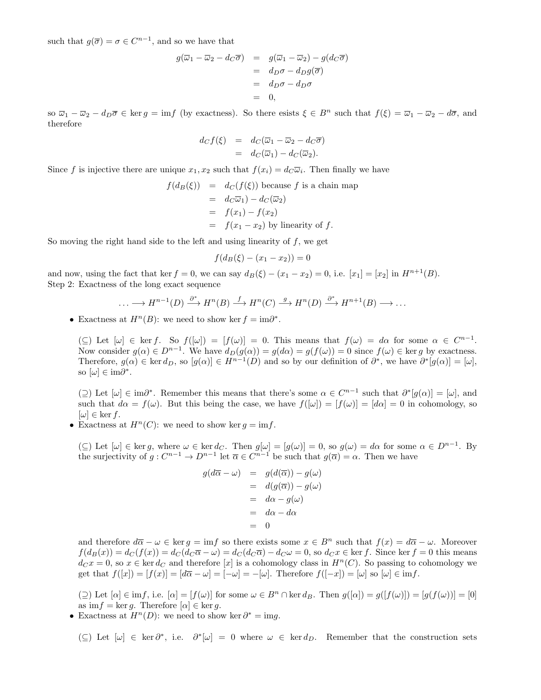such that  $g(\overline{\sigma}) = \sigma \in C^{n-1}$ , and so we have that

$$
g(\overline{\omega}_1 - \overline{\omega}_2 - d_C \overline{\sigma}) = g(\overline{\omega}_1 - \overline{\omega}_2) - g(d_C \overline{\sigma})
$$
  
=  $d_D \sigma - d_D g(\overline{\sigma})$   
=  $d_D \sigma - d_D \sigma$   
= 0,

so  $\overline{\omega}_1 - \overline{\omega}_2 - d_D \overline{\sigma} \in \text{ker } g = \text{im}f$  (by exactness). So there esists  $\xi \in B^n$  such that  $f(\xi) = \overline{\omega}_1 - \overline{\omega}_2 - d\overline{\sigma}$ , and therefore

$$
d_C f(\xi) = d_C(\overline{\omega}_1 - \overline{\omega}_2 - d_C \overline{\sigma})
$$
  
= 
$$
d_C(\overline{\omega}_1) - d_C(\overline{\omega}_2).
$$

Since f is injective there are unique  $x_1, x_2$  such that  $f(x_i) = d_C \overline{\omega}_i$ . Then finally we have

$$
f(d_B(\xi)) = d_C(f(\xi))
$$
 because  $f$  is a chain map  
=  $d_C\overline{\omega}_1$ ) -  $d_C(\overline{\omega}_2)$   
=  $f(x_1) - f(x_2)$   
=  $f(x_1 - x_2)$  by linearity of  $f$ .

So moving the right hand side to the left and using linearity of  $f$ , we get

$$
f(d_B(\xi) - (x_1 - x_2)) = 0
$$

and now, using the fact that ker  $f = 0$ , we can say  $d_B(\xi) - (x_1 - x_2) = 0$ , i.e.  $[x_1] = [x_2]$  in  $H^{n+1}(B)$ . Step 2: Exactness of the long exact sequence

$$
\dots \longrightarrow H^{n-1}(D) \xrightarrow{\partial^*} H^n(B) \xrightarrow{f} H^n(C) \xrightarrow{g} H^n(D) \xrightarrow{\partial^*} H^{n+1}(B) \longrightarrow \dots
$$

• Exactness at  $H<sup>n</sup>(B)$ : we need to show ker  $f = \text{im}\partial^*$ .

 $(\subseteq)$  Let  $[\omega] \in \text{ker } f$ . So  $f([\omega]) = [f(\omega)] = 0$ . This means that  $f(\omega) = d\alpha$  for some  $\alpha \in C^{n-1}$ . Now consider  $g(\alpha) \in D^{n-1}$ . We have  $d_D(g(\alpha)) = g(d\alpha) = g(f(\omega)) = 0$  since  $f(\omega) \in \text{ker } g$  by exactness. Therefore,  $g(\alpha) \in \text{ker } d_D$ , so  $[g(\alpha)] \in H^{n-1}(D)$  and so by our definition of  $\partial^*$ , we have  $\partial^*[g(\alpha)] = [\omega]$ , so  $[\omega] \in \text{im}\partial^*$ .

(2) Let  $[\omega] \in \text{im}\partial^*$ . Remember this means that there's some  $\alpha \in C^{n-1}$  such that  $\partial^*[g(\alpha)] = [\omega]$ , and such that  $d\alpha = f(\omega)$ . But this being the case, we have  $f([\omega]) = [f(\omega)] = [d\alpha] = 0$  in cohomology, so  $[\omega] \in \ker f$ .

• Exactness at  $H^n(C)$ : we need to show ker  $q = \text{im } f$ .

 $(\subseteq)$  Let  $[\omega] \in \ker g$ , where  $\omega \in \ker d_C$ . Then  $g[\omega] = [g(\omega)] = 0$ , so  $g(\omega) = d\alpha$  for some  $\alpha \in D^{n-1}$ . By the surjectivity of  $g: C^{n-1} \to D^{n-1}$  let  $\overline{\alpha} \in C^{n-1}$  be such that  $g(\overline{\alpha}) = \alpha$ . Then we have

$$
g(d\overline{\alpha} - \omega) = g(d(\overline{\alpha})) - g(\omega)
$$
  
=  $d(g(\overline{\alpha})) - g(\omega)$   
=  $d\alpha - g(\omega)$   
=  $d\alpha - d\alpha$   
= 0

and therefore  $d\overline{\alpha} - \omega \in \ker g = \inf f$  so there exists some  $x \in B^n$  such that  $f(x) = d\overline{\alpha} - \omega$ . Moreover  $f(d_B(x)) = d_C(f(x)) = d_C(d_C(\overline{\alpha} - \omega)) = d_C(d_C(\overline{\alpha})) - d_C(\omega) = 0$ , so  $d_C(x \in \text{ker } f)$ . Since ker  $f = 0$  this means  $d_{\mathcal{C}} x = 0$ , so  $x \in \text{ker } d_{\mathcal{C}}$  and therefore [x] is a cohomology class in  $H<sup>n</sup>(C)$ . So passing to cohomology we get that  $f([x]) = [f(x)] = [d\overline{\alpha} - \omega] = [-\omega] = -[\omega]$ . Therefore  $f([-x]) = [\omega]$  so  $[\omega] \in \text{im } f$ .

(2) Let  $[\alpha] \in \text{im } f$ , i.e.  $[\alpha] = [f(\omega)]$  for some  $\omega \in B^n \cap \text{ker } d_B$ . Then  $g([\alpha]) = g([f(\omega)]) = [g(f(\omega))] = [0]$ as im $f = \ker g$ . Therefore  $[\alpha] \in \ker g$ .

• Exactness at  $H<sup>n</sup>(D)$ : we need to show ker  $\partial^* = \text{im} g$ .

(⊆) Let  $[\omega] \in \ker \partial^*$ , i.e.  $\partial^*[\omega] = 0$  where  $\omega \in \ker d_D$ . Remember that the construction sets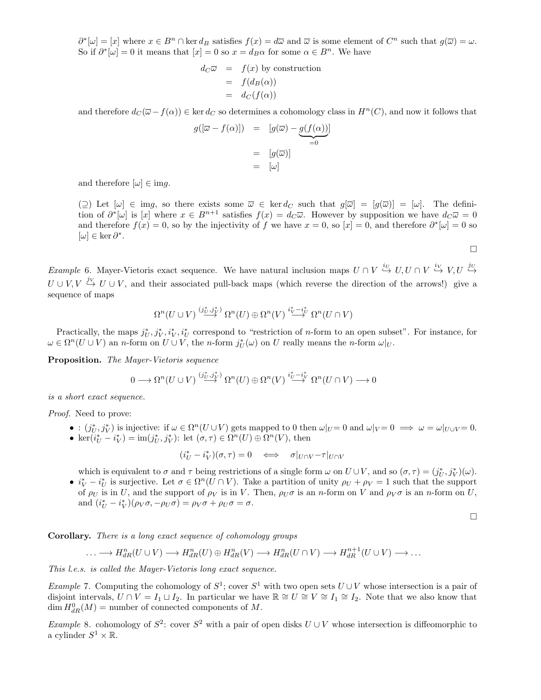$\partial^*[\omega] = [x]$  where  $x \in B^n \cap \ker d_B$  satisfies  $f(x) = d\overline{\omega}$  and  $\overline{\omega}$  is some element of  $C^n$  such that  $g(\overline{\omega}) = \omega$ . So if  $\partial^*[\omega] = 0$  it means that  $[x] = 0$  so  $x = d_B \alpha$  for some  $\alpha \in B^n$ . We have

$$
d_C \overline{\omega} = f(x) \text{ by construction}
$$
  
=  $f(d_B(\alpha))$   
=  $d_C(f(\alpha))$ 

and therefore  $d_C(\overline{\omega}-f(\alpha)) \in \text{ker } d_C$  so determines a cohomology class in  $H^n(C)$ , and now it follows that

$$
g([\overline{\omega} - f(\alpha)]) = [g(\overline{\omega}) - g(f(\alpha))] \n= [g(\overline{\omega})] \n= [\omega]
$$

and therefore  $[\omega] \in \text{im} g$ .

 $(\supseteq)$  Let  $[\omega] \in \text{img}$ , so there exists some  $\overline{\omega} \in \text{ker } d_C$  such that  $g[\overline{\omega}] = [g(\overline{\omega})] = [\omega]$ . The definition of  $\partial^*[\omega]$  is [x] where  $x \in B^{n+1}$  satisfies  $f(x) = d_C \overline{\omega}$ . However by supposition we have  $d_C \overline{\omega} = 0$ and therefore  $f(x) = 0$ , so by the injectivity of f we have  $x = 0$ , so  $[x] = 0$ , and therefore  $\partial^*[\omega] = 0$  so [ω] ∈ ker  $\partial^*$ .

 $\Box$ 

Example 6. Mayer-Vietoris exact sequence. We have natural inclusion maps  $U \cap V \stackrel{iv}{\hookrightarrow} U, U \cap V \stackrel{iv}{\hookrightarrow} V, U \stackrel{iv}{\hookrightarrow} V$  $U \cup V, V \stackrel{j_V}{\hookrightarrow} U \cup V$ , and their associated pull-back maps (which reverse the direction of the arrows!) give a sequence of maps

$$
\Omega^n(U \cup V) \stackrel{(j_U^*,j_V^*)}{\longrightarrow} \Omega^n(U) \oplus \Omega^n(V) \stackrel{i_V^* - i_V^*}{\longrightarrow} \Omega^n(U \cap V)
$$

Practically, the maps  $j^*_{U}, j^*_{V}, i^*_{U}$  correspond to "restriction of n-form to an open subset". For instance, for  $\omega \in \Omega^n(U \cup V)$  an *n*-form on  $U \cup V$ , the *n*-form  $j^*_{U}(\omega)$  on U really means the *n*-form  $\omega|_{U}$ .

Proposition. The Mayer-Vietoris sequence

$$
0 \longrightarrow \Omega^{n}(U \cup V) \stackrel{(j_{U}^{*},j_{V}^{*})}{\longrightarrow} \Omega^{n}(U) \oplus \Omega^{n}(V) \stackrel{i_{U}^{*}-i_{V}^{*}}{\longrightarrow} \Omega^{n}(U \cap V) \longrightarrow 0
$$

is a short exact sequence.

Proof. Need to prove:

- :  $(j^*_{U}, j^*_{V})$  is injective: if  $\omega \in \Omega^n(U \cup V)$  gets mapped to 0 then  $\omega|_{U} = 0$  and  $\omega|_{V} = 0 \implies \omega = \omega|_{U \cup V} = 0$ .
- ker $(i_U^* i_V^*) = \text{im}(j_U^*, j_V^*)$ : let  $(\sigma, \tau) \in \Omega^n(U) \oplus \Omega^n(V)$ , then

$$
(i_U^* - i_V^*)(\sigma, \tau) = 0 \iff \sigma|_{U \cap V} - \tau|_{U \cap V}
$$

which is equivalent to  $\sigma$  and  $\tau$  being restrictions of a single form  $\omega$  on  $U \cup V$ , and so  $(\sigma, \tau) = (j^*_{U}, j^*_{V})(\omega)$ .

•  $i_V^* - i_U^*$  is surjective. Let  $\sigma \in \Omega^n(U \cap V)$ . Take a partition of unity  $\rho_U + \rho_V = 1$  such that the support of  $\rho_U$  is in U, and the support of  $\rho_V$  is in V. Then,  $\rho_U \sigma$  is an n-form on V and  $\rho_V \sigma$  is an n-form on U, and  $(i_U^* - i_V^*)(\rho_V \sigma, -\rho_U \sigma) = \rho_V \sigma + \rho_U \sigma = \sigma.$ 

 $\Box$ 

Corollary. There is a long exact sequence of cohomology groups

$$
\ldots \longrightarrow H_{dR}^{n}(U \cup V) \longrightarrow H_{dR}^{n}(U) \oplus H_{dR}^{n}(V) \longrightarrow H_{dR}^{n}(U \cap V) \longrightarrow H_{dR}^{n+1}(U \cup V) \longrightarrow \ldots
$$

This l.e.s. is called the Mayer-Vietoris long exact sequence.

*Example* 7. Computing the cohomology of  $S^1$ ; cover  $S^1$  with two open sets  $U \cup V$  whose intersection is a pair of disjoint intervals,  $U \cap V = I_1 \sqcup I_2$ . In particular we have  $\mathbb{R} \cong U \cong V \cong I_1 \cong I_2$ . Note that we also know that  $\dim H_{dR}^0(M)$  = number of connected components of M.

Example 8. cohomology of  $S^2$ : cover  $S^2$  with a pair of open disks  $U \cup V$  whose intersection is diffeomorphic to a cylinder  $S^1 \times \mathbb{R}$ .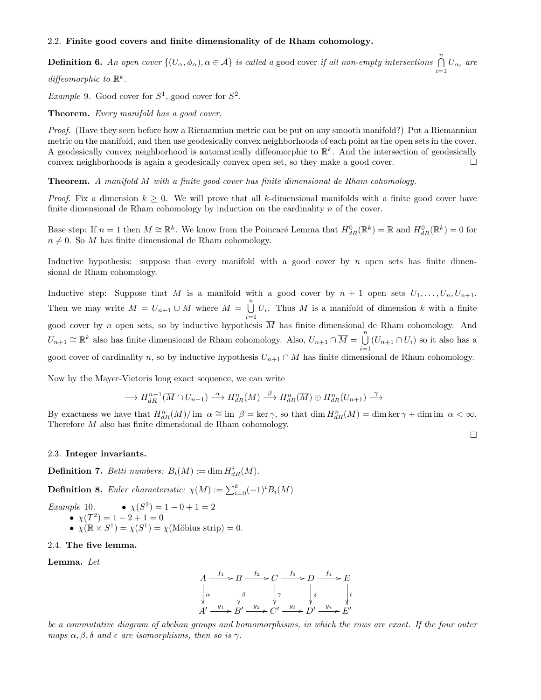#### 2.2. Finite good covers and finite dimensionality of de Rham cohomology.

**Definition 6.** An open cover  $\{(U_{\alpha}, \phi_{\alpha}), \alpha \in \mathcal{A}\}\)$  is called a good cover if all non-empty intersections  $\bigcap_{i=1}^{n} U_{\alpha_i}$  are

diffeomorphic to  $\mathbb{R}^k$ .

*Example* 9. Good cover for  $S^1$ , good cover for  $S^2$ .

Theorem. Every manifold has a good cover.

Proof. (Have they seen before how a Riemannian metric can be put on any smooth manifold?) Put a Riemannian metric on the manifold, and then use geodesically convex neighborhoods of each point as the open sets in the cover. A geodesically convex neighborhood is automatically diffeomorphic to  $\mathbb{R}^k$ . And the intersection of geodesically convex neighborhoods is again a geodesically convex open set, so they make a good cover.

Theorem. A manifold M with a finite good cover has finite dimensional de Rham cohomology.

*Proof.* Fix a dimension  $k > 0$ . We will prove that all k-dimensional manifolds with a finite good cover have finite dimensional de Rham cohomology by induction on the cardinality  $n$  of the cover.

Base step: If  $n = 1$  then  $M \cong \mathbb{R}^k$ . We know from the Poincaré Lemma that  $H_{dR}^0(\mathbb{R}^k) = \mathbb{R}$  and  $H_{dR}^0(\mathbb{R}^k) = 0$  for  $n \neq 0$ . So M has finite dimensional de Rham cohomology.

Inductive hypothesis: suppose that every manifold with a good cover by  $n$  open sets has finite dimensional de Rham cohomology.

Inductive step: Suppose that M is a manifold with a good cover by  $n + 1$  open sets  $U_1, \ldots, U_n, U_{n+1}$ . Then we may write  $M = U_{n+1} \cup \overline{M}$  where  $\overline{M} = \bigcup_{n=1}^{n}$  $\bigcup_{i=1} U_i$ . Thus  $\overline{M}$  is a manifold of dimension k with a finite good cover by n open sets, so by inductive hypothesis  $\overline{M}$  has finite dimensional de Rham cohomology. And  $U_{n+1} \cong \mathbb{R}^k$  also has finite dimensional de Rham cohomology. Also,  $U_{n+1} \cap \overline{M} = \bigcup_{n=1}^n \mathbb{R}^k$  $\bigcup_{i=1} (U_{n+1} \cap U_i)$  so it also has a good cover of cardinality n, so by inductive hypothesis  $U_{n+1} \cap \overline{M}$  has finite dimensional de Rham cohomology.

Now by the Mayer-Vietoris long exact sequence, we can write

$$
\longrightarrow H_{dR}^{n-1}(\overline{M} \cap U_{n+1}) \stackrel{\alpha}{\longrightarrow} H_{dR}^{n}(M) \stackrel{\beta}{\longrightarrow} H_{dR}^{n}(\overline{M}) \oplus H_{dR}^{n}(U_{n+1}) \stackrel{\gamma}{\longrightarrow}
$$

By exactness we have that  $H_{dR}^n(M)/\text{ im }\alpha \cong \text{ im }\beta = \text{ker }\gamma$ , so that  $\dim H_{dR}^n(M) = \dim \text{ker }\gamma + \dim \text{ im }\alpha < \infty$ . Therefore M also has finite dimensional de Rham cohomology.

 $\Box$ 

#### 2.3. Integer invariants.

**Definition 7.** Betti numbers:  $B_i(M) := \dim H^i_{dR}(M)$ .

**Definition 8.** Euler characteristic:  $\chi(M) := \sum_{i=0}^{k} (-1)^{i} B_{i}(M)$ 

*Example* 10. • 
$$
\chi(S^2) = 1 - 0 + 1 = 2
$$
  
•  $\chi(T^2) = 1 - 2 + 1 = 0$   
•  $\chi(\mathbb{R} \times S^1) = \chi(S^1) = \chi(\text{Möbius strip}) = 0.$ 

#### 2.4. The five lemma.

Lemma. Let



be a commutative diagram of abelian groups and homomorphisms, in which the rows are exact. If the four outer maps  $\alpha, \beta, \delta$  and  $\epsilon$  are isomorphisms, then so is  $\gamma$ .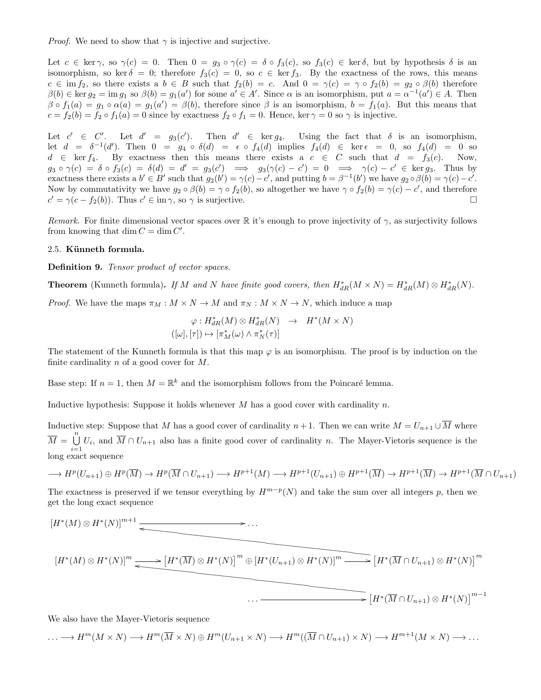*Proof.* We need to show that  $\gamma$  is injective and surjective.

Let  $c \in \text{ker } \gamma$ , so  $\gamma(c) = 0$ . Then  $0 = g_3 \circ \gamma(c) = \delta \circ f_3(c)$ , so  $f_3(c) \in \text{ker } \delta$ , but by hypothesis  $\delta$  is an isomorphism, so ker  $\delta = 0$ ; therefore  $f_3(c) = 0$ , so  $c \in \text{ker } f_3$ . By the exactness of the rows, this means  $c \in \text{im } f_2$ , so there exists a  $b \in B$  such that  $f_2(b) = c$ . And  $0 = \gamma(c) = \gamma \circ f_2(b) = g_2 \circ \beta(b)$  therefore  $\beta(b) \in \ker g_2 = \text{im } g_1 \text{ so } \beta(b) = g_1(a') \text{ for some } a' \in A'.$  Since  $\alpha$  is an isomorphism, put  $a = \alpha^{-1}(a') \in A.$  Then  $\beta \circ f_1(a) = g_1 \circ \alpha(a) = g_1(a') = \beta(b)$ , therefore since  $\beta$  is an isomorphism,  $b = f_1(a)$ . But this means that  $c = f_2(b) = f_2 \circ f_1(a) = 0$  since by exactness  $f_2 \circ f_1 = 0$ . Hence, ker  $\gamma = 0$  so  $\gamma$  is injective.

Let  $c' \in C'$ . Let  $d' = g_3(c')$ . Then  $d' \in \text{ker } g_4$ . Using the fact that  $\delta$  is an isomorphism, let  $d = \delta^{-1}(d')$ . Then  $0 = g_4 \circ \delta(d) = \epsilon \circ f_4(d)$  implies  $f_4(d) \in \ker \epsilon = 0$ , so  $f_4(d) = 0$  so  $d \in \text{ker } f_4$ . By exactness then this means there exists a  $c \in C$  such that  $d = f_3(c)$ . Now,  $g_3 \circ \gamma(c) = \delta \circ f_3(c) = \delta(d) = d' = g_3(c') \implies g_3(\gamma(c) - c') = 0 \implies \gamma(c) - c' \in \text{ker } g_3$ . Thus by exactness there exists a  $b' \in B'$  such that  $g_2(b') = \gamma(c) - c'$ , and putting  $b = \beta^{-1}(b')$  we have  $g_2 \circ \beta(b) = \gamma(c) - c'$ . Now by commutativity we have  $g_2 \circ \beta(b) = \gamma \circ f_2(b)$ , so altogether we have  $\gamma \circ f_2(b) = \gamma(c) - c'$ , and therefore  $c' = \gamma(c - f_2(b))$ . Thus  $c' \in \text{im }\gamma$ , so  $\gamma$  is surjective.

Remark. For finite dimensional vector spaces over R it's enough to prove injectivity of  $\gamma$ , as surjectivity follows from knowing that  $\dim C = \dim C'$ .

#### 2.5. Künneth formula.

Definition 9. Tensor product of vector spaces.

**Theorem** (Kunneth formula). If M and N have finite good covers, then  $H^*_{dR}(M \times N) = H^*_{dR}(M) \otimes H^*_{dR}(N)$ .

*Proof.* We have the maps  $\pi_M : M \times N \to M$  and  $\pi_N : M \times N \to N$ , which induce a map

$$
\varphi: H^*_{dR}(M) \otimes H^*_{dR}(N) \rightarrow H^*(M \times N)
$$
  

$$
([\omega], [\tau]) \mapsto [\pi_M^*(\omega) \wedge \pi_N^*(\tau)]
$$

The statement of the Kunneth formula is that this map  $\varphi$  is an isomorphism. The proof is by induction on the finite cardinality  $n$  of a good cover for  $M$ .

Base step: If  $n = 1$ , then  $M = \mathbb{R}^k$  and the isomorphism follows from the Poincaré lemma.

Inductive hypothesis: Suppose it holds whenever  $M$  has a good cover with cardinality  $n$ .

Inductive step: Suppose that M has a good cover of cardinality  $n+1$ . Then we can write  $M = U_{n+1} \cup \overline{M}$  where  $\overline{M} = \bigcup_{i=1}^{n} U_i$ , and  $\overline{M} \cap U_{n+1}$  also has a finite good cover of cardinality n. The Mayer-Vietoris sequence is the  $i=1$ <br>long exact sequence

$$
\longrightarrow H^p(U_{n+1}) \oplus H^p(\overline{M}) \longrightarrow H^p(\overline{M} \cap U_{n+1}) \longrightarrow H^{p+1}(M) \longrightarrow H^{p+1}(U_{n+1}) \oplus H^{p+1}(\overline{M}) \longrightarrow H^{p+1}(\overline{M}) \longrightarrow H^{p+1}(\overline{M} \cap U_{n+1})
$$

The exactness is preserved if we tensor everything by  $H^{m-p}(N)$  and take the sum over all integers p, then we get the long exact sequence

$$
[H^*(M)\otimes H^*(N)]^{m+1}
$$
\n
$$
H^*(M)\otimes H^*(N)]^m \longrightarrow [H^*(\overline{M})\otimes H^*(N)]^m \oplus [H^*(U_{n+1})\otimes H^*(N)]^m \longrightarrow [H^*(\overline{M}\cap U_{n+1})\otimes H^*(N)]^m
$$
\n
$$
\cdots
$$

We also have the Mayer-Vietoris sequence

$$
\ldots \longrightarrow H^m(M \times N) \longrightarrow H^m(\overline{M} \times N) \oplus H^m(U_{n+1} \times N) \longrightarrow H^m((\overline{M} \cap U_{n+1}) \times N) \longrightarrow H^{m+1}(M \times N) \longrightarrow \ldots
$$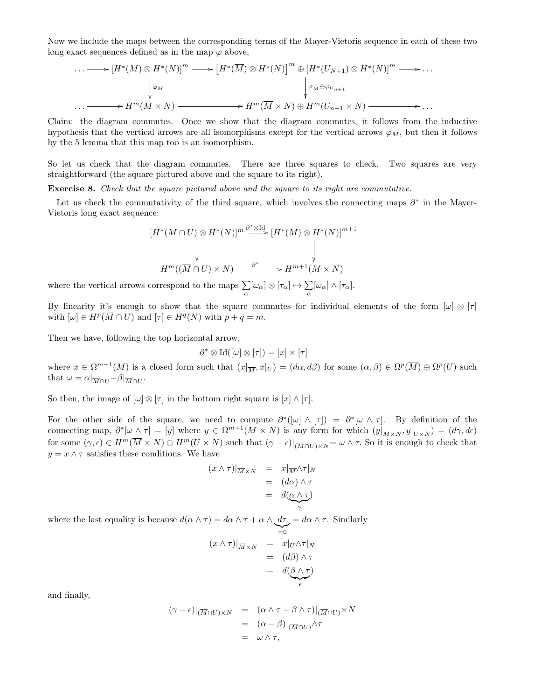Now we include the maps between the corresponding terms of the Mayer-Vietoris sequence in each of these two long exact sequences defined as in the map  $\varphi$  above,

$$
\cdots \longrightarrow [H^*(M) \otimes H^*(N)]^m \longrightarrow [H^*(\overline{M}) \otimes H^*(N)]^m \oplus [H^*(U_{N+1}) \otimes H^*(N)]^m \longrightarrow \cdots
$$
  
\n
$$
\downarrow \varphi_M
$$
  
\n
$$
\cdots \longrightarrow H^m(M \times N) \longrightarrow H^m(\overline{M} \times N) \oplus H^m(U_{n+1} \times N) \longrightarrow \cdots
$$

Claim: the diagram commutes. Once we show that the diagram commutes, it follows from the inductive hypothesis that the vertical arrows are all isomorphisms except for the vertical arrows  $\varphi_M$ , but then it follows by the 5 lemma that this map too is an isomorphism.

So let us check that the diagram commutes. There are three squares to check. Two squares are very straightforward (the square pictured above and the square to its right).

Exercise 8. Check that the square pictured above and the square to its right are commutative.

Let us check the commutativity of the third square, which involves the connecting maps  $\partial^*$  in the Mayer-Vietoris long exact sequence:

$$
[H^*(\overline{M} \cap U) \otimes H^*(N)]^m \stackrel{\partial^* \otimes \text{Id}}{\longrightarrow} [H^*(M) \otimes H^*(N)]^{m+1}
$$
  
\n
$$
H^m((\overline{M} \cap U) \times N) \xrightarrow{\partial^*} H^{m+1}(M \times N)
$$

where the vertical arrows correspond to the maps  $\sum_{\alpha} [\omega_{\alpha}] \otimes [\tau_{\alpha}] \mapsto \sum_{\alpha}$  $\sum_{\alpha}[\omega_{\alpha}] \wedge [\tau_{\alpha}].$ 

By linearity it's enough to show that the square commutes for individual elements of the form  $[\omega] \otimes [\tau]$ with  $[\omega] \in H^p(\overline{M} \cap U)$  and  $[\tau] \in H^q(N)$  with  $p + q = m$ .

Then we have, following the top horizontal arrow,

$$
\partial^* \otimes \mathrm{Id}([\omega] \otimes [\tau]) = [x] \times [\tau]
$$

where  $x \in \Omega^{m+1}(M)$  is a closed form such that  $(x|_{\overline{M}}, x|_U) = (d\alpha, d\beta)$  for some  $(\alpha, \beta) \in \Omega^p(\overline{M}) \oplus \Omega^p(U)$  such that  $\omega = \alpha \vert_{\overline{M} \cap U} - \beta \vert_{\overline{M} \cap U}$ .

So then, the image of  $[\omega] \otimes [\tau]$  in the bottom right square is  $[x] \wedge [\tau]$ .

For the other side of the square, we need to compute  $\partial^*([\omega] \wedge [\tau]) = \partial^*[\omega \wedge \tau]$ . By definition of the connecting map,  $\partial^*[\omega \wedge \tau] = [y]$  where  $y \in \Omega^{m+1}(M \times N)$  is any form for which  $(y|_{\overline{M} \times N}, y|_{\overline{U} \times N}) = (d\gamma, d\epsilon)$ for some  $(\gamma, \epsilon) \in H^m(\overline{M} \times N) \oplus H^m(U \times N)$  such that  $(\gamma - \epsilon)|_{(\overline{M} \cap U) \times N} = \omega \wedge \tau$ . So it is enough to check that  $y=x\wedge\tau$  satisfies these conditions. We have

$$
(x \wedge \tau)|_{\overline{M} \times N} = x|_{\overline{M}} \wedge \tau|_{N}
$$
  
=  $(d\alpha) \wedge \tau$   
=  $d(\alpha \wedge \tau)$ 

where the last equality is because  $d(\alpha \wedge \tau) = d\alpha \wedge \tau + \alpha \wedge d\tau = d\alpha \wedge \tau$ . Similarly

$$
(x \wedge \tau)|_{\overline{M} \times N} = \overline{x}|_{U} \wedge \tau|_{N}
$$
  
=  $(d\beta) \wedge \tau$   
=  $d(\underline{\beta} \wedge \tau)$ 

and finally,

$$
(\gamma - \epsilon)|_{(\overline{M} \cap U) \times N} = (\alpha \wedge \tau - \beta \wedge \tau)|_{(\overline{M} \cap U)} \times N
$$
  
= 
$$
(\alpha - \beta)|_{(\overline{M} \cap U)} \wedge \tau
$$
  
= 
$$
\omega \wedge \tau,
$$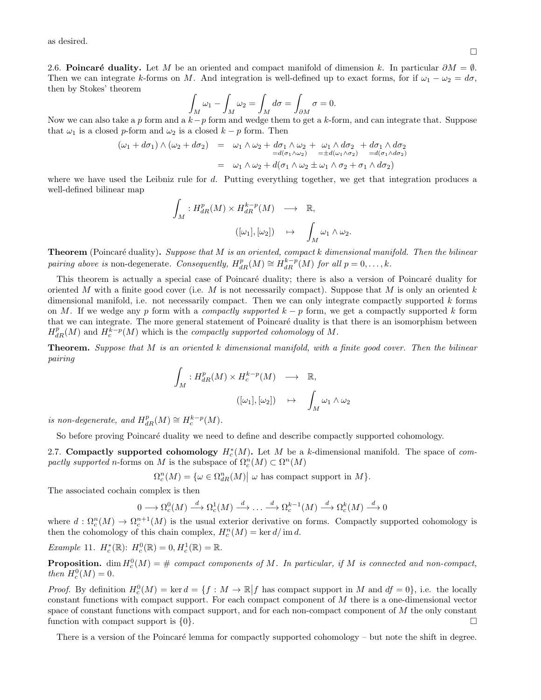as desired.

2.6. Poincaré duality. Let M be an oriented and compact manifold of dimension k. In particular  $\partial M = \emptyset$ . Then we can integrate k-forms on M. And integration is well-defined up to exact forms, for if  $\omega_1 - \omega_2 = d\sigma$ , then by Stokes' theorem

$$
\int_M \omega_1 - \int_M \omega_2 = \int_M d\sigma = \int_{\partial M} \sigma = 0.
$$

Now we can also take a p form and a  $k-p$  form and wedge them to get a k-form, and can integrate that. Suppose that  $\omega_1$  is a closed p-form and  $\omega_2$  is a closed  $k - p$  form. Then

$$
(\omega_1 + d\sigma_1) \wedge (\omega_2 + d\sigma_2) = \omega_1 \wedge \omega_2 + d\sigma_1 \wedge \omega_2 + \omega_1 \wedge d\sigma_2 + d\sigma_1 \wedge d\sigma_2
$$
  
= 
$$
\omega_1 \wedge \omega_2 + d(\sigma_1 \wedge \omega_2) = \pm d(\omega_1 \wedge \sigma_2) = d(\sigma_1 \wedge d\sigma_2)
$$
  
= 
$$
\omega_1 \wedge \omega_2 + d(\sigma_1 \wedge \omega_2 \pm \omega_1 \wedge \sigma_2 + \sigma_1 \wedge d\sigma_2)
$$

where we have used the Leibniz rule for d. Putting everything together, we get that integration produces a well-defined bilinear map

$$
\begin{array}{cccc} \displaystyle\int_M:H^p_{dR}(M)\times H^{k-p}_{dR}(M)&\longrightarrow&\mathbb{R},\\ & &([\omega_1],[\omega_2])&\mapsto&\displaystyle\int_M\omega_1\wedge\omega_2. \end{array}
$$

**Theorem** (Poincaré duality). Suppose that  $M$  is an oriented, compact k dimensional manifold. Then the bilinear pairing above is non-degenerate. Consequently,  $H_{dR}^p(M) \cong H_{dR}^{k-p}(M)$  for all  $p = 0, \ldots, k$ .

This theorem is actually a special case of Poincaré duality; there is also a version of Poincaré duality for oriented M with a finite good cover (i.e. M is not necessarily compact). Suppose that M is only an oriented  $k$ dimensional manifold, i.e. not necessarily compact. Then we can only integrate compactly supported k forms on M. If we wedge any p form with a *compactly supported*  $k - p$  form, we get a compactly supported k form that we can integrate. The more general statement of Poincaré duality is that there is an isomorphism between  $H_{dR}^p(M)$  and  $H_c^{\tilde{k}-p}(M)$  which is the *compactly supported cohomology* of M.

**Theorem.** Suppose that M is an oriented k dimensional manifold, with a finite good cover. Then the bilinear pairing

$$
\int_M : H^p_{dR}(M) \times H^{k-p}_c(M) \longrightarrow \mathbb{R},
$$
  

$$
([\omega_1], [\omega_2]) \mapsto \int_M \omega_1 \wedge \omega_2
$$

is non-degenerate, and  $H_{dR}^p(M) \cong H_c^{k-p}(M)$ .

So before proving Poincaré duality we need to define and describe compactly supported cohomology.

2.7. Compactly supported cohomology  $H_c^*(M)$ . Let M be a k-dimensional manifold. The space of compactly supported n-forms on M is the subspace of  $\Omega_c^n(M) \subset \Omega^n(M)$ 

 $\Omega_c^n(M) = \{ \omega \in \Omega_{dR}^n(M) \mid \omega \text{ has compact support in } M \}.$ 

The associated cochain complex is then

$$
0 \longrightarrow \Omega_c^0(M) \stackrel{d}{\longrightarrow} \Omega_c^1(M) \stackrel{d}{\longrightarrow} \dots \stackrel{d}{\longrightarrow} \Omega_c^{k-1}(M) \stackrel{d}{\longrightarrow} \Omega_c^k(M) \stackrel{d}{\longrightarrow} 0
$$

where  $d: \Omega_c^n(M) \to \Omega_c^{n+1}(M)$  is the usual exterior derivative on forms. Compactly supported cohomology is then the cohomology of this chain complex,  $H_c^n(M) = \ker d / \operatorname{im} d$ .

Example 11.  $H_c^*(\mathbb{R})$ :  $H_c^0(\mathbb{R}) = 0, H_c^1(\mathbb{R}) = \mathbb{R}$ .

**Proposition.** dim  $H_c^0(M) = \#$  compact components of M. In particular, if M is connected and non-compact, then  $H_c^0(M) = 0$ .

*Proof.* By definition  $H_0^0(M) = \ker d = \{f : M \to \mathbb{R} | f$  has compact support in M and  $df = 0\}$ , i.e. the locally constant functions with compact support. For each compact component of M there is a one-dimensional vector space of constant functions with compact support, and for each non-compact component of M the only constant function with compact support is  $\{0\}$ .

There is a version of the Poincaré lemma for compactly supported cohomology – but note the shift in degree.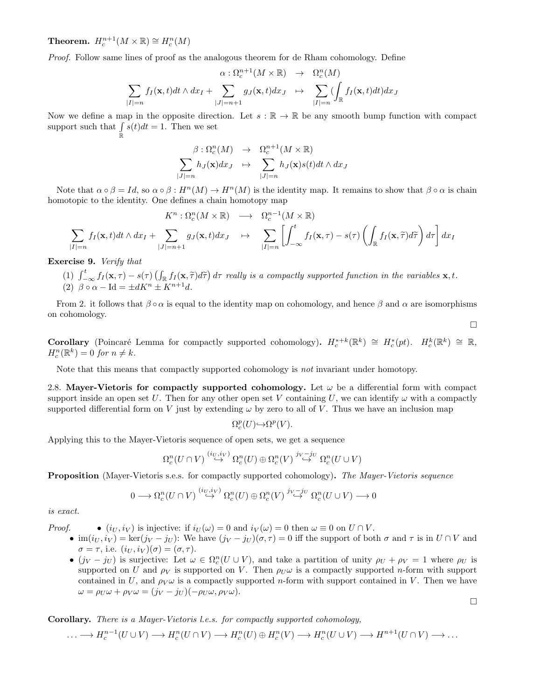Theorem.  $H_c^{n+1}(M\times\mathbb{R})\cong H_c^n(M)$ 

Proof. Follow same lines of proof as the analogous theorem for de Rham cohomology. Define

$$
\alpha : \Omega_c^{n+1}(M \times \mathbb{R}) \rightarrow \Omega_c^n(M)
$$
  

$$
\sum_{|I|=n} f_I(\mathbf{x}, t) dt \wedge dx_I + \sum_{|J|=n+1} g_J(\mathbf{x}, t) dx_J \rightarrow \sum_{|I|=n} (\int_{\mathbb{R}} f_I(\mathbf{x}, t) dt) dx_J
$$

Now we define a map in the opposite direction. Let  $s : \mathbb{R} \to \mathbb{R}$  be any smooth bump function with compact support such that  $\int s(t)dt = 1$ . Then we set R

$$
\beta: \Omega_c^n(M) \rightarrow \Omega_c^{n+1}(M \times \mathbb{R})
$$
  

$$
\sum_{|J|=n} h_J(\mathbf{x}) dx_J \rightarrow \sum_{|J|=n} h_J(\mathbf{x}) s(t) dt \wedge dx_J
$$

Note that  $\alpha \circ \beta = Id$ , so  $\alpha \circ \beta : H^n(M) \to H^n(M)$  is the identity map. It remains to show that  $\beta \circ \alpha$  is chain homotopic to the identity. One defines a chain homotopy map

$$
K^{n} : \Omega_{c}^{n}(M \times \mathbb{R}) \longrightarrow \Omega_{c}^{n-1}(M \times \mathbb{R})
$$
  

$$
\sum_{|I|=n} f_{I}(\mathbf{x}, t) dt \wedge dx_{I} + \sum_{|J|=n+1} g_{J}(\mathbf{x}, t) dx_{J} \longrightarrow \sum_{|I|=n} \left[ \int_{-\infty}^{t} f_{I}(\mathbf{x}, \tau) - s(\tau) \left( \int_{\mathbb{R}} f_{I}(\mathbf{x}, \widetilde{\tau}) d\widetilde{\tau} \right) d\tau \right] dx_{I}
$$

Exercise 9. Verify that

(1)  $\int_{-\infty}^{t} f_I(\mathbf{x}, \tau) - s(\tau) \left( \int_{\mathbb{R}} f_I(\mathbf{x}, \tilde{\tau}) d\tilde{\tau} \right) d\tau$  really is a compactly supported function in the variables  $\mathbf{x}, t$ .<br>(2)  $\beta$  and  $\mathbf{x} \in \mathbb{R}^{n+1}$  is the variable of  $\mathbf{x}, t$ . (2)  $\beta \circ \alpha - \text{Id} = \pm dK^n \pm K^{n+1}d.$ 

From 2. it follows that  $\beta \circ \alpha$  is equal to the identity map on cohomology, and hence  $\beta$  and  $\alpha$  are isomorphisms on cohomology.

Corollary (Poincaré Lemma for compactly supported cohomology).  $H_c^{*+k}(\mathbb{R}^k) \cong H_c^*(pt)$ .  $H_c^k(\mathbb{R}^k) \cong \mathbb{R}$ ,  $H_c^n(\mathbb{R}^k) = 0$  for  $n \neq k$ .

Note that this means that compactly supported cohomology is not invariant under homotopy.

2.8. Mayer-Vietoris for compactly supported cohomology. Let  $\omega$  be a differential form with compact support inside an open set U. Then for any other open set V containing U, we can identify  $\omega$  with a compactly supported differential form on V just by extending  $\omega$  by zero to all of V. Thus we have an inclusion map

$$
\Omega^p_c(U) {\hookrightarrow} \Omega^p(V).
$$

Applying this to the Mayer-Vietoris sequence of open sets, we get a sequence

$$
\Omega^n_c(U\cap V) \stackrel{(iv,i_V)}{\hookrightarrow} \Omega^n_c(U) \oplus \Omega^n_c(V) \stackrel{j_V-j_U}{\hookrightarrow} \Omega^n_c(U\cup V)
$$

Proposition (Mayer-Vietoris s.e.s. for compactly supported cohomology). The Mayer-Vietoris sequence

$$
0 \longrightarrow \Omega_c^n(U \cap V) \stackrel{(i_U, i_V)}{\hookrightarrow} \Omega_c^n(U) \oplus \Omega_c^n(V) \stackrel{j_V - j_U}{\hookrightarrow} \Omega_c^n(U \cup V) \longrightarrow 0
$$

is exact.

*Proof.* •  $(i_U, i_V)$  is injective: if  $i_U(\omega) = 0$  and  $i_V(\omega) = 0$  then  $\omega \equiv 0$  on  $U \cap V$ .

- im $(i_U, i_V) = \ker(j_V j_U)$ : We have  $(j_V j_U)(\sigma, \tau) = 0$  iff the support of both  $\sigma$  and  $\tau$  is in  $U \cap V$  and  $\sigma = \tau$ , i.e.  $(i_U, i_V)(\sigma) = (\sigma, \tau)$ .
- $(j_V j_U)$  is surjective: Let  $\omega \in \Omega_c^n(U \cup V)$ , and take a partition of unity  $\rho_U + \rho_V = 1$  where  $\rho_U$  is supported on U and  $\rho_V$  is supported on V. Then  $\rho_U \omega$  is a compactly supported n-form with support contained in U, and  $\rho_V \omega$  is a compactly supported n-form with support contained in V. Then we have  $\omega = \rho_U \omega + \rho_V \omega = (j_V - j_U)(-\rho_U \omega, \rho_V \omega).$

 $\Box$ 

 $\Box$ 

## Corollary. There is a Mayer-Vietoris l.e.s. for compactly supported cohomology,

$$
\ldots \longrightarrow H_c^{n-1}(U \cup V) \longrightarrow H_c^n(U \cap V) \longrightarrow H_c^n(U) \oplus H_c^n(V) \longrightarrow H_c^n(U \cup V) \longrightarrow H^{n+1}(U \cap V) \longrightarrow \ldots
$$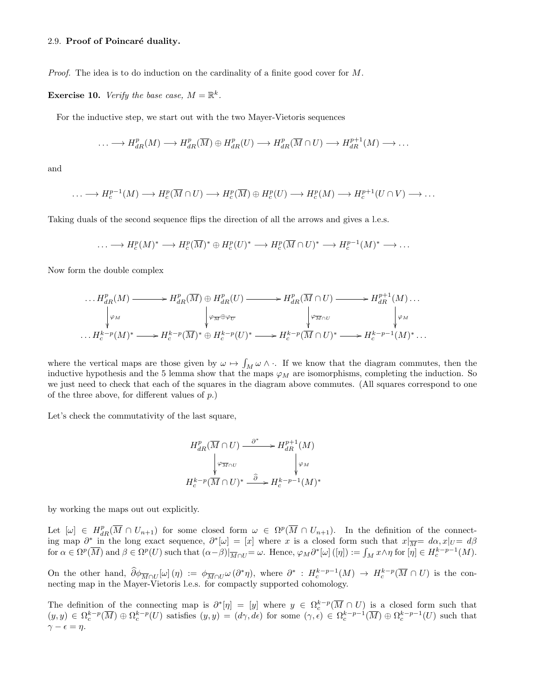#### 2.9. Proof of Poincaré duality.

*Proof.* The idea is to do induction on the cardinality of a finite good cover for  $M$ .

**Exercise 10.** Verify the base case,  $M = \mathbb{R}^k$ .

For the inductive step, we start out with the two Mayer-Vietoris sequences

$$
\ldots \longrightarrow H_{dR}^p(M) \longrightarrow H_{dR}^p(\overline{M}) \oplus H_{dR}^p(U) \longrightarrow H_{dR}^p(\overline{M} \cap U) \longrightarrow H_{dR}^{p+1}(M) \longrightarrow \ldots
$$

and

$$
\ldots \longrightarrow H_c^{p-1}(M) \longrightarrow H_c^p(\overline{M} \cap U) \longrightarrow H_c^p(\overline{M}) \oplus H_c^p(U) \longrightarrow H_c^p(M) \longrightarrow H_c^{p+1}(U \cap V) \longrightarrow \ldots
$$

Taking duals of the second sequence flips the direction of all the arrows and gives a l.e.s.

$$
\ldots \longrightarrow H_c^p(M)^* \longrightarrow H_c^p(\overline{M})^* \oplus H_c^p(U)^* \longrightarrow H_c^p(\overline{M} \cap U)^* \longrightarrow H_c^{p-1}(M)^* \longrightarrow \ldots
$$

Now form the double complex

$$
\cdots H_{dR}^{p}(M) \longrightarrow H_{dR}^{p}(\overline{M}) \oplus H_{dR}^{p}(U) \longrightarrow H_{dR}^{p}(\overline{M} \cap U) \longrightarrow H_{dR}^{p+1}(M) \cdots
$$
  
\n
$$
\downarrow \varphi_{M}
$$
  
\n
$$
\cdots H_{c}^{k-p}(M)^* \longrightarrow H_{c}^{k-p}(\overline{M})^* \oplus H_{c}^{k-p}(U)^* \longrightarrow H_{c}^{k-p}(\overline{M} \cap U)^* \longrightarrow H_{c}^{k-p-1}(M)^* \cdots
$$

where the vertical maps are those given by  $\omega \mapsto \int_M \omega \wedge \cdot$ . If we know that the diagram commutes, then the inductive hypothesis and the 5 lemma show that the maps  $\varphi_M$  are isomorphisms, completing the induction. So we just need to check that each of the squares in the diagram above commutes. (All squares correspond to one of the three above, for different values of  $p$ .)

Let's check the commutativity of the last square,

$$
H_{dR}^{p}(\overline{M} \cap U) \xrightarrow{\partial^{*}} H_{dR}^{p+1}(M)
$$

$$
\downarrow \varphi_{\overline{M} \cap U} \qquad \qquad \downarrow \varphi_{M}
$$

$$
H_{c}^{k-p}(\overline{M} \cap U)^{*} \xrightarrow{\widehat{\partial}} H_{c}^{k-p-1}(M)^{*}
$$

by working the maps out out explicitly.

Let  $[\omega] \in H_{dR}^p(\overline{M} \cap U_{n+1})$  for some closed form  $\omega \in \Omega^p(\overline{M} \cap U_{n+1})$ . In the definition of the connecting map  $\partial^*$  in the long exact sequence,  $\partial^*[\omega] = [x]$  where x is a closed form such that  $x|_{\overline{M}} = d\alpha, x|_{U} = d\beta$ for  $\alpha \in \Omega^p(\overline{M})$  and  $\beta \in \Omega^p(U)$  such that  $(\alpha - \beta)|_{\overline{M} \cap U} = \omega$ . Hence,  $\varphi_M \partial^*[\omega]([\eta]) := \int_M x \wedge \eta$  for  $[\eta] \in H_c^{k-p-1}(M)$ .

On the other hand,  $\partial \phi_{\overline{M} \cap U}[\omega](\eta) := \phi_{\overline{M} \cap U} \omega(\partial^* \eta)$ , where  $\partial^* : H_c^{k-p-1}(M) \to H_c^{k-p}(\overline{M} \cap U)$  is the connecting map in the Mayer-Vietoris l.e.s. for compactly supported cohomology.

The definition of the connecting map is  $\partial^*[\eta] = [y]$  where  $y \in \Omega_c^{k-p}(\overline{M} \cap U)$  is a closed form such that  $(y, y) \in \Omega_c^{k-p}(\overline{M}) \oplus \Omega_c^{k-p}(U)$  satisfies  $(y, y) = (d\gamma, d\epsilon)$  for some  $(\gamma, \epsilon) \in \Omega_c^{k-p-1}(\overline{M}) \oplus \Omega_c^{k-p-1}(U)$  such that  $\gamma - \epsilon = \eta$ .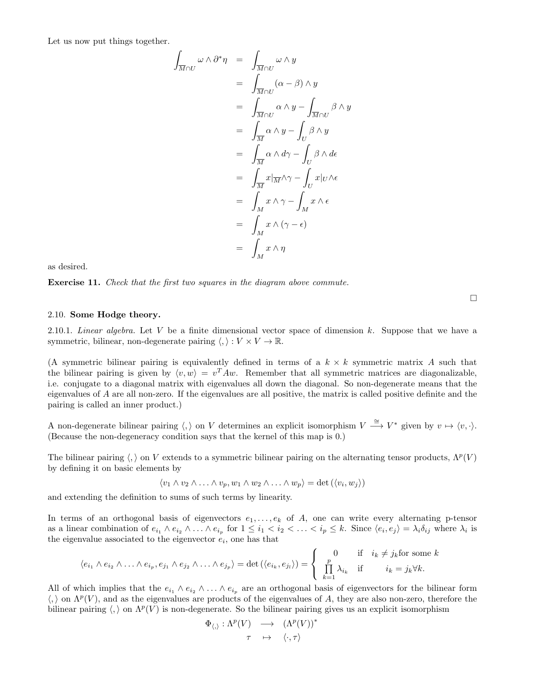Let us now put things together.

$$
\int_{\overline{M}\cap U} \omega \wedge \partial^* \eta = \int_{\overline{M}\cap U} \omega \wedge y
$$
\n
$$
= \int_{\overline{M}\cap U} (\alpha - \beta) \wedge y
$$
\n
$$
= \int_{\overline{M}\cap U} \alpha \wedge y - \int_{\overline{M}\cap U} \beta \wedge y
$$
\n
$$
= \int_{\overline{M}} \alpha \wedge y - \int_U \beta \wedge y
$$
\n
$$
= \int_{\overline{M}} \alpha \wedge d\gamma - \int_U \beta \wedge d\epsilon
$$
\n
$$
= \int_{\overline{M}} x |\overline{M} \wedge \gamma - \int_U x |_U \wedge \epsilon
$$
\n
$$
= \int_M x \wedge \gamma - \int_M x \wedge \epsilon
$$
\n
$$
= \int_M x \wedge (\gamma - \epsilon)
$$
\n
$$
= \int_M x \wedge \eta
$$

as desired.

Exercise 11. Check that the first two squares in the diagram above commute.

#### 2.10. Some Hodge theory.

2.10.1. Linear algebra. Let V be a finite dimensional vector space of dimension k. Suppose that we have a symmetric, bilinear, non-degenerate pairing  $\langle , \rangle : V \times V \to \mathbb{R}$ .

(A symmetric bilinear pairing is equivalently defined in terms of a  $k \times k$  symmetric matrix A such that the bilinear pairing is given by  $\langle v, w \rangle = v^T A w$ . Remember that all symmetric matrices are diagonalizable, i.e. conjugate to a diagonal matrix with eigenvalues all down the diagonal. So non-degenerate means that the eigenvalues of A are all non-zero. If the eigenvalues are all positive, the matrix is called positive definite and the pairing is called an inner product.)

A non-degenerate bilinear pairing  $\langle, \rangle$  on V determines an explicit isomorphism  $V \stackrel{\cong}{\longrightarrow} V^*$  given by  $v \mapsto \langle v, \cdot \rangle$ . (Because the non-degeneracy condition says that the kernel of this map is 0.)

The bilinear pairing  $\langle , \rangle$  on V extends to a symmetric bilinear pairing on the alternating tensor products,  $\Lambda^p(V)$ by defining it on basic elements by

$$
\langle v_1 \wedge v_2 \wedge \ldots \wedge v_p, w_1 \wedge w_2 \wedge \ldots \wedge w_p \rangle = \det (\langle v_i, w_j \rangle)
$$

and extending the definition to sums of such terms by linearity.

In terms of an orthogonal basis of eigenvectors  $e_1, \ldots, e_k$  of A, one can write every alternating p-tensor as a linear combination of  $e_{i_1} \wedge e_{i_2} \wedge \ldots \wedge e_{i_p}$  for  $1 \leq i_1 < i_2 < \ldots < i_p \leq k$ . Since  $\langle e_i, e_j \rangle = \lambda_i \delta_{ij}$  where  $\lambda_i$  is the eigenvalue associated to the eigenvector  $e_i$ , one has that

$$
\langle e_{i_1} \wedge e_{i_2} \wedge \ldots \wedge e_{i_p}, e_{j_1} \wedge e_{j_2} \wedge \ldots \wedge e_{j_p} \rangle = \det \left( \langle e_{i_k}, e_{j_l} \rangle \right) = \begin{cases} 0 & \text{if } i_k \neq j_k \text{ for some } k \\ \prod_{k=1}^p \lambda_{i_k} & \text{if } i_k = j_k \forall k. \end{cases}
$$

All of which implies that the  $e_{i_1} \wedge e_{i_2} \wedge \ldots \wedge e_{i_p}$  are an orthogonal basis of eigenvectors for the bilinear form  $\langle , \rangle$  on  $\Lambda^p(V)$ , and as the eigenvalues are products of the eigenvalues of A, they are also non-zero, therefore the bilinear pairing  $\langle , \rangle$  on  $\Lambda^p(V)$  is non-degenerate. So the bilinear pairing gives us an explicit isomorphism

$$
\begin{array}{ccc}\n\Phi_{\langle,\rangle}:\Lambda^p(V) & \longrightarrow & (\Lambda^p(V))^* \\
\tau & \mapsto & \langle \cdot, \tau \rangle\n\end{array}
$$

 $\Box$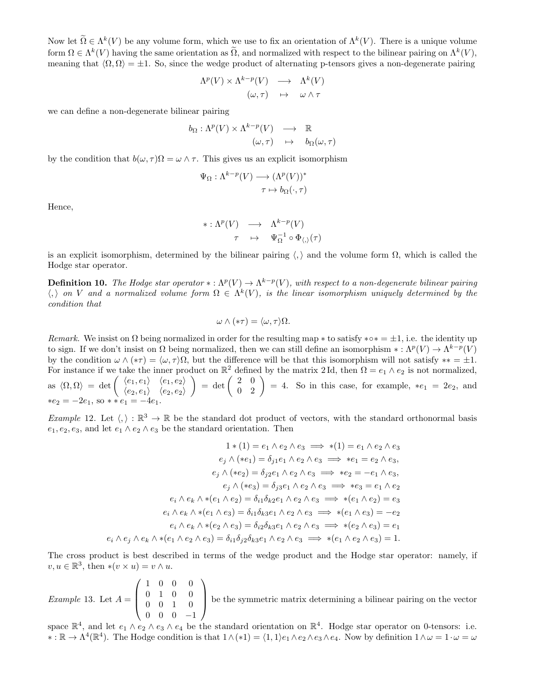Now let  $\tilde{\Omega} \in \Lambda^k(V)$  be any volume form, which we use to fix an orientation of  $\Lambda^k(V)$ . There is a unique volume form  $\Omega \in \Lambda^k(V)$  having the same orientation as  $\tilde{\Omega}$ , and normalized with respect to the bilinear pairing on  $\Lambda^k(V)$ , meaning that  $\langle \Omega, \Omega \rangle = \pm 1$ . So, since the wedge product of alternating p-tensors gives a non-degenerate pairing

$$
\Lambda^{p}(V) \times \Lambda^{k-p}(V) \longrightarrow \Lambda^{k}(V) \n(\omega, \tau) \longrightarrow \omega \wedge \tau
$$

we can define a non-degenerate bilinear pairing

$$
b_{\Omega} : \Lambda^{p}(V) \times \Lambda^{k-p}(V) \longrightarrow \mathbb{R}
$$
  

$$
(\omega, \tau) \mapsto b_{\Omega}(\omega, \tau)
$$

by the condition that  $b(\omega, \tau) \Omega = \omega \wedge \tau$ . This gives us an explicit isomorphism

$$
\Psi_{\Omega} : \Lambda^{k-p}(V) \longrightarrow (\Lambda^p(V))^*
$$

$$
\tau \mapsto b_{\Omega}(\cdot, \tau)
$$

Hence,

$$
\begin{array}{rcl}\n\ast: \Lambda^{p}(V) & \longrightarrow & \Lambda^{k-p}(V) \\
\tau & \mapsto & \Psi_{\Omega}^{-1} \circ \Phi_{\langle, \rangle}(\tau)\n\end{array}
$$

is an explicit isomorphism, determined by the bilinear pairing  $\langle, \rangle$  and the volume form  $\Omega$ , which is called the Hodge star operator.

**Definition 10.** The Hodge star operator \*:  $\Lambda^p(V) \to \Lambda^{k-p}(V)$ , with respect to a non-degenerate bilinear pairing  $\langle , \rangle$  on V and a normalized volume form  $\Omega \in \Lambda^k(V)$ , is the linear isomorphism uniquely determined by the condition that

$$
\omega \wedge (*\tau) = \langle \omega, \tau \rangle \Omega.
$$

Remark. We insist on  $\Omega$  being normalized in order for the resulting map \* to satisfy \* $\circ* = \pm 1$ , i.e. the identity up to sign. If we don't insist on  $\Omega$  being normalized, then we can still define an isomorphism  $\ast : \Lambda^p(V) \to \Lambda^{k-p}(V)$ by the condition  $\omega \wedge (*\tau) = \langle \omega, \tau \rangle \Omega$ , but the difference will be that this isomorphism will not satisfy \*\* = ±1. For instance if we take the inner product on  $\mathbb{R}^2$  defined by the matrix 2Id, then  $\Omega = e_1 \wedge e_2$  is not normalized. <sup>2</sup> defined by the matrix 2 Id, then  $\Omega = e_1 \wedge e_2$  is not normalized, as  $\langle \Omega, \Omega \rangle = \det \begin{pmatrix} \langle e_1, e_1 \rangle & \langle e_1, e_2 \rangle \\ \langle e_1, e_2 \rangle & \langle e_1, e_2 \rangle \end{pmatrix}$  $\langle e_2, e_1 \rangle \quad \langle e_2, e_2 \rangle$  $\Big) = \det \left( \begin{array}{cc} 2 & 0 \\ 0 & 2 \end{array} \right) = 4$ . So in this case, for example,  $*e_1 = 2e_2$ , and  $*e_2 = -2e_1$ , so  $*e_1 = -4e_1$ .

Example 12. Let  $\langle, \rangle : \mathbb{R}^3 \to \mathbb{R}$  be the standard dot product of vectors, with the standard orthonormal basis  $e_1, e_2, e_3$ , and let  $e_1 \wedge e_2 \wedge e_3$  be the standard orientation. Then

$$
1 * (1) = e_1 \wedge e_2 \wedge e_3 \implies * (1) = e_1 \wedge e_2 \wedge e_3
$$
  
\n
$$
e_j \wedge (*e_1) = \delta_{j1}e_1 \wedge e_2 \wedge e_3 \implies *e_1 = e_2 \wedge e_3,
$$
  
\n
$$
e_j \wedge (*e_2) = \delta_{j2}e_1 \wedge e_2 \wedge e_3 \implies *e_2 = -e_1 \wedge e_3,
$$
  
\n
$$
e_j \wedge (*e_3) = \delta_{j3}e_1 \wedge e_2 \wedge e_3 \implies *e_3 = e_1 \wedge e_2
$$
  
\n
$$
e_i \wedge e_k \wedge * (e_1 \wedge e_2) = \delta_{i1} \delta_{k2}e_1 \wedge e_2 \wedge e_3 \implies * (e_1 \wedge e_2) = e_3
$$
  
\n
$$
e_i \wedge e_k \wedge * (e_1 \wedge e_3) = \delta_{i1} \delta_{k3}e_1 \wedge e_2 \wedge e_3 \implies * (e_1 \wedge e_3) = -e_2
$$
  
\n
$$
e_i \wedge e_k \wedge * (e_2 \wedge e_3) = \delta_{i2} \delta_{k3}e_1 \wedge e_2 \wedge e_3 \implies * (e_2 \wedge e_3) = e_1
$$
  
\n
$$
e_i \wedge e_j \wedge e_k \wedge * (e_1 \wedge e_2 \wedge e_3) = \delta_{i1} \delta_{j2} \delta_{k3}e_1 \wedge e_2 \wedge e_3 \implies * (e_1 \wedge e_2 \wedge e_3) = 1.
$$

The cross product is best described in terms of the wedge product and the Hodge star operator: namely, if  $v, u \in \mathbb{R}^3$ , then  $*(v \times u) = v \wedge u$ .

*Example* 13. Let  $A =$  $\sqrt{ }$  $\overline{\phantom{a}}$ 1 0 0 0 0 1 0 0 0 0 1 0 0 0 0 −1  $\setminus$ be the symmetric matrix determining a bilinear pairing on the vector

space  $\mathbb{R}^4$ , and let  $e_1 \wedge e_2 \wedge e_3 \wedge e_4$  be the standard orientation on  $\mathbb{R}^4$ . Hodge star operator on 0-tensors: i.e.  $\star : \mathbb{R} \to \Lambda^4(\mathbb{R}^4)$ . The Hodge condition is that  $1 \wedge (\ast 1) = \langle 1, 1 \rangle e_1 \wedge e_2 \wedge e_3 \wedge e_4$ . Now by definition  $1 \wedge \omega = 1 \cdot \omega = \omega$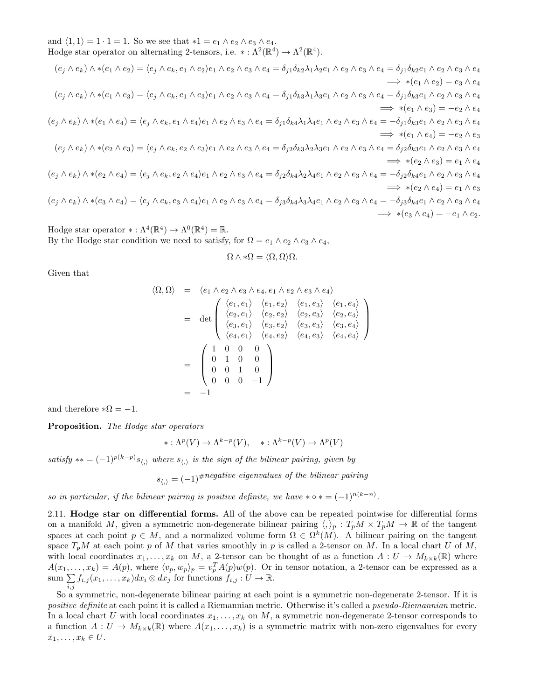and  $\langle 1, 1 \rangle = 1 \cdot 1 = 1$ . So we see that  $*1 = e_1 \wedge e_2 \wedge e_3 \wedge e_4$ . Hodge star operator on alternating 2-tensors, i.e.  $* : \Lambda^2(\mathbb{R}^4) \to \Lambda^2(\mathbb{R}^4)$ .

$$
(e_j \wedge e_k) \wedge *(e_1 \wedge e_2) = \langle e_j \wedge e_k, e_1 \wedge e_2 \rangle e_1 \wedge e_2 \wedge e_3 \wedge e_4 = \delta_{j1} \delta_{k2} \lambda_1 \lambda_2 e_1 \wedge e_2 \wedge e_3 \wedge e_4 = \delta_{j1} \delta_{k2} e_1 \wedge e_2 \wedge e_3 \wedge e_4
$$
\n
$$
= \langle e_j \wedge e_k \rangle \wedge *(e_1 \wedge e_3) = \langle e_j \wedge e_k, e_1 \wedge e_3 \rangle e_1 \wedge e_2 \wedge e_3 \wedge e_4 = \delta_{j1} \delta_{k3} \lambda_1 \lambda_3 e_1 \wedge e_2 \wedge e_3 \wedge e_4 = \delta_{j1} \delta_{k3} e_1 \wedge e_2 \wedge e_3 \wedge e_4
$$
\n
$$
= \langle e_j \wedge e_k \rangle \wedge *(e_1 \wedge e_4) = \langle e_j \wedge e_k, e_1 \wedge e_4 \rangle e_1 \wedge e_2 \wedge e_3 \wedge e_4 = \delta_{j1} \delta_{k4} \lambda_1 \lambda_4 e_1 \wedge e_2 \wedge e_3 \wedge e_4 = -\delta_{j1} \delta_{k3} e_1 \wedge e_2 \wedge e_3 \wedge e_4
$$
\n
$$
= \langle e_i \wedge e_k \rangle \wedge *(e_1 \wedge e_4) = \langle e_j \wedge e_k, e_2 \wedge e_3 \rangle e_1 \wedge e_2 \wedge e_3 \wedge e_4 = \delta_{j2} \delta_{k3} \lambda_2 \lambda_3 e_1 \wedge e_2 \wedge e_3 \wedge e_4 = \delta_{j2} \delta_{k3} e_1 \wedge e_2 \wedge e_3 \wedge e_4
$$
\n
$$
= \langle e_j \wedge e_k \rangle \wedge *(e_2 \wedge e_3) = \langle e_j \wedge e_k, e_2 \wedge e_3 \rangle e_1 \wedge e_2 \wedge e_3 \wedge e_4 = \delta_{j2} \delta_{k3} \lambda_2 \lambda_3 e_1 \wedge e_2 \wedge e_3 \wedge e_4 = \delta_{j2} \delta_{k3} e_1 \wedge e_2 \wedge e_3 \wedge
$$

Hodge star operator  $* : \Lambda^4(\mathbb{R}^4) \to \Lambda^0(\mathbb{R}^4) = \mathbb{R}$ . By the Hodge star condition we need to satisfy, for  $\Omega = e_1 \wedge e_2 \wedge e_3 \wedge e_4$ ,

$$
\Omega\wedge*\Omega=\langle\Omega,\Omega\rangle\Omega.
$$

Given that

$$
\langle \Omega, \Omega \rangle = \langle e_1 \wedge e_2 \wedge e_3 \wedge e_4, e_1 \wedge e_2 \wedge e_3 \wedge e_4 \rangle
$$
  
\n
$$
= det \begin{pmatrix} \langle e_1, e_1 \rangle & \langle e_1, e_2 \rangle & \langle e_1, e_3 \rangle & \langle e_1, e_4 \rangle \\ \langle e_2, e_1 \rangle & \langle e_2, e_2 \rangle & \langle e_2, e_3 \rangle & \langle e_2, e_4 \rangle \\ \langle e_3, e_1 \rangle & \langle e_3, e_2 \rangle & \langle e_3, e_3 \rangle & \langle e_3, e_4 \rangle \\ \langle e_4, e_1 \rangle & \langle e_4, e_2 \rangle & \langle e_4, e_3 \rangle & \langle e_4, e_4 \rangle \end{pmatrix}
$$
  
\n
$$
= \begin{pmatrix} 1 & 0 & 0 & 0 \\ 0 & 1 & 0 & 0 \\ 0 & 0 & 1 & 0 \\ 0 & 0 & 0 & -1 \end{pmatrix}
$$
  
\n
$$
= -1
$$

and therefore  $*\Omega = -1$ .

Proposition. The Hodge star operators

$$
*:\Lambda^p(V) \to \Lambda^{k-p}(V), \quad *:\Lambda^{k-p}(V) \to \Lambda^p(V)
$$

satisfy \*\* =  $(-1)^{p(k-p)}s_{\langle\rangle}$  where  $s_{\langle\rangle}$  is the sign of the bilinear pairing, given by

 $s_{\langle\langle\rangle} = (-1)^{\text{#negative eigenvalues of the bilinear pairing}}$ 

so in particular, if the bilinear pairing is positive definite, we have  $\ast \circ \ast = (-1)^{n(k-n)}$ .

2.11. Hodge star on differential forms. All of the above can be repeated pointwise for differential forms on a manifold M, given a symmetric non-degenerate bilinear pairing  $\langle,\rangle_p : T_pM \times T_pM \to \mathbb{R}$  of the tangent spaces at each point  $p \in M$ , and a normalized volume form  $\Omega \in \Omega^k(M)$ . A bilinear pairing on the tangent space  $T_pM$  at each point p of M that varies smoothly in p is called a 2-tensor on M. In a local chart U of M, with local coordinates  $x_1, \ldots, x_k$  on M, a 2-tensor can be thought of as a function  $A: U \to M_{k \times k}(\mathbb{R})$  where  $A(x_1,...,x_k) = A(p)$ , where  $\langle v_p, w_p \rangle_p = v_p^T A(p) w(p)$ . Or in tensor notation, a 2-tensor can be expressed as a sum  $\sum$  $\sum_{i,j} f_{i,j}(x_1,\ldots,x_k) dx_i \otimes dx_j$  for functions  $f_{i,j} : U \to \mathbb{R}$ .

So a symmetric, non-degenerate bilinear pairing at each point is a symmetric non-degenerate 2-tensor. If it is positive definite at each point it is called a Riemannian metric. Otherwise it's called a pseudo-Riemannian metric. In a local chart U with local coordinates  $x_1, \ldots, x_k$  on M, a symmetric non-degenerate 2-tensor corresponds to a function  $A: U \to M_{k\times k}(\mathbb{R})$  where  $A(x_1,...,x_k)$  is a symmetric matrix with non-zero eigenvalues for every  $x_1, \ldots, x_k \in U$ .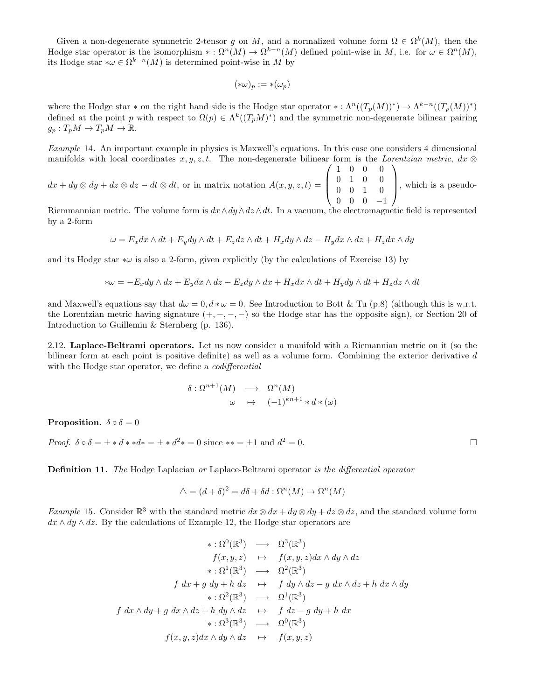Given a non-degenerate symmetric 2-tensor g on M, and a normalized volume form  $\Omega \in \Omega^k(M)$ , then the Hodge star operator is the isomorphism  $*: \Omega^n(M) \to \Omega^{k-n}(M)$  defined point-wise in M, i.e. for  $\omega \in \Omega^n(M)$ , its Hodge star  $*\omega \in \Omega^{k-n}(M)$  is determined point-wise in M by

$$
(*\omega)_p:=*(\omega_p)
$$

where the Hodge star \* on the right hand side is the Hodge star operator \*:  $\Lambda^n((T_p(M))^*) \to \Lambda^{k-n}((T_p(M))^*)$ defined at the point p with respect to  $\Omega(p) \in \Lambda^k((T_pM)^*)$  and the symmetric non-degenerate bilinear pairing  $g_p: T_pM \to T_pM \to \mathbb{R}.$ 

Example 14. An important example in physics is Maxwell's equations. In this case one considers 4 dimensional manifolds with local coordinates  $x, y, z, t$ . The non-degenerate bilinear form is the Lorentzian metric, dx  $\otimes$  $\sqrt{ }$  $\setminus$ 

 $dx + dy \otimes dy + dz \otimes dz - dt \otimes dt$ , or in matrix notation  $A(x, y, z, t) =$  $\overline{\phantom{a}}$ 1 0 0 0 0 1 0 0 0 0 1 0 0 0 0 −1 , which is a pseudo-

Riemmannian metric. The volume form is  $dx \wedge dy \wedge dz \wedge dt$ . In a vacuum, the electromagnetic field is represented by a 2-form

$$
\omega = E_x dx \wedge dt + E_y dy \wedge dt + E_z dz \wedge dt + H_x dy \wedge dz - H_y dx \wedge dz + H_z dx \wedge dy
$$

and its Hodge star  $*\omega$  is also a 2-form, given explicitly (by the calculations of Exercise 13) by

$$
*\omega = -E_x dy \wedge dz + E_y dx \wedge dz - E_z dy \wedge dx + H_x dx \wedge dt + H_y dy \wedge dt + H_z dz \wedge dt
$$

and Maxwell's equations say that  $d\omega = 0$ ,  $d * \omega = 0$ . See Introduction to Bott & Tu (p.8) (although this is w.r.t. the Lorentzian metric having signature  $(+, -, -, -)$  so the Hodge star has the opposite sign), or Section 20 of Introduction to Guillemin & Sternberg (p. 136).

2.12. Laplace-Beltrami operators. Let us now consider a manifold with a Riemannian metric on it (so the bilinear form at each point is positive definite) as well as a volume form. Combining the exterior derivative d with the Hodge star operator, we define a *codifferential* 

$$
\delta: \Omega^{n+1}(M) \longrightarrow \Omega^n(M)
$$
  

$$
\omega \mapsto (-1)^{kn+1} * d * (\omega)
$$

**Proposition.**  $\delta \circ \delta = 0$ 

Proof.  $\delta \circ \delta = \pm * d * * d * = \pm * d^2 * = 0$  since  $** = \pm 1$  and  $d^2 = 0$ .

**Definition 11.** The Hodge Laplacian or Laplace-Beltrami operator is the differential operator

$$
\Delta = (d + \delta)^2 = d\delta + \delta d : \Omega^n(M) \to \Omega^n(M)
$$

Example 15. Consider  $\mathbb{R}^3$  with the standard metric  $dx \otimes dx + dy \otimes dy + dz \otimes dz$ , and the standard volume form  $dx \wedge dy \wedge dz$ . By the calculations of Example 12, the Hodge star operators are

$$
\begin{array}{rcl}\n\ast: \Omega^0(\mathbb{R}^3) & \longrightarrow & \Omega^3(\mathbb{R}^3) \\
f(x, y, z) & \mapsto & f(x, y, z) dx \wedge dy \wedge dz \\
\ast: \Omega^1(\mathbb{R}^3) & \longrightarrow & \Omega^2(\mathbb{R}^3) \\
f \, dx + g \, dy + h \, dz & \mapsto & f \, dy \wedge dz - g \, dx \wedge dz + h \, dx \wedge dy \\
\ast: \Omega^2(\mathbb{R}^3) & \longrightarrow & \Omega^1(\mathbb{R}^3) \\
f \, dx \wedge dy + g \, dx \wedge dz + h \, dy \wedge dz & \mapsto & f \, dz - g \, dy + h \, dx \\
\ast: \Omega^3(\mathbb{R}^3) & \longrightarrow & \Omega^0(\mathbb{R}^3) \\
f(x, y, z) dx \wedge dy \wedge dz & \mapsto & f(x, y, z)\n\end{array}
$$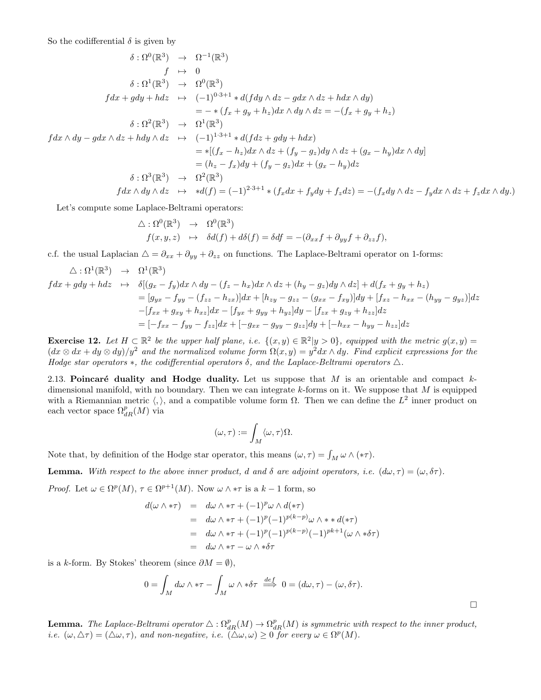So the codifferential  $\delta$  is given by

$$
\delta : \Omega^{0}(\mathbb{R}^{3}) \rightarrow \Omega^{-1}(\mathbb{R}^{3})
$$
\n
$$
f \mapsto 0
$$
\n
$$
\delta : \Omega^{1}(\mathbb{R}^{3}) \rightarrow \Omega^{0}(\mathbb{R}^{3})
$$
\n
$$
fdx + gdy + hdz \mapsto (-1)^{0 \cdot 3+1} * d(fdy \wedge dz - gdx \wedge dz + hdx \wedge dy)
$$
\n
$$
= - * (f_x + g_y + h_z)dx \wedge dy \wedge dz = -(f_x + g_y + h_z)
$$
\n
$$
\delta : \Omega^{2}(\mathbb{R}^{3}) \rightarrow \Omega^{1}(\mathbb{R}^{3})
$$
\n
$$
fdx \wedge dy - gdx \wedge dz + hdy \wedge dz \mapsto (-1)^{1 \cdot 3+1} * d(fdz + gdy + hdx)
$$
\n
$$
= *[(f_x - h_z)dx \wedge dz + (f_y - g_z)dy \wedge dz + (g_x - h_y)dx \wedge dy]
$$
\n
$$
= (h_z - f_x)dy + (f_y - g_z)dx + (g_x - h_y)dz
$$
\n
$$
\delta : \Omega^{3}(\mathbb{R}^{3}) \rightarrow \Omega^{2}(\mathbb{R}^{3})
$$
\n
$$
fdx \wedge dy \wedge dz \mapsto *d(f) = (-1)^{2 \cdot 3+1} * (f_x dx + f_y dy + f_z dz) = -(f_x dy \wedge dz - f_y dx \wedge dz + f_z dx \wedge dy)
$$

Let's compute some Laplace-Beltrami operators:

$$
\Delta : \Omega^{0}(\mathbb{R}^{3}) \rightarrow \Omega^{0}(\mathbb{R}^{3})
$$
  

$$
f(x, y, z) \rightarrow \delta d(f) + d\delta(f) = \delta df = -(\partial_{xx} f + \partial_{yy} f + \partial_{zz} f),
$$

c.f. the usual Laplacian  $\Delta = \partial_{xx} + \partial_{yy} + \partial_{zz}$  on functions. The Laplace-Beltrami operator on 1-forms:

$$
\Delta : \Omega^1(\mathbb{R}^3) \rightarrow \Omega^1(\mathbb{R}^3)
$$
  
\n
$$
fdx + gdy + hdz \rightarrow \delta[(g_x - f_y)dx \wedge dy - (f_z - h_x)dx \wedge dz + (h_y - g_z)dy \wedge dz] + d(f_x + g_y + h_z)
$$
  
\n
$$
= [g_{yx} - f_{yy} - (f_{zz} - h_{zx})]dx + [h_{zy} - g_{zz} - (g_{xx} - f_{xy})]dy + [f_{xz} - h_{xx} - (h_{yy} - g_{yz})]dz
$$
  
\n
$$
-[f_{xx} + g_{xy} + h_{xz}]dx - [f_{yx} + g_{yy} + h_{yz}]dy - [f_{zx} + g_{zy} + h_{zz}]dz
$$
  
\n
$$
= [-f_{xx} - f_{yy} - f_{zz}]dx + [-g_{xx} - g_{yy} - g_{zz}]dy + [-h_{xx} - h_{yy} - h_{zz}]dz
$$

**Exercise 12.** Let  $H \subset \mathbb{R}^2$  be the upper half plane, i.e.  $\{(x, y) \in \mathbb{R}^2 | y > 0\}$ , equipped with the metric  $g(x, y) =$  $(dx \otimes dx + dy \otimes dy)/y^2$  and the normalized volume form  $\Omega(x, y) = y^2 dx \wedge dy$ . Find explicit expressions for the Hodge star operators  $\ast$ , the codifferential operators  $\delta$ , and the Laplace-Beltrami operators  $\Delta$ .

2.13. Poincaré duality and Hodge duality. Let us suppose that  $M$  is an orientable and compact  $k$ dimensional manifold, with no boundary. Then we can integrate  $k$ -forms on it. We suppose that  $M$  is equipped with a Riemannian metric  $\langle , \rangle$ , and a compatible volume form  $\Omega$ . Then we can define the  $L^2$  inner product on each vector space  $\Omega^p_{dR}(M)$  via

$$
(\omega,\tau):=\int_M\langle\omega,\tau\rangle\Omega.
$$

Note that, by definition of the Hodge star operator, this means  $(\omega, \tau) = \int_M \omega \wedge (\ast \tau)$ .

**Lemma.** With respect to the above inner product, d and  $\delta$  are adjoint operators, i.e.  $(d\omega, \tau) = (\omega, \delta\tau)$ .

*Proof.* Let  $\omega \in \Omega^p(M)$ ,  $\tau \in \Omega^{p+1}(M)$ . Now  $\omega \wedge * \tau$  is a  $k-1$  form, so

$$
d(\omega \wedge * \tau) = d\omega \wedge * \tau + (-1)^p \omega \wedge d(*\tau)
$$
  
=  $d\omega \wedge * \tau + (-1)^p (-1)^{p(k-p)} \omega \wedge * d(*\tau)$   
=  $d\omega \wedge * \tau + (-1)^p (-1)^{p(k-p)} (-1)^{pk+1} (\omega \wedge * \delta \tau)$   
=  $d\omega \wedge * \tau - \omega \wedge * \delta \tau$ 

is a k-form. By Stokes' theorem (since  $\partial M = \emptyset$ ),

$$
0 = \int_M d\omega \wedge * \tau - \int_M \omega \wedge * \delta \tau \stackrel{def}{\implies} 0 = (d\omega, \tau) - (\omega, \delta \tau).
$$

**Lemma.** The Laplace-Beltrami operator  $\Delta : \Omega_{dR}^p(M) \to \Omega_{dR}^p(M)$  is symmetric with respect to the inner product, *i.e.*  $(\omega, \Delta \tau) = (\Delta \omega, \tau)$ , and non-negative, i.e.  $(\Delta \omega, \omega) \ge 0$  for every  $\omega \in \Omega^p(M)$ .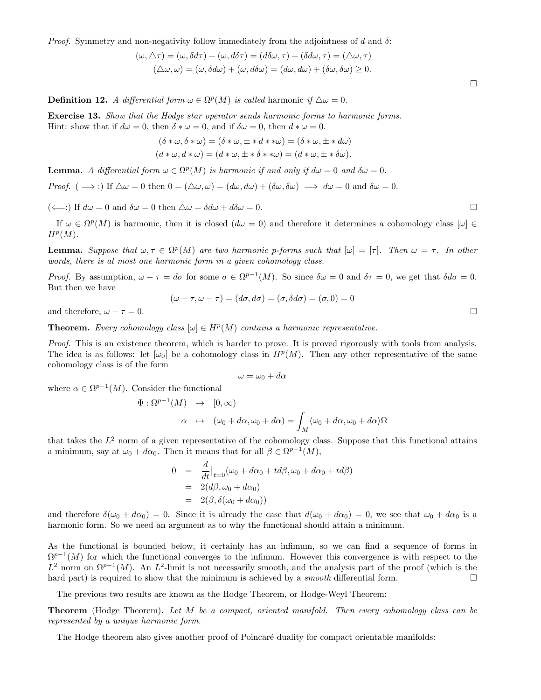*Proof.* Symmetry and non-negativity follow immediately from the adjointness of d and  $\delta$ :

$$
(\omega, \triangle \tau) = (\omega, \delta d\tau) + (\omega, d\delta \tau) = (d\delta \omega, \tau) + (\delta d\omega, \tau) = (\triangle \omega, \tau)
$$

$$
(\triangle \omega, \omega) = (\omega, \delta d\omega) + (\omega, d\delta \omega) = (d\omega, d\omega) + (\delta \omega, \delta \omega) \ge 0.
$$

**Definition 12.** A differential form  $\omega \in \Omega^p(M)$  is called harmonic if  $\Delta \omega = 0$ .

Exercise 13. Show that the Hodge star operator sends harmonic forms to harmonic forms. Hint: show that if  $d\omega = 0$ , then  $\delta * \omega = 0$ , and if  $\delta \omega = 0$ , then  $d * \omega = 0$ .

$$
(\delta * \omega, \delta * \omega) = (\delta * \omega, \pm * d * * \omega) = (\delta * \omega, \pm * d\omega)
$$
  

$$
(d * \omega, d * \omega) = (d * \omega, \pm * \delta * * \omega) = (d * \omega, \pm * \delta \omega).
$$

**Lemma.** A differential form  $\omega \in \Omega^p(M)$  is harmonic if and only if  $d\omega = 0$  and  $\delta\omega = 0$ .

*Proof.* (  $\implies$  :) If  $\Delta \omega = 0$  then  $0 = (\Delta \omega, \omega) = (d\omega, d\omega) + (\delta \omega, \delta \omega) \implies d\omega = 0$  and  $\delta \omega = 0$ .

 $(\Leftarrow):$  If  $d\omega = 0$  and  $\delta\omega = 0$  then  $\Delta\omega = \delta d\omega + d\delta\omega = 0$ .

If  $\omega \in \Omega^p(M)$  is harmonic, then it is closed  $(d\omega = 0)$  and therefore it determines a cohomology class  $[\omega] \in$  $H^p(M)$ .

**Lemma.** Suppose that  $\omega, \tau \in \Omega^p(M)$  are two harmonic p-forms such that  $[\omega] = [\tau]$ . Then  $\omega = \tau$ . In other words, there is at most one harmonic form in a given cohomology class.

Proof. By assumption,  $\omega - \tau = d\sigma$  for some  $\sigma \in \Omega^{p-1}(M)$ . So since  $\delta \omega = 0$  and  $\delta \tau = 0$ , we get that  $\delta d\sigma = 0$ . But then we have

$$
(\omega - \tau, \omega - \tau) = (d\sigma, d\sigma) = (\sigma, \delta d\sigma) = (\sigma, 0) = 0
$$

and therefore,  $\omega - \tau = 0$ .

**Theorem.** Every cohomology class  $[\omega] \in H^p(M)$  contains a harmonic representative.

Proof. This is an existence theorem, which is harder to prove. It is proved rigorously with tools from analysis. The idea is as follows: let  $[\omega_0]$  be a cohomology class in  $H^p(M)$ . Then any other representative of the same cohomology class is of the form

$$
\omega = \omega_0 + d\alpha
$$

where  $\alpha \in \Omega^{p-1}(M)$ . Consider the functional

$$
\Phi : \Omega^{p-1}(M) \rightarrow [0, \infty)
$$
  

$$
\alpha \mapsto (\omega_0 + d\alpha, \omega_0 + d\alpha) = \int_M \langle \omega_0 + d\alpha, \omega_0 + d\alpha \rangle \Omega
$$

that takes the  $L^2$  norm of a given representative of the cohomology class. Suppose that this functional attains a minimum, say at  $\omega_0 + d\alpha_0$ . Then it means that for all  $\beta \in \Omega^{p-1}(M)$ ,

$$
0 = \frac{d}{dt}\Big|_{t=0} (\omega_0 + d\alpha_0 + td\beta, \omega_0 + d\alpha_0 + td\beta)
$$
  
= 2(d\beta, \omega\_0 + d\alpha\_0)  
= 2(\beta, \delta(\omega\_0 + d\alpha\_0))

and therefore  $\delta(\omega_0 + d\alpha_0) = 0$ . Since it is already the case that  $d(\omega_0 + d\alpha_0) = 0$ , we see that  $\omega_0 + d\alpha_0$  is a harmonic form. So we need an argument as to why the functional should attain a minimum.

As the functional is bounded below, it certainly has an infimum, so we can find a sequence of forms in  $\Omega^{p-1}(M)$  for which the functional converges to the infimum. However this convergence is with respect to the  $L^2$  norm on  $\Omega^{p-1}(M)$ . An  $L^2$ -limit is not necessarily smooth, and the analysis part of the proof (which is the hard part) is required to show that the minimum is achieved by a *smooth* differential form.  $\Box$ 

The previous two results are known as the Hodge Theorem, or Hodge-Weyl Theorem:

**Theorem** (Hodge Theorem). Let M be a compact, oriented manifold. Then every cohomology class can be represented by a unique harmonic form.

The Hodge theorem also gives another proof of Poincaré duality for compact orientable manifolds:

 $\Box$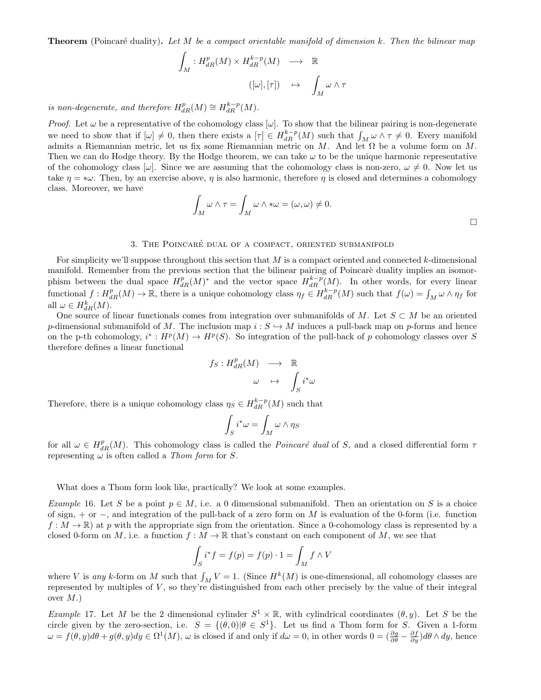**Theorem** (Poincaré duality). Let M be a compact orientable manifold of dimension k. Then the bilinear map

$$
\int_M : H^p_{dR}(M) \times H^{k-p}_{dR}(M) \longrightarrow \mathbb{R}
$$
  

$$
([\omega],[\tau]) \longrightarrow \int_M \omega \wedge \tau
$$

is non-degenerate, and therefore  $H_{dR}^p(M) \cong H_{dR}^{k-p}(M)$ .

*Proof.* Let  $\omega$  be a representative of the cohomology class  $[\omega]$ . To show that the bilinear pairing is non-degenerate we need to show that if  $[\omega] \neq 0$ , then there exists a  $[\tau] \in H_{dR}^{k-p}(M)$  such that  $\int_M \omega \wedge \tau \neq 0$ . Every manifold admits a Riemannian metric, let us fix some Riemannian metric on M. And let  $\Omega$  be a volume form on M. Then we can do Hodge theory. By the Hodge theorem, we can take  $\omega$  to be the unique harmonic representative of the cohomology class  $|\omega|$ . Since we are assuming that the cohomology class is non-zero,  $\omega \neq 0$ . Now let us take  $\eta = \nu$ . Then, by an exercise above,  $\eta$  is also harmonic, therefore  $\eta$  is closed and determines a cohomology class. Moreover, we have

$$
\int_M \omega \wedge \tau = \int_M \omega \wedge * \omega = (\omega, \omega) \neq 0.
$$

#### 3. THE POINCARÉ DUAL OF A COMPACT, ORIENTED SUBMANIFOLD

For simplicity we'll suppose throughout this section that  $M$  is a compact oriented and connected  $k$ -dimensional manifold. Remember from the previous section that the bilinear pairing of Poincaré duality implies an isomorphism between the dual space  $H_{dR}^p(M)^*$  and the vector space  $H_{dR}^{k-p}(M)$ . In other words, for every linear functional  $f: H_{dR}^p(M) \to \mathbb{R}$ , there is a unique cohomology class  $\eta_f \in H_{dR}^{k-p}(M)$  such that  $f(\omega) = \int_M \omega \wedge \eta_f$  for all  $\omega \in H_{dR}^k(M)$ .

One source of linear functionals comes from integration over submanifolds of M. Let  $S \subset M$  be an oriented p-dimensional submanifold of M. The inclusion map  $i : S \hookrightarrow M$  induces a pull-back map on p-forms and hence on the p-th cohomology,  $i^*: H^p(M) \to H^p(S)$ . So integration of the pull-back of p cohomology classes over S therefore defines a linear functional

$$
f_S: H^p_{dR}(M) \longrightarrow \mathbb{R}
$$

$$
\omega \mapsto \int_S i^* \omega
$$

Therefore, there is a unique cohomology class  $\eta_S \in H_{dR}^{k-p}(M)$  such that

$$
\int_S i^*\omega = \int_M \omega \wedge \eta_S
$$

for all  $\omega \in H_{dR}^p(M)$ . This cohomology class is called the *Poincaré dual* of S, and a closed differential form  $\tau$ representing  $\omega$  is often called a *Thom form* for *S*.

What does a Thom form look like, practically? We look at some examples.

Example 16. Let S be a point  $p \in M$ , i.e. a 0 dimensional submanifold. Then an orientation on S is a choice of sign, + or −, and integration of the pull-back of a zero form on M is evaluation of the 0-form (i.e. function  $f: M \to \mathbb{R}$  at p with the appropriate sign from the orientation. Since a 0-cohomology class is represented by a closed 0-form on M, i.e. a function  $f : M \to \mathbb{R}$  that's constant on each component of M, we see that

$$
\int_{S} i^* f = f(p) = f(p) \cdot 1 = \int_{M} f \wedge V
$$

where V is any k-form on M such that  $\int_M V = 1$ . (Since  $H^k(M)$  is one-dimensional, all cohomology classes are represented by multiples of  $V$ , so they're distinguished from each other precisely by the value of their integral over  $M$ .)

Example 17. Let M be the 2 dimensional cylinder  $S^1 \times \mathbb{R}$ , with cylindrical coordinates  $(\theta, y)$ . Let S be the circle given by the zero-section, i.e.  $S = \{(\theta,0) | \theta \in S^1\}$ . Let us find a Thom form for S. Given a 1-form  $\omega = f(\theta, y) d\theta + g(\theta, y) dy \in \Omega^1(M)$ ,  $\omega$  is closed if and only if  $d\omega = 0$ , in other words  $0 = (\frac{\partial g}{\partial \theta} - \frac{\partial f}{\partial y}) d\theta \wedge dy$ , hence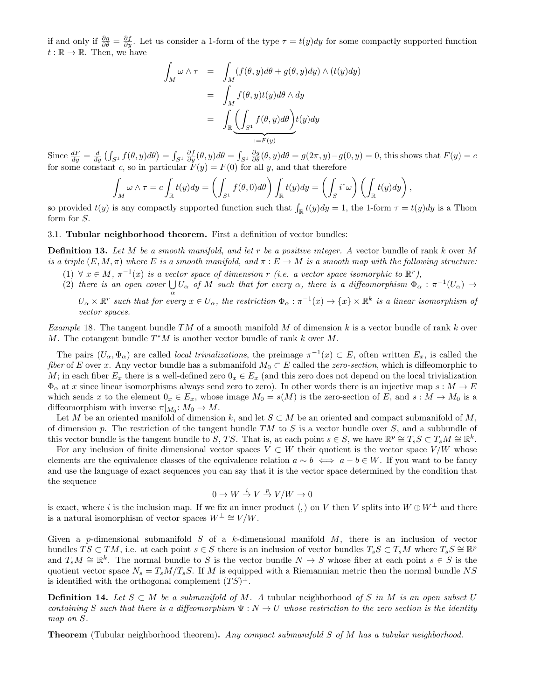if and only if  $\frac{\partial g}{\partial \theta} = \frac{\partial f}{\partial y}$ . Let us consider a 1-form of the type  $\tau = t(y)dy$  for some compactly supported function  $t:\mathbb{R}\to\mathbb{R}$ . Then, we have

$$
\int_M \omega \wedge \tau = \int_M (f(\theta, y) d\theta + g(\theta, y) dy) \wedge (t(y) dy)
$$
\n
$$
= \int_M f(\theta, y) t(y) d\theta \wedge dy
$$
\n
$$
= \int_{\mathbb{R}} \underbrace{\left(\int_{S^1} f(\theta, y) d\theta\right)}_{:=F(y)} t(y) dy
$$

Since  $\frac{dF}{dy} = \frac{d}{dy} \left( \int_{S^1} f(\theta, y) d\theta \right) = \int_{S^1} \frac{\partial f}{\partial y}(\theta, y) d\theta = \int_{S^1} \frac{\partial g}{\partial \theta}(\theta, y) d\theta = g(2\pi, y) - g(0, y) = 0$ , this shows that  $F(y) = c$ for some constant c, so in particular  $F(y) = F(0)$  for all y, and that therefore

$$
\int_M \omega \wedge \tau = c \int_{\mathbb{R}} t(y) dy = \left( \int_{S^1} f(\theta, 0) d\theta \right) \int_{\mathbb{R}} t(y) dy = \left( \int_S i^* \omega \right) \left( \int_{\mathbb{R}} t(y) dy \right),
$$

so provided  $t(y)$  is any compactly supported function such that  $\int_{\mathbb{R}} t(y) dy = 1$ , the 1-form  $\tau = t(y) dy$  is a Thom form for S.

#### 3.1. Tubular neighborhood theorem. First a definition of vector bundles:

**Definition 13.** Let M be a smooth manifold, and let r be a positive integer. A vector bundle of rank k over M is a triple  $(E, M, \pi)$  where E is a smooth manifold, and  $\pi : E \to M$  is a smooth map with the following structure:

- (1)  $\forall x \in M$ ,  $\pi^{-1}(x)$  is a vector space of dimension r (i.e. a vector space isomorphic to  $\mathbb{R}^r$ ),
- (2) there is an open cover  $\bigcup_{\alpha} U_{\alpha}$  of M such that for every  $\alpha$ , there is a diffeomorphism  $\Phi_{\alpha} : \pi^{-1}(U_{\alpha}) \to$

 $U_\alpha \times \mathbb{R}^r$  such that for every  $x \in U_\alpha$ , the restriction  $\Phi_\alpha : \pi^{-1}(x) \to \{x\} \times \mathbb{R}^k$  is a linear isomorphism of vector spaces.

Example 18. The tangent bundle TM of a smooth manifold M of dimension k is a vector bundle of rank k over M. The cotangent bundle  $T^*M$  is another vector bundle of rank k over M.

The pairs  $(U_\alpha, \Phi_\alpha)$  are called *local trivializations*, the preimage  $\pi^{-1}(x) \subset E$ , often written  $E_x$ , is called the fiber of E over x. Any vector bundle has a submanifold  $M_0 \subset E$  called the zero-section, which is diffeomorphic to M; in each fiber  $E_x$  there is a well-defined zero  $0_x \in E_x$  (and this zero does not depend on the local trivialization  $\Phi_{\alpha}$  at x since linear isomorphisms always send zero to zero). In other words there is an injective map  $s : M \to E$ which sends x to the element  $0_x \in E_x$ , whose image  $M_0 = s(M)$  is the zero-section of E, and  $s : M \to M_0$  is a diffeomorphism with inverse  $\pi|_{M_0}: M_0 \to M$ .

Let M be an oriented manifold of dimension k, and let  $S \subset M$  be an oriented and compact submanifold of M, of dimension p. The restriction of the tangent bundle  $TM$  to S is a vector bundle over S, and a subbundle of this vector bundle is the tangent bundle to S, TS. That is, at each point  $s \in S$ , we have  $\mathbb{R}^p \cong T_s S \subset T_s M \cong \mathbb{R}^k$ .

For any inclusion of finite dimensional vector spaces  $V \subset W$  their quotient is the vector space  $V/W$  whose elements are the equivalence classes of the equivalence relation  $a \sim b \iff a - b \in W$ . If you want to be fancy and use the language of exact sequences you can say that it is the vector space determined by the condition that the sequence

$$
0 \to W \stackrel{i}{\to} V \stackrel{p}{\to} V/W \to 0
$$

is exact, where i is the inclusion map. If we fix an inner product  $\langle, \rangle$  on V then V splits into  $W \oplus W^{\perp}$  and there is a natural isomorphism of vector spaces  $W^{\perp} \cong V/W$ .

Given a p-dimensional submanifold  $S$  of a k-dimensional manifold  $M$ , there is an inclusion of vector bundles  $\overline{TS} \subset TM$ , i.e. at each point  $s \in S$  there is an inclusion of vector bundles  $T_sS \subset T_sM$  where  $T_sS \cong \mathbb{R}^p$ and  $T_sM \cong \mathbb{R}^k$ . The normal bundle to S is the vector bundle  $N \to S$  whose fiber at each point  $s \in S$  is the quotient vector space  $N_s = T_s M/T_s S$ . If M is equipped with a Riemannian metric then the normal bundle NS is identified with the orthogonal complement  $(TS)^{\perp}$ .

**Definition 14.** Let  $S \subset M$  be a submanifold of M. A tubular neighborhood of S in M is an open subset U containing S such that there is a diffeomorphism  $\Psi : N \to U$  whose restriction to the zero section is the identity map on S.

**Theorem** (Tubular neighborhood theorem). Any compact submanifold S of M has a tubular neighborhood.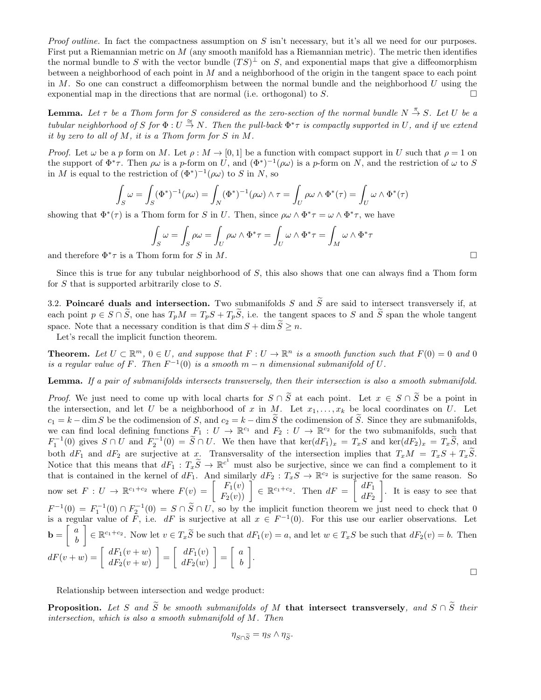*Proof outline.* In fact the compactness assumption on S isn't necessary, but it's all we need for our purposes. First put a Riemannian metric on M (any smooth manifold has a Riemannian metric). The metric then identifies the normal bundle to S with the vector bundle  $(TS)^{\perp}$  on S, and exponential maps that give a diffeomorphism between a neighborhood of each point in M and a neighborhood of the origin in the tangent space to each point in  $M$ . So one can construct a diffeomorphism between the normal bundle and the neighborhood  $U$  using the exponential map in the directions that are normal (i.e. orthogonal) to  $S$ .

**Lemma.** Let  $\tau$  be a Thom form for S considered as the zero-section of the normal bundle  $N \stackrel{\pi}{\rightarrow} S$ . Let U be a tubular neighborhood of S for  $\Phi: U \stackrel{\cong}{\to} N$ . Then the pull-back  $\Phi^*\tau$  is compactly supported in U, and if we extend it by zero to all of  $M$ , it is a Thom form for  $S$  in  $M$ .

*Proof.* Let  $\omega$  be a p form on M. Let  $\rho : M \to [0,1]$  be a function with compact support in U such that  $\rho = 1$  on the support of  $\Phi^*\tau$ . Then  $\rho\omega$  is a p-form on U, and  $(\Phi^*)^{-1}(\rho\omega)$  is a p-form on N, and the restriction of  $\omega$  to S in M is equal to the restriction of  $(\Phi^*)^{-1}(\rho\omega)$  to S in N, so

$$
\int_{S} \omega = \int_{S} (\Phi^*)^{-1}(\rho \omega) = \int_{N} (\Phi^*)^{-1}(\rho \omega) \wedge \tau = \int_{U} \rho \omega \wedge \Phi^*(\tau) = \int_{U} \omega \wedge \Phi^*(\tau)
$$

showing that  $\Phi^*(\tau)$  is a Thom form for S in U. Then, since  $\rho\omega \wedge \Phi^*\tau = \omega \wedge \Phi^*\tau$ , we have

$$
\int_{S} \omega = \int_{S} \rho \omega = \int_{U} \rho \omega \wedge \Phi^* \tau = \int_{U} \omega \wedge \Phi^* \tau = \int_{M} \omega \wedge \Phi^* \tau
$$
  
and therefore  $\Phi^* \tau$  is a Thom form for S in M.

Since this is true for any tubular neighborhood of  $S$ , this also shows that one can always find a Thom form for S that is supported arbitrarily close to S.

3.2. Poincaré duals and intersection. Two submanifolds S and  $\widetilde{S}$  are said to intersect transversely if, at each point  $p \in S \cap \tilde{S}$ , one has  $T_pM = T_pS + T_p\tilde{S}$ , i.e. the tangent spaces to S and  $\tilde{S}$  span the whole tangent space. Note that a necessary condition is that dim  $S + \dim \widetilde{S} \geq n$ .

Let's recall the implicit function theorem.

**Theorem.** Let  $U \subset \mathbb{R}^m$ ,  $0 \in U$ , and suppose that  $F: U \to \mathbb{R}^n$  is a smooth function such that  $F(0) = 0$  and 0 is a regular value of F. Then  $F^{-1}(0)$  is a smooth  $m-n$  dimensional submanifold of U.

Lemma. If a pair of submanifolds intersects transversely, then their intersection is also a smooth submanifold.

*Proof.* We just need to come up with local charts for  $S \cap \tilde{S}$  at each point. Let  $x \in S \cap \tilde{S}$  be a point in the intersection, and let U be a neighborhood of x in M. Let  $x_1, \ldots, x_k$  be local coordinates on U. Let  $c_1 = k - \dim S$  be the codimension of S, and  $c_2 = k - \dim \widetilde{S}$  the codimension of  $\widetilde{S}$ . Since they are submanifolds, we can find local defining functions  $F_1: U \to \mathbb{R}^{c_1}$  and  $F_2: U \to \mathbb{R}^{c_2}$  for the two submanifolds, such that  $F_1^{-1}(0)$  gives  $S \cap U$  and  $F_2^{-1}(0) = \tilde{S} \cap U$ . We then have that  $\ker(dF_1)_x = T_xS$  and  $\ker(dF_2)_x = T_x\tilde{S}$ , and both  $dF_1$  and  $dF_2$  are surjective at x. Transversality of the intersection implies that  $T_xM = T_xS + T_xS$ . Notice that this means that  $dF_1 : T_x\widetilde{S} \to \mathbb{R}^{c^1}$  must also be surjective, since we can find a complement to it that is contained in the kernel of  $dF_1$ . And similarly  $dF_2: T_xS \to \mathbb{R}^{c_2}$  is surjective for the same reason. So now set  $F: U \to \mathbb{R}^{c_1+c_2}$  where  $F(v) = \begin{bmatrix} F_1(v) \\ F_2(v) \end{bmatrix} \in \mathbb{R}^{c_1+c_2}$ . Then  $dF = \begin{bmatrix} dF_1 \\ dF_2 \end{bmatrix}$  $dF_2$  . It is easy to see that  $F^{-1}(0) = F_1^{-1}(0) \cap F_2^{-1}(0) = S \cap \tilde{S} \cap U$ , so by the implicit function theorem we just need to check that 0 is a regular value of F, i.e.  $dF$  is surjective at all  $x \in F^{-1}(0)$ . For this use our earlier observations. Let  $\mathbf{b} = \begin{bmatrix} a \\ a \end{bmatrix}$ b  $\Big] \in \mathbb{R}^{c_1+c_2}$ . Now let  $v \in T_x \widetilde{S}$  be such that  $dF_1(v) = a$ , and let  $w \in T_x S$  be such that  $dF_2(v) = b$ . Then  $dF(v+w) = \begin{bmatrix} dF_1(v+w) \\ \frac{dF_1(v+w)}{w} \end{bmatrix}$  $dF_2(v + w)$  $=\begin{bmatrix} dF_1(v) \ dF_2(v) \end{bmatrix}$  $dF_2(w)$  $\Big] = \Big[ \begin{array}{c} a \\ a \end{array} \Big]$ b .  $\Box$ 

Relationship between intersection and wedge product:

**Proposition.** Let S and  $\widetilde{S}$  be smooth submanifolds of M that intersect transversely, and  $S \cap \widetilde{S}$  their intersection, which is also a smooth submanifold of M. Then

$$
\eta_{S\cap \widetilde{S}}=\eta_S\wedge \eta_{\widetilde{S}}.
$$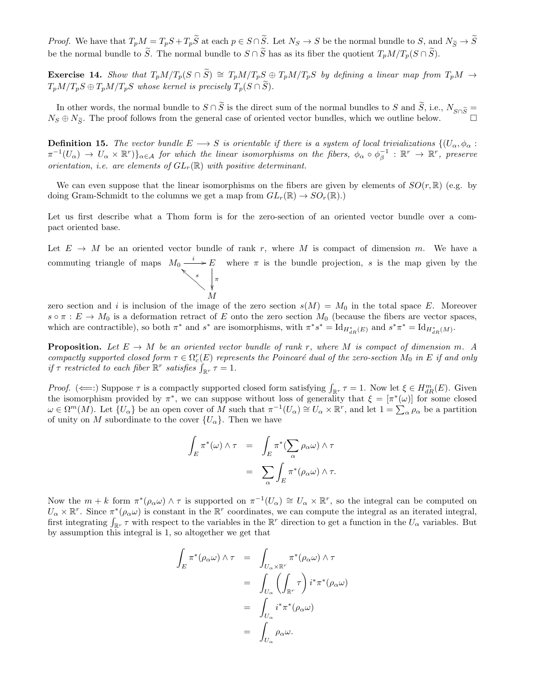*Proof.* We have that  $T_pM = T_pS + T_p\widetilde{S}$  at each  $p \in S \cap \widetilde{S}$ . Let  $N_S \to S$  be the normal bundle to S, and  $N_{\widetilde{S}} \to \widetilde{S}$ be the normal bundle to  $\widetilde{S}$ . The normal bundle to  $S \cap \widetilde{S}$  has as its fiber the quotient  $T_pM/T_p(S \cap \widetilde{S})$ .

Exercise 14. Show that  $T_pM/T_p(S \cap S) \cong T_pM/T_pS \oplus T_pM/T_pS$  by defining a linear map from  $T_pM \to$  $T_pM/T_pS \oplus T_pM/T_pS$  whose kernel is precisely  $T_p(S \cap S)$ .

In other words, the normal bundle to  $S \cap \tilde{S}$  is the direct sum of the normal bundles to S and  $\tilde{S}$ , i.e.,  $N_{S \cap \tilde{S}} =$  $N_S \oplus N_{\tilde{S}}$ . The proof follows from the general case of oriented vector bundles, which we outline below.

**Definition 15.** The vector bundle  $E \to S$  is orientable if there is a system of local trivializations  $\{(U_\alpha, \phi_\alpha :$  $\pi^{-1}(U_\alpha) \to U_\alpha \times \mathbb{R}^r) \}_{\alpha \in \mathcal{A}}$  for which the linear isomorphisms on the fibers,  $\phi_\alpha \circ \phi_\beta^{-1} : \mathbb{R}^r \to \mathbb{R}^r$ , preserve orientation, i.e. are elements of  $GL_r(\mathbb{R})$  with positive determinant.

We can even suppose that the linear isomorphisms on the fibers are given by elements of  $SO(r, \mathbb{R})$  (e.g. by doing Gram-Schmidt to the columns we get a map from  $GL_r(\mathbb{R}) \to SO_r(\mathbb{R}).$ 

Let us first describe what a Thom form is for the zero-section of an oriented vector bundle over a compact oriented base.

Let  $E \to M$  be an oriented vector bundle of rank r, where M is compact of dimension m. We have a commuting triangle of maps  $M_0 \stackrel{i}{\longrightarrow} E$ π ľ s  $\begin{array}{c}\n\hline\n^* \rightarrow E \\
\hline\n\end{array}$  where  $\pi$  is the bundle projection, s is the map given by the  $\begin{array}{c}\n\hline\n\end{array}$ 

zero section and i is inclusion of the image of the zero section  $s(M) = M_0$  in the total space E. Moreover  $s \circ \pi : E \to M_0$  is a deformation retract of E onto the zero section  $M_0$  (because the fibers are vector spaces, which are contractible), so both  $\pi^*$  and  $s^*$  are isomorphisms, with  $\pi^* s^* = \text{Id}_{H^*_{dR}(E)}$  and  $s^* \pi^* = \text{Id}_{H^*_{dR}(M)}$ .

M

**Proposition.** Let  $E \to M$  be an oriented vector bundle of rank r, where M is compact of dimension m. A compactly supported closed form  $\tau \in \Omega_c^r(E)$  represents the Poincaré dual of the zero-section  $M_0$  in E if and only if  $\tau$  restricted to each fiber  $\mathbb{R}^r$  satisfies  $\int_{\mathbb{R}^r} \tau = 1$ .

Proof. ( $\Longleftarrow$ :) Suppose  $\tau$  is a compactly supported closed form satisfying  $\int_{\mathbb{R}^r} \tau = 1$ . Now let  $\xi \in H_{dR}^m(E)$ . Given the isomorphism provided by  $\pi^*$ , we can suppose without loss of generality that  $\xi = [\pi^*(\omega)]$  for some closed  $\omega \in \Omega^m(M)$ . Let  $\{U_\alpha\}$  be an open cover of M such that  $\pi^{-1}(U_\alpha) \cong U_\alpha \times \mathbb{R}^r$ , and let  $1 = \sum_{\alpha} \rho_\alpha$  be a partition of unity on M subordinate to the cover  $\{U_{\alpha}\}\$ . Then we have

$$
\int_{E} \pi^{*}(\omega) \wedge \tau = \int_{E} \pi^{*}(\sum_{\alpha} \rho_{\alpha} \omega) \wedge \tau
$$

$$
= \sum_{\alpha} \int_{E} \pi^{*}(\rho_{\alpha} \omega) \wedge \tau.
$$

Now the  $m + k$  form  $\pi^*(\rho_\alpha \omega) \wedge \tau$  is supported on  $\pi^{-1}(U_\alpha) \cong U_\alpha \times \mathbb{R}^r$ , so the integral can be computed on  $U_{\alpha} \times \mathbb{R}^{r}$ . Since  $\pi^{*}(\rho_{\alpha}\omega)$  is constant in the  $\mathbb{R}^{r}$  coordinates, we can compute the integral as an iterated integral, first integrating  $\int_{\mathbb{R}^r} \tau$  with respect to the variables in the  $\mathbb{R}^r$  direction to get a function in the  $U_\alpha$  variables. But by assumption this integral is 1, so altogether we get that

$$
\int_{E} \pi^{*}(\rho_{\alpha}\omega) \wedge \tau = \int_{U_{\alpha} \times \mathbb{R}^{r}} \pi^{*}(\rho_{\alpha}\omega) \wedge \tau
$$
\n
$$
= \int_{U_{\alpha}} \left( \int_{\mathbb{R}^{r}} \tau \right) i^{*} \pi^{*}(\rho_{\alpha}\omega)
$$
\n
$$
= \int_{U_{\alpha}} i^{*} \pi^{*}(\rho_{\alpha}\omega)
$$
\n
$$
= \int_{U_{\alpha}} \rho_{\alpha}\omega.
$$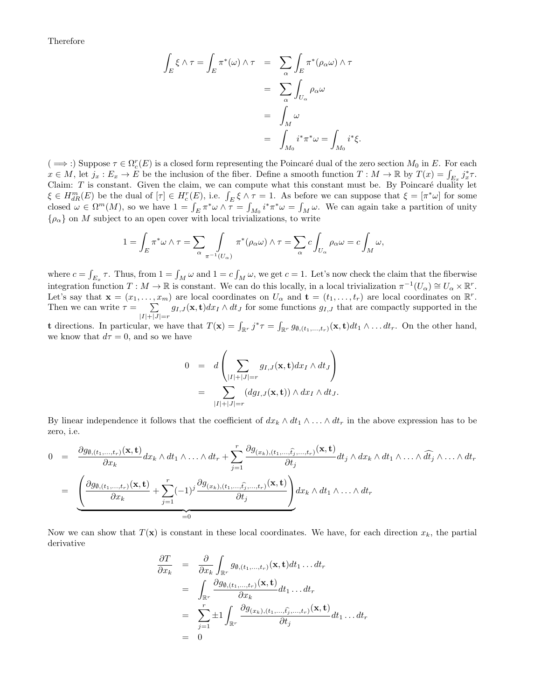Therefore

$$
\int_{E} \xi \wedge \tau = \int_{E} \pi^{*}(\omega) \wedge \tau = \sum_{\alpha} \int_{E} \pi^{*}(\rho_{\alpha}\omega) \wedge \tau
$$

$$
= \sum_{\alpha} \int_{U_{\alpha}} \rho_{\alpha}\omega
$$

$$
= \int_{M} \omega
$$

$$
= \int_{M_{0}} i^{*} \pi^{*} \omega = \int_{M_{0}} i^{*} \xi.
$$

 $(\implies)$  Suppose  $\tau \in \Omega_c^r(E)$  is a closed form representing the Poincaré dual of the zero section  $M_0$  in E. For each  $x \in M$ , let  $j_x : E_x \to E$  be the inclusion of the fiber. Define a smooth function  $T : M \to \mathbb{R}$  by  $T(x) = \int_{E_x} j_x^* \tau$ . Claim:  $T$  is constant. Given the claim, we can compute what this constant must be. By Poincaré duality let  $\xi \in H_{dR}^m(E)$  be the dual of  $[\tau] \in H_c^r(E)$ , i.e.  $\int_E \xi \wedge \tau = 1$ . As before we can suppose that  $\xi = [\pi^* \omega]$  for some closed  $\omega \in \Omega^m(M)$ , so we have  $1 = \int_E \pi^* \omega \wedge \overline{\tau} = \int_{M_0} i^* \pi^* \omega = \int_M \omega$ . We can again take a partition of unity  ${\rho_{\alpha}}$  on M subject to an open cover with local trivializations, to write

$$
1 = \int_E \pi^* \omega \wedge \tau = \sum_{\alpha} \int_{\pi^{-1}(U_{\alpha})} \pi^*(\rho_{\alpha} \omega) \wedge \tau = \sum_{\alpha} c \int_{U_{\alpha}} \rho_{\alpha} \omega = c \int_M \omega,
$$

where  $c = \int_{E_x} \tau$ . Thus, from  $1 = \int_M \omega$  and  $1 = c \int_M \omega$ , we get  $c = 1$ . Let's now check the claim that the fiberwise integration function  $T: M \to \mathbb{R}$  is constant. We can do this locally, in a local trivialization  $\pi^{-1}(U_\alpha) \cong U_\alpha \times \mathbb{R}^r$ . Let's say that  $\mathbf{x} = (x_1, \ldots, x_m)$  are local coordinates on  $U_\alpha$  and  $\mathbf{t} = (t_1, \ldots, t_r)$  are local coordinates on  $\mathbb{R}^r$ . Then we can write  $\tau = \sum$  $\sum_{|I|+|J|=r} g_{I,J}(\mathbf{x}, \mathbf{t}) dx_I \wedge dt_J$  for some functions  $g_{I,J}$  that are compactly supported in the

**t** directions. In particular, we have that  $T(\mathbf{x}) = \int_{\mathbb{R}^r} j^* \tau = \int_{\mathbb{R}^r} g_{\theta,(t_1,\ldots,t_r)}(\mathbf{x}, \mathbf{t}) dt_1 \wedge \ldots dt_r$ . On the other hand, we know that  $d\tau = 0$ , and so we have

$$
0 = d\left(\sum_{|I|+|J|=r} g_{I,J}(\mathbf{x}, \mathbf{t}) dx_I \wedge dt_J \right)
$$
  
= 
$$
\sum_{|I|+|J|=r} (dg_{I,J}(\mathbf{x}, \mathbf{t})) \wedge dx_I \wedge dt_J.
$$

By linear independence it follows that the coefficient of  $dx_k \wedge dt_1 \wedge \ldots \wedge dt_r$  in the above expression has to be zero, i.e.

$$
0 = \frac{\partial g_{\emptyset,(t_1,...,t_r)}(\mathbf{x}, \mathbf{t})}{\partial x_k} dx_k \wedge dt_1 \wedge ... \wedge dt_r + \sum_{j=1}^r \frac{\partial g_{(x_k),(t_1,...,\hat{t_j},...,t_r)}(\mathbf{x}, \mathbf{t})}{\partial t_j} dt_j \wedge dx_k \wedge dt_1 \wedge ... \wedge \widehat{dt_j} \wedge ... \wedge dt_r
$$
  
= 
$$
\underbrace{\left(\frac{\partial g_{\emptyset,(t_1,...,t_r)}(\mathbf{x}, \mathbf{t})}{\partial x_k} + \sum_{j=1}^r (-1)^j \frac{\partial g_{(x_k),(t_1,...,\hat{t_j},...,t_r)}(\mathbf{x}, \mathbf{t})}{\partial t_j}\right)}_{=0} dx_k \wedge dt_1 \wedge ... \wedge dt_r
$$

Now we can show that  $T(\mathbf{x})$  is constant in these local coordinates. We have, for each direction  $x_k$ , the partial derivative

$$
\frac{\partial T}{\partial x_k} = \frac{\partial}{\partial x_k} \int_{\mathbb{R}^r} g_{\emptyset, (t_1, \dots, t_r)}(\mathbf{x}, \mathbf{t}) dt_1 \dots dt_r
$$
\n
$$
= \int_{\mathbb{R}^r} \frac{\partial g_{\emptyset, (t_1, \dots, t_r)}(\mathbf{x}, \mathbf{t})}{\partial x_k} dt_1 \dots dt_r
$$
\n
$$
= \sum_{j=1}^r \pm 1 \int_{\mathbb{R}^r} \frac{\partial g_{(x_k), (t_1, \dots, \hat{t_j}, \dots, t_r)}(\mathbf{x}, \mathbf{t})}{\partial t_j} dt_1 \dots dt_r
$$
\n
$$
= 0
$$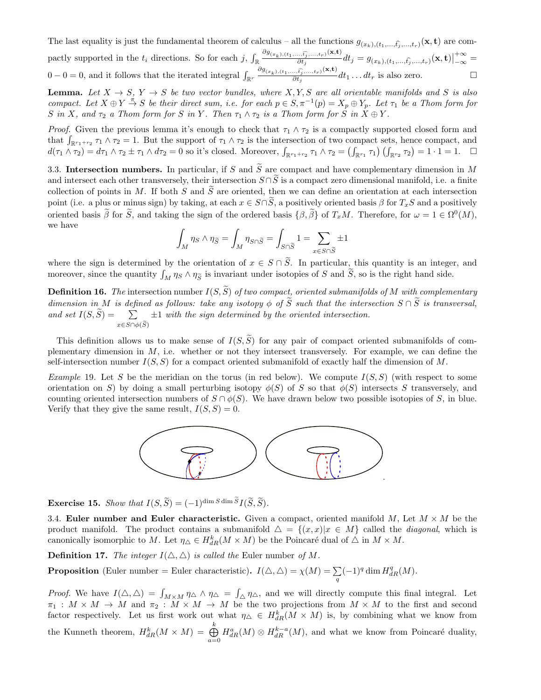The last equality is just the fundamental theorem of calculus – all the functions  $g_{(x_k),(t_1,...,\hat{t_j},...,t_r)}(\mathbf{x}, \mathbf{t})$  are compactly supported in the  $t_i$  directions. So for each j,  $\int_{\mathbb{R}} \frac{\partial g_{(x_k),(t_1,...,\widehat{t_j},...,t_r)}(\mathbf{x},t)}{\partial t_i}$  $\frac{\partial \phi_{t,j}(\mathbf{x},t;\mathbf{y})}{\partial t_j}dt_j=g_{(x_k),(t_1,...,\widehat{t_j},...,t_r)}(\mathbf{x},\mathbf{t})\Big|_{\mathcal{H}}$  $+\infty$  $\frac{1}{-\infty} =$  $0-0=0$ , and it follows that the iterated integral  $\int_{\mathbb{R}^r} \frac{\partial g_{(x_k),(t_1,...,\widehat{t_j},...,t_r)}(\mathbf{x},t)}{\partial t_i}$  $\frac{\partial}{\partial t_i} \frac{\partial}{\partial t_j} dt_1 \dots dt_r$  is also zero.

**Lemma.** Let  $X \to S$ ,  $Y \to S$  be two vector bundles, where  $X, Y, S$  are all orientable manifolds and S is also compact. Let  $X \oplus Y \stackrel{\pi}{\to} S$  be their direct sum, i.e. for each  $p \in S, \pi^{-1}(p) = X_p \oplus Y_p$ . Let  $\tau_1$  be a Thom form for S in X, and  $\tau_2$  a Thom form for S in Y. Then  $\tau_1 \wedge \tau_2$  is a Thom form for S in  $X \oplus Y$ .

*Proof.* Given the previous lemma it's enough to check that  $\tau_1 \wedge \tau_2$  is a compactly supported closed form and that  $\int_{\mathbb{R}^{r_1+r_2}} \tau_1 \wedge \tau_2 = 1$ . But the support of  $\tau_1 \wedge \tau_2$  is the intersection of two compact sets, hence compact, and  $d(\tau_1 \wedge \tau_2) = d\tau_1 \wedge \tau_2 \pm \tau_1 \wedge d\tau_2 = 0$  so it's closed. Moreover,  $\int_{\mathbb{R}^{r_1+r_2}} \tau_1 \wedge \tau_2 = (\int_{\mathbb{R}^{r_1}} \tau_1) (\int_{\mathbb{R}^{r_2}} \tau_2) = 1 \cdot 1 = 1$ .  $\Box$ 

3.3. Intersection numbers. In particular, if S and  $\widetilde{S}$  are compact and have complementary dimension in M and intersect each other transversely, their intersection  $S \cap \tilde{S}$  is a compact zero dimensional manifold, i.e. a finite collection of points in M. If both S and  $\tilde{S}$  are oriented, then we can define an orientation at each intersection point (i.e. a plus or minus sign) by taking, at each  $x \in S \cap \tilde{S}$ , a positively oriented basis  $\beta$  for  $T_xS$  and a positively oriented basis  $\beta$  for  $\tilde{S}$ , and taking the sign of the ordered basis  $\{\beta, \tilde{\beta}\}$  of  $T_xM$ . Therefore, for  $\omega = 1 \in \Omega^0(M)$ , we have

$$
\int_M \eta_S \wedge \eta_{\widetilde{S}} = \int_M \eta_{S \cap \widetilde{S}} = \int_{S \cap \widetilde{S}} 1 = \sum_{x \in S \cap \widetilde{S}} \pm 1
$$

where the sign is determined by the orientation of  $x \in S \cap \tilde{S}$ . In particular, this quantity is an integer, and moreover, since the quantity  $\int_M \eta_S \wedge \eta_{\widetilde{S}}$  is invariant under isotopies of S and S, so is the right hand side.

**Definition 16.** The intersection number  $I(S, \widetilde{S})$  of two compact, oriented submanifolds of M with complementary dimension in M is defined as follows: take any isotopy  $\phi$  of  $\widetilde{S}$  such that the intersection  $S \cap \widetilde{S}$  is transversal, and set  $I(S, S) = \sum$  $x\in S\cap \phi(S)$  $\pm 1$  with the sign determined by the oriented intersection.

This definition allows us to make sense of  $I(S, \tilde{S})$  for any pair of compact oriented submanifolds of complementary dimension in  $M$ , i.e. whether or not they intersect transversely. For example, we can define the self-intersection number  $I(S, S)$  for a compact oriented submanifold of exactly half the dimension of M.

*Example* 19. Let S be the meridian on the torus (in red below). We compute  $I(S, S)$  (with respect to some orientation on S) by doing a small perturbing isotopy  $\phi(S)$  of S so that  $\phi(S)$  intersects S transversely, and counting oriented intersection numbers of  $S \cap \phi(S)$ . We have drawn below two possible isotopies of S, in blue. Verify that they give the same result,  $I(S, S) = 0$ .



Exercise 15. Show that  $I(S, \widetilde{S}) = (-1)^{\dim S \dim S} I(\widetilde{S}, \widetilde{S}).$ 

3.4. Euler number and Euler characteristic. Given a compact, oriented manifold M, Let  $M \times M$  be the product manifold. The product contains a submanifold  $\Delta = \{(x, x)|x \in M\}$  called the *diagonal*, which is canonically isomorphic to M. Let  $\eta_{\Delta} \in H_{dR}^k(M \times M)$  be the Poincaré dual of  $\Delta$  in  $M \times M$ .

**Definition 17.** The integer  $I(\triangle, \triangle)$  is called the Euler number of M.

**Proposition** (Euler number = Euler characteristic).  $I(\triangle, \triangle) = \chi(M) = \sum_{q} (-1)^q \dim H_{dR}^q(M)$ .

*Proof.* We have  $I(\Delta, \Delta) = \int_{M \times M} \eta_{\Delta} \wedge \eta_{\Delta} = \int_{\Delta} \eta_{\Delta}$ , and we will directly compute this final integral. Let  $\pi_1 : M \times M \to M$  and  $\pi_2 : M \times M \to M$  be the two projections from  $M \times M$  to the first and second factor respectively. Let us first work out what  $\eta_{\Delta} \in H_{dR}^{k}(M \times M)$  is, by combining what we know from the Kunneth theorem,  $H_{dR}^k(M \times M) = \bigoplus^k$  $\bigoplus_{a=0}^{\infty} H_{dR}^a(M) \otimes H_{dR}^{k-a}(M)$ , and what we know from Poincaré duality,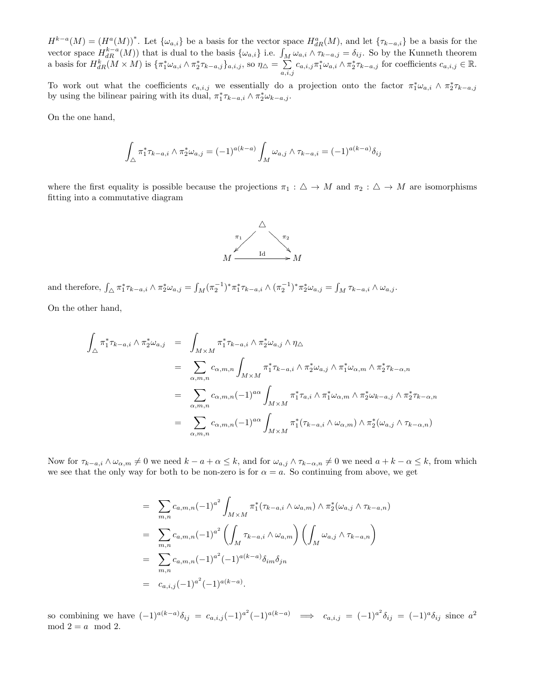$H^{k-a}(M) = (H^a(M))^*$ . Let  $\{\omega_{a,i}\}\$ be a basis for the vector space  $H^a_{dR}(M)$ , and let  $\{\tau_{k-a,i}\}\$ be a basis for the vector space  $H_{dR}^{k-a}(M)$  that is dual to the basis  $\{\omega_{a,i}\}\$ i.e.  $\int_M \omega_{a,i} \wedge \tau_{k-a,j} = \delta_{ij}$ . So by the Kunneth theorem a basis for  $H_{dR}^k(M \times M)$  is  $\{\pi_1^*\omega_{a,i}\wedge \pi_2^*\tau_{k-a,j}\}_{a,i,j}$ , so  $\eta_{\triangle} = \sum$  $\sum_{a,i,j}^{\infty} c_{a,i,j} \pi_1^* \omega_{a,i} \wedge \pi_2^* \tau_{k-a,j}$  for coefficients  $c_{a,i,j} \in \mathbb{R}$ .

To work out what the coefficients  $c_{a,i,j}$  we essentially do a projection onto the factor  $\pi_1^*\omega_{a,i} \wedge \pi_2^*\tau_{k-a,j}$ by using the bilinear pairing with its dual,  $\pi_1^* \tau_{k-a,i} \wedge \pi_2^* \omega_{k-a,j}$ .

On the one hand,

$$
\int_{\triangle} \pi_1^* \tau_{k-a,i} \wedge \pi_2^* \omega_{a,j} = (-1)^{a(k-a)} \int_M \omega_{a,j} \wedge \tau_{k-a,i} = (-1)^{a(k-a)} \delta_{ij}
$$

where the first equality is possible because the projections  $\pi_1 : \triangle \to M$  and  $\pi_2 : \triangle \to M$  are isomorphisms fitting into a commutative diagram



and therefore,  $\int_{\Delta} \pi_1^* \tau_{k-a,i} \wedge \pi_2^* \omega_{a,j} = \int_M (\pi_2^{-1})^* \pi_1^* \tau_{k-a,i} \wedge (\pi_2^{-1})^* \pi_2^* \omega_{a,j} = \int_M \tau_{k-a,i} \wedge \omega_{a,j}$ . On the other hand,

$$
\int_{\triangle} \pi_1^* \tau_{k-a,i} \wedge \pi_2^* \omega_{a,j} = \int_{M \times M} \pi_1^* \tau_{k-a,i} \wedge \pi_2^* \omega_{a,j} \wedge \eta_{\triangle}
$$
\n
$$
= \sum_{\alpha,m,n} c_{\alpha,m,n} \int_{M \times M} \pi_1^* \tau_{k-a,i} \wedge \pi_2^* \omega_{a,j} \wedge \pi_1^* \omega_{\alpha,m} \wedge \pi_2^* \tau_{k-\alpha,n}
$$
\n
$$
= \sum_{\alpha,m,n} c_{\alpha,m,n} (-1)^{a\alpha} \int_{M \times M} \pi_1^* \tau_{a,i} \wedge \pi_1^* \omega_{\alpha,m} \wedge \pi_2^* \omega_{k-a,j} \wedge \pi_2^* \tau_{k-\alpha,n}
$$
\n
$$
= \sum_{\alpha,m,n} c_{\alpha,m,n} (-1)^{a\alpha} \int_{M \times M} \pi_1^* (\tau_{k-a,i} \wedge \omega_{\alpha,m}) \wedge \pi_2^* (\omega_{a,j} \wedge \tau_{k-\alpha,n})
$$

Now for  $\tau_{k-a,i} \wedge \omega_{\alpha,m} \neq 0$  we need  $k-a+\alpha \leq k$ , and for  $\omega_{a,j} \wedge \tau_{k-\alpha,n} \neq 0$  we need  $a+k-\alpha \leq k$ , from which we see that the only way for both to be non-zero is for  $\alpha = a$ . So continuing from above, we get

$$
= \sum_{m,n} c_{a,m,n} (-1)^{a^2} \int_{M \times M} \pi_1^* (\tau_{k-a,i} \wedge \omega_{a,m}) \wedge \pi_2^* (\omega_{a,j} \wedge \tau_{k-a,n})
$$
  
\n
$$
= \sum_{m,n} c_{a,m,n} (-1)^{a^2} \left( \int_M \tau_{k-a,i} \wedge \omega_{a,m} \right) \left( \int_M \omega_{a,j} \wedge \tau_{k-a,n} \right)
$$
  
\n
$$
= \sum_{m,n} c_{a,m,n} (-1)^{a^2} (-1)^{a(k-a)} \delta_{im} \delta_{jn}
$$
  
\n
$$
= c_{a,i,j} (-1)^{a^2} (-1)^{a(k-a)}.
$$

so combining we have  $(-1)^{a(k-a)}\delta_{ij} = c_{a,i,j}(-1)^{a^2}(-1)^{a(k-a)} \implies c_{a,i,j} = (-1)^{a^2}\delta_{ij} = (-1)^{a}\delta_{ij}$  since  $a^2$  $mod 2 = a mod 2.$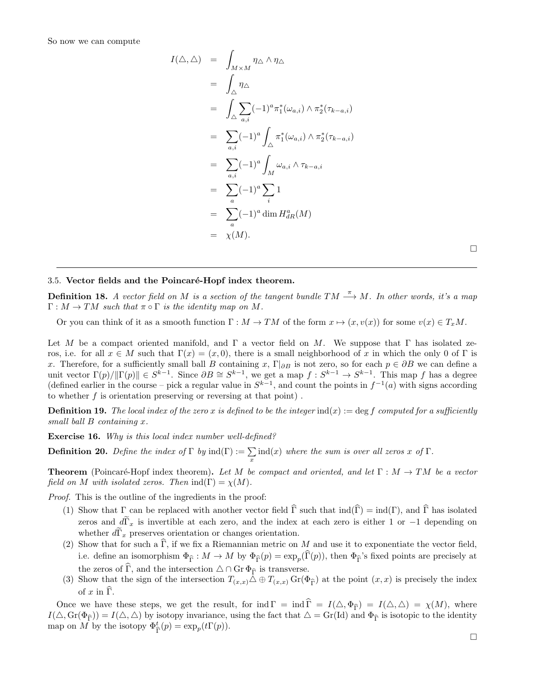So now we can compute

$$
I(\triangle, \triangle) = \int_{M \times M} \eta_{\triangle} \wedge \eta_{\triangle}
$$
  
\n
$$
= \int_{\triangle} \eta_{\triangle}
$$
  
\n
$$
= \int_{\triangle} \sum_{a,i} (-1)^{a} \pi_{1}^{*}(\omega_{a,i}) \wedge \pi_{2}^{*}(\tau_{k-a,i})
$$
  
\n
$$
= \sum_{a,i} (-1)^{a} \int_{\triangle} \pi_{1}^{*}(\omega_{a,i}) \wedge \pi_{2}^{*}(\tau_{k-a,i})
$$
  
\n
$$
= \sum_{a,i} (-1)^{a} \int_{M} \omega_{a,i} \wedge \tau_{k-a,i}
$$
  
\n
$$
= \sum_{a} (-1)^{a} \sum_{i} 1
$$
  
\n
$$
= \sum_{a} (-1)^{a} \dim H_{dR}^{a}(M)
$$
  
\n
$$
= \chi(M).
$$

 $\Box$ 

#### 3.5. Vector fields and the Poincaré-Hopf index theorem.

**Definition 18.** A vector field on M is a section of the tangent bundle  $TM \stackrel{\pi}{\longrightarrow} M$ . In other words, it's a map  $\Gamma: M \to TM$  such that  $\pi \circ \Gamma$  is the identity map on M.

Or you can think of it as a smooth function  $\Gamma : M \to TM$  of the form  $x \mapsto (x, v(x))$  for some  $v(x) \in T_xM$ .

Let M be a compact oriented manifold, and  $\Gamma$  a vector field on M. We suppose that  $\Gamma$  has isolated zeros, i.e. for all  $x \in M$  such that  $\Gamma(x) = (x, 0)$ , there is a small neighborhood of x in which the only 0 of  $\Gamma$  is x. Therefore, for a sufficiently small ball B containing x,  $\Gamma|_{\partial B}$  is not zero, so for each  $p \in \partial B$  we can define a unit vector  $\Gamma(p)/\|\Gamma(p)\| \in S^{k-1}$ . Since  $\partial B \cong S^{k-1}$ , we get a map  $f : S^{k-1} \to S^{k-1}$ . This map f has a degree (defined earlier in the course – pick a regular value in  $S^{k-1}$ , and count the points in  $f^{-1}(a)$  with signs according to whether  $f$  is orientation preserving or reversing at that point).

**Definition 19.** The local index of the zero x is defined to be the integer  $ind(x) := \deg f$  computed for a sufficiently small ball B containing x.

Exercise 16. Why is this local index number well-defined?

**Definition 20.** Define the index of  $\Gamma$  by  $\text{ind}(\Gamma) := \sum_{x} \text{ind}(x)$  where the sum is over all zeros x of  $\Gamma$ .

**Theorem** (Poincaré-Hopf index theorem). Let M be compact and oriented, and let  $\Gamma : M \to TM$  be a vector field on M with isolated zeros. Then  $\text{ind}(\Gamma) = \chi(M)$ .

Proof. This is the outline of the ingredients in the proof:

- (1) Show that  $\Gamma$  can be replaced with another vector field  $\widehat{\Gamma}$  such that  $\text{ind}(\widehat{\Gamma}) = \text{ind}(\Gamma)$ , and  $\widehat{\Gamma}$  has isolated zeros and  $d\Gamma_x$  is invertible at each zero, and the index at each zero is either 1 or −1 depending on whether  $d\Gamma_x$  preserves orientation or changes orientation.
- (2) Show that for such a  $\widehat{\Gamma}$ , if we fix a Riemannian metric on M and use it to exponentiate the vector field, i.e. define an isomorphism  $\Phi_{\hat{\Gamma}} : M \to M$  by  $\Phi_{\hat{\Gamma}}(p) = \exp_p(\Gamma(p))$ , then  $\Phi_{\hat{\Gamma}}$ 's fixed points are precisely at the zeros of  $\widehat{\Gamma}$ , and the intersection  $\Delta \cap \text{Gr } \Phi_{\widehat{\Gamma}}$  is transverse.
- (3) Show that the sign of the intersection  $T_{(x,x)} \Delta \oplus T_{(x,x)} \operatorname{Gr}(\Phi_{\widehat{\Gamma}})$  at the point  $(x, x)$  is precisely the index of  $x$  in  $\overline{\Gamma}$ .

Once we have these steps, we get the result, for ind  $\Gamma = \text{ind }\hat{\Gamma} = I(\triangle, \Phi_{\hat{\Gamma}}) = I(\triangle, \triangle) = \chi(M)$ , where  $I(\Delta, \text{Gr}(\Phi_{\widehat{\Gamma}})) = I(\Delta, \Delta)$  by isotopy invariance, using the fact that  $\Delta = \text{Gr}(\text{Id})$  and  $\Phi_{\widehat{\Gamma}}$  is isotopic to the identity map on  $\overline{M}$  by the isotopy  $\Phi_{\widehat{\Gamma}}^t(p) = \exp_p(t\Gamma(p)).$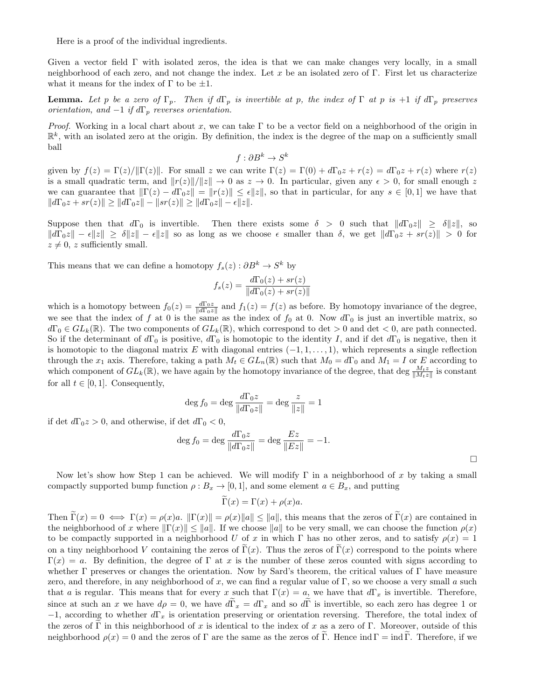Here is a proof of the individual ingredients.

Given a vector field  $\Gamma$  with isolated zeros, the idea is that we can make changes very locally, in a small neighborhood of each zero, and not change the index. Let x be an isolated zero of Γ. First let us characterize what it means for the index of  $\Gamma$  to be  $\pm 1$ .

**Lemma.** Let p be a zero of  $\Gamma_p$ . Then if  $d\Gamma_p$  is invertible at p, the index of  $\Gamma$  at p is +1 if  $d\Gamma_p$  preserves orientation, and  $-1$  if  $d\Gamma_p$  reverses orientation.

Proof. Working in a local chart about x, we can take  $\Gamma$  to be a vector field on a neighborhood of the origin in  $\mathbb{R}^k$ , with an isolated zero at the origin. By definition, the index is the degree of the map on a sufficiently small ball

$$
f: \partial B^k \to S^k
$$

given by  $f(z) = \Gamma(z)/\|\Gamma(z)\|$ . For small z we can write  $\Gamma(z) = \Gamma(0) + d\Gamma_0 z + r(z) = d\Gamma_0 z + r(z)$  where  $r(z)$ is a small quadratic term, and  $||r(z)||/||z|| \to 0$  as  $z \to 0$ . In particular, given any  $\epsilon > 0$ , for small enough z we can guarantee that  $\|\Gamma(z) - d\Gamma_0 z\| = \|r(z)\| \leq \epsilon \|z\|$ , so that in particular, for any  $s \in [0,1]$  we have that  $||d\Gamma_0 z + s r(z)|| \ge ||d\Gamma_0 z|| - ||s r(z)|| \ge ||d\Gamma_0 z|| - \epsilon ||z||.$ 

Suppose then that  $d\Gamma_0$  is invertible. Then there exists some  $\delta > 0$  such that  $||d\Gamma_0z|| \geq \delta ||z||$ , so  $||d\Gamma_0z|| - \epsilon ||z|| \geq \delta ||z|| - \epsilon ||z||$  so as long as we choose  $\epsilon$  smaller than  $\delta$ , we get  $||d\Gamma_0z + sr(z)|| > 0$  for  $z \neq 0$ , z sufficiently small.

This means that we can define a homotopy  $f_s(z) : \partial B^k \to S^k$  by

$$
f_s(z) = \frac{d\Gamma_0(z) + sr(z)}{\|d\Gamma_0(z) + sr(z)\|}
$$

which is a homotopy between  $f_0(z) = \frac{d\Gamma_0 z}{\|d\Gamma_0 z\|}$  and  $f_1(z) = f(z)$  as before. By homotopy invariance of the degree, we see that the index of f at 0 is the same as the index of  $f_0$  at 0. Now  $d\Gamma_0$  is just an invertible matrix, so  $d\Gamma_0 \in GL_k(\mathbb{R})$ . The two components of  $GL_k(\mathbb{R})$ , which correspond to det  $> 0$  and det  $< 0$ , are path connected. So if the determinant of  $d\Gamma_0$  is positive,  $d\Gamma_0$  is homotopic to the identity I, and if det  $d\Gamma_0$  is negative, then it is homotopic to the diagonal matrix E with diagonal entries  $(-1, 1, \ldots, 1)$ , which represents a single reflection through the  $x_1$  axis. Therefore, taking a path  $M_t \in GL_n(\mathbb{R})$  such that  $M_0 = d\Gamma_0$  and  $M_1 = I$  or E according to which component of  $GL_k(\mathbb{R})$ , we have again by the homotopy invariance of the degree, that deg  $\frac{M_t z}{\|M_t z\|}$  is constant for all  $t \in [0, 1]$ . Consequently,

$$
\deg f_0 = \deg \frac{d\Gamma_0 z}{\|d\Gamma_0 z\|} = \deg \frac{z}{\|z\|} = 1
$$

if det  $d\Gamma_0 z > 0$ , and otherwise, if det  $d\Gamma_0 < 0$ ,

$$
\deg f_0 = \deg \frac{d\Gamma_0 z}{\|d\Gamma_0 z\|} = \deg \frac{Ez}{\|Ez\|} = -1.
$$

Now let's show how Step 1 can be achieved. We will modify  $\Gamma$  in a neighborhood of x by taking a small compactly supported bump function  $\rho : B_x \to [0,1]$ , and some element  $a \in B_x$ , and putting

$$
\Gamma(x) = \Gamma(x) + \rho(x)a.
$$

Then  $\overline{\Gamma}(x) = 0 \iff \Gamma(x) = \rho(x)a$ .  $\|\Gamma(x)\| = \rho(x)\|a\| \le \|a\|$ , this means that the zeros of  $\widetilde{\Gamma}(x)$  are contained in the neighborhood of x where  $\|\Gamma(x)\| \leq \|a\|$ . If we choose  $\|a\|$  to be very small, we can choose the function  $\rho(x)$ to be compactly supported in a neighborhood U of x in which Γ has no other zeros, and to satisfy  $\rho(x) = 1$ on a tiny neighborhood V containing the zeros of  $\tilde{\Gamma}(x)$ . Thus the zeros of  $\tilde{\Gamma}(x)$  correspond to the points where  $\Gamma(x) = a$ . By definition, the degree of  $\Gamma$  at x is the number of these zeros counted with signs according to whether Γ preserves or changes the orientation. Now by Sard's theorem, the critical values of Γ have measure zero, and therefore, in any neighborhood of x, we can find a regular value of  $\Gamma$ , so we choose a very small a such that a is regular. This means that for every x such that  $\Gamma(x) = a$ , we have that  $d\Gamma_x$  is invertible. Therefore, since at such an x we have  $d\rho = 0$ , we have  $d\Gamma_x = d\Gamma_x$  and so  $d\Gamma$  is invertible, so each zero has degree 1 or  $-1$ , according to whether  $d\Gamma_x$  is orientation preserving or orientation reversing. Therefore, the total index of the zeros of Γ in this neighborhood of x is identical to the index of x as a zero of Γ. Moreover, outside of this neighborhood  $\rho(x) = 0$  and the zeros of Γ are the same as the zeros of Γ. Hence ind Γ = ind Γ. Therefore, if we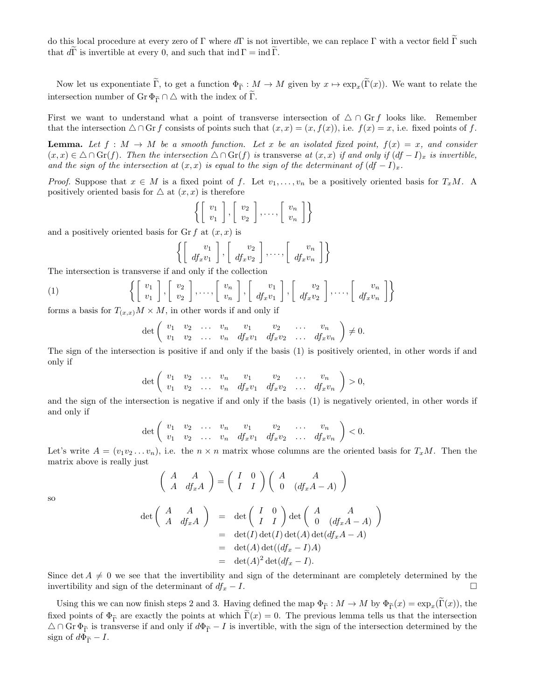do this local procedure at every zero of Γ where  $d\Gamma$  is not invertible, we can replace Γ with a vector field Γ such that  $d\Gamma$  is invertible at every 0, and such that ind  $\Gamma = \text{ind }\Gamma$ .

Now let us exponentiate  $\Gamma$ , to get a function  $\Phi_{\widetilde{\Gamma}}: M \to M$  given by  $x \mapsto \exp_x(\Gamma(x))$ . We want to relate the intersection number of Gr  $\Phi_{\widetilde{\Gamma}} \cap \Delta$  with the index of  $\widetilde{\Gamma}$ .

First we want to understand what a point of transverse intersection of  $\triangle \cap$  Gr f looks like. Remember that the intersection  $\triangle \cap$  Gr f consists of points such that  $(x, x) = (x, f(x))$ , i.e.  $f(x) = x$ , i.e. fixed points of f.

**Lemma.** Let  $f : M \to M$  be a smooth function. Let x be an isolated fixed point,  $f(x) = x$ , and consider  $(x, x) \in \Delta \cap \mathrm{Gr}(f)$ . Then the intersection  $\Delta \cap \mathrm{Gr}(f)$  is transverse at  $(x, x)$  if and only if  $(df - I)_x$  is invertible, and the sign of the intersection at  $(x, x)$  is equal to the sign of the determinant of  $(df - I)_x$ .

*Proof.* Suppose that  $x \in M$  is a fixed point of f. Let  $v_1, \ldots, v_n$  be a positively oriented basis for  $T_xM$ . A positively oriented basis for  $\triangle$  at  $(x, x)$  is therefore

$$
\left\{ \left[\begin{array}{c} v_1 \\ v_1 \end{array}\right], \left[\begin{array}{c} v_2 \\ v_2 \end{array}\right], \dots, \left[\begin{array}{c} v_n \\ v_n \end{array}\right] \right\}
$$

and a positively oriented basis for  $\operatorname{Gr} f$  at  $(x, x)$  is

$$
\left\{ \left[\begin{array}{c} v_1 \\ df_x v_1 \end{array}\right], \left[\begin{array}{c} v_2 \\ df_x v_2 \end{array}\right], \dots, \left[\begin{array}{c} v_n \\ df_x v_n \end{array}\right] \right\}
$$

The intersection is transverse if and only if the collection

$$
(1) \qquad \left\{ \left[ \begin{array}{c} v_1 \\ v_1 \end{array} \right], \left[ \begin{array}{c} v_2 \\ v_2 \end{array} \right], \dots, \left[ \begin{array}{c} v_n \\ v_n \end{array} \right], \left[ \begin{array}{c} v_1 \\ df_x v_1 \end{array} \right], \left[ \begin{array}{c} v_2 \\ df_x v_2 \end{array} \right], \dots, \left[ \begin{array}{c} v_n \\ df_x v_n \end{array} \right] \right\}
$$

forms a basis for  $T_{(x,x)}M \times M$ , in other words if and only if

 $\left( \begin{array}{cc} A & A \end{array} \right)$ 

$$
\det\left(\begin{array}{cccccc}v_1&v_2&\ldots&v_n&v_1&v_2&\ldots&v_n\\v_1&v_2&\ldots&v_n&df_xv_1&df_xv_2&\ldots&df_xv_n\end{array}\right)\neq 0.
$$

The sign of the intersection is positive if and only if the basis (1) is positively oriented, in other words if and only if

$$
\det\left(\begin{array}{cccccc} v_1 & v_2 & \dots & v_n & v_1 & v_2 & \dots & v_n \\ v_1 & v_2 & \dots & v_n & df_x v_1 & df_x v_2 & \dots & df_x v_n \end{array}\right) > 0,
$$

and the sign of the intersection is negative if and only if the basis (1) is negatively oriented, in other words if and only if

$$
\det\left(\begin{array}{ccccccccc} v_1 & v_2 & \dots & v_n & v_1 & v_2 & \dots & v_n \\ v_1 & v_2 & \dots & v_n & df_x v_1 & df_x v_2 & \dots & df_x v_n \end{array}\right) < 0.
$$

Let's write  $A = (v_1v_2...v_n)$ , i.e. the  $n \times n$  matrix whose columns are the oriented basis for  $T_xM$ . Then the matrix above is really just

 $\setminus$ 

so

$$
\begin{pmatrix}\nA & A \\
A & df_x A\n\end{pmatrix} = \begin{pmatrix}\nI & 0 \\
I & I\n\end{pmatrix} \begin{pmatrix}\nA & A \\
0 & (df_x A - A)\n\end{pmatrix}
$$
\n
$$
\det \begin{pmatrix}\nA & A \\
A & df_x A\n\end{pmatrix} = \det \begin{pmatrix}\nI & 0 \\
I & I\n\end{pmatrix} \det \begin{pmatrix}\nA & A \\
0 & (df_x A - A)\n\end{pmatrix}
$$
\n
$$
= \det(I) \det(I) \det( A) \det(df_x A - A)
$$
\n
$$
= \det(A) \det((df_x - I)A)
$$
\n
$$
= \det(A)^2 \det(df_x - I).
$$

Since det  $A \neq 0$  we see that the invertibility and sign of the determinant are completely determined by the invertibility and sign of the determinant of  $df_x - I$ .

Using this we can now finish steps 2 and 3. Having defined the map  $\Phi_{\tilde{\Gamma}} : M \to M$  by  $\Phi_{\tilde{\Gamma}}(x) = \exp_x(\Gamma(x))$ , the fixed points of  $\Phi_{\tilde{\Gamma}}$  are exactly the points at which  $\Gamma(x) = 0$ . The previous lemma tells us that the intersection  $\Delta \cap \text{Gr } \Phi_{\widetilde{\Gamma}}$  is transverse if and only if  $d\Phi_{\widetilde{\Gamma}} - I$  is invertible, with the sign of the intersection determined by the sign of  $d\Phi_{\widetilde{\Gamma}} - I$ .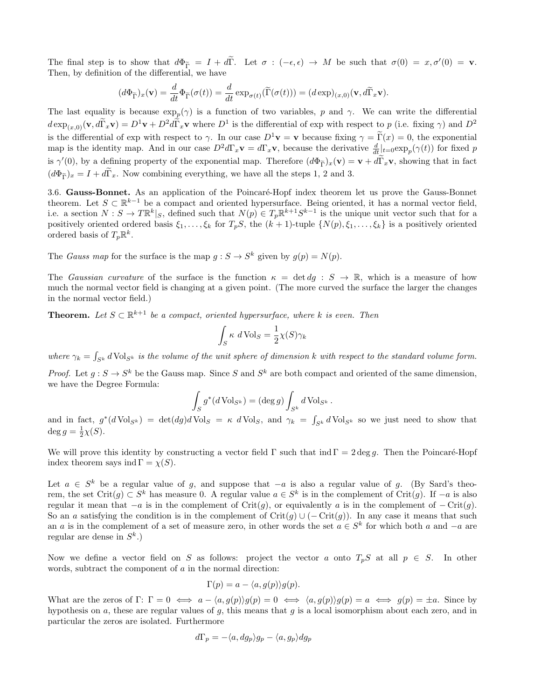The final step is to show that  $d\Phi_{\widetilde{\Gamma}} = I + d\widetilde{\Gamma}$ . Let  $\sigma : (-\epsilon, \epsilon) \to M$  be such that  $\sigma(0) = x, \sigma'(0) = \mathbf{v}$ . Then, by definition of the differential, we have

$$
(d\Phi_{\widetilde{\Gamma}})_x(\mathbf{v}) = \frac{d}{dt}\Phi_{\widetilde{\Gamma}}(\sigma(t)) = \frac{d}{dt}\exp_{\sigma(t)}(\widetilde{\Gamma}(\sigma(t))) = (d\exp)_{(x,0)}(\mathbf{v}, d\widetilde{\Gamma}_x\mathbf{v}).
$$

The last equality is because  $\exp_p(\gamma)$  is a function of two variables, p and  $\gamma$ . We can write the differential  $d \exp_{(x,0)}(\mathbf{v}, d\widetilde{\Gamma}_x \mathbf{v}) = D^1 \mathbf{v} + D^2 d\widetilde{\Gamma}_x \mathbf{v}$  where  $D^1$  is the differential of exp with respect to p (i.e. fixing  $\gamma$ ) and  $D^2$ is the differential of exp with respect to  $\gamma$ . In our case  $D^1$ **v** = **v** because fixing  $\gamma = \tilde{\Gamma}(x) = 0$ , the exponential map is the identity map. And in our case  $D^2 d\Gamma_x \mathbf{v} = d\Gamma_x \mathbf{v}$ , because the derivative  $\frac{d}{dt}|_{t=0} \exp_p(\gamma(t))$  for fixed p is  $\gamma'(0)$ , by a defining property of the exponential map. Therefore  $(d\Phi_{\tilde{\Gamma}})_x(\mathbf{v}) = \mathbf{v} + d\tilde{\Gamma}_x\mathbf{v}$ , showing that in fact  $(d\Phi_{\tilde{\Gamma}})_x = I + d\tilde{\Gamma}_x$ . Now combining everything, we have all the steps 1, 2 and 3.

3.6. Gauss-Bonnet. As an application of the Poincaré-Hopf index theorem let us prove the Gauss-Bonnet theorem. Let  $S \subset \mathbb{R}^{k-1}$  be a compact and oriented hypersurface. Being oriented, it has a normal vector field, i.e. a section  $N: S \to T\mathbb{R}^k|_S$ , defined such that  $N(p) \in T_p\mathbb{R}^{k+1}S^{k-1}$  is the unique unit vector such that for a positively oriented ordered basis  $\xi_1, \ldots, \xi_k$  for  $T_pS$ , the  $(k+1)$ -tuple  $\{N(p), \xi_1, \ldots, \xi_k\}$  is a positively oriented ordered basis of  $T_p \mathbb{R}^k$ .

The Gauss map for the surface is the map  $g: S \to S^k$  given by  $g(p) = N(p)$ .

The *Gaussian curvature* of the surface is the function  $\kappa = \det dg : S \to \mathbb{R}$ , which is a measure of how much the normal vector field is changing at a given point. (The more curved the surface the larger the changes in the normal vector field.)

**Theorem.** Let  $S \subset \mathbb{R}^{k+1}$  be a compact, oriented hypersurface, where k is even. Then

$$
\int_{S} \kappa \ d \text{Vol}_{S} = \frac{1}{2} \chi(S) \gamma_{k}
$$

where  $\gamma_k = \int_{S^k} d \text{Vol}_{S^k}$  is the volume of the unit sphere of dimension k with respect to the standard volume form.

*Proof.* Let  $g: S \to S^k$  be the Gauss map. Since S and  $S^k$  are both compact and oriented of the same dimension, we have the Degree Formula:

$$
\int_{S} g^*(d\operatorname{Vol}_{S^k}) = (\deg g) \int_{S^k} d\operatorname{Vol}_{S^k}.
$$

and in fact,  $g^*(d \text{Vol}_{S^k}) = \det(dg) d \text{Vol}_S = \kappa d \text{Vol}_S$ , and  $\gamma_k = \int_{S^k} d \text{Vol}_{S^k}$  so we just need to show that  $\deg g = \frac{1}{2}\chi(S).$ 

We will prove this identity by constructing a vector field  $\Gamma$  such that ind  $\Gamma = 2 \deg g$ . Then the Poincaré-Hopf index theorem says ind  $\Gamma = \chi(S)$ .

Let  $a \in S^k$  be a regular value of g, and suppose that  $-a$  is also a regular value of g. (By Sard's theorem, the set Crit $(g) \subset S^k$  has measure 0. A regular value  $a \in S^k$  is in the complement of Crit $(g)$ . If  $-a$  is also regular it mean that  $-a$  is in the complement of Crit(g), or equivalently a is in the complement of  $-Crit(g)$ . So an a satisfying the condition is in the complement of Crit(g) ∪ (– Crit(g)). In any case it means that such an a is in the complement of a set of measure zero, in other words the set  $a \in S^k$  for which both a and  $-a$  are regular are dense in  $S^k$ .)

Now we define a vector field on S as follows: project the vector a onto  $T_pS$  at all  $p \in S$ . In other words, subtract the component of a in the normal direction:

$$
\Gamma(p) = a - \langle a, g(p) \rangle g(p).
$$

What are the zeros of  $\Gamma: \Gamma = 0 \iff a - \langle a, g(p) \rangle g(p) = 0 \iff \langle a, g(p) \rangle g(p) = a \iff g(p) = \pm a$ . Since by hypothesis on  $a$ , these are regular values of  $g$ , this means that  $g$  is a local isomorphism about each zero, and in particular the zeros are isolated. Furthermore

$$
d\Gamma_p=-\langle a,dg_p\rangle g_p-\langle a,g_p\rangle dg_p
$$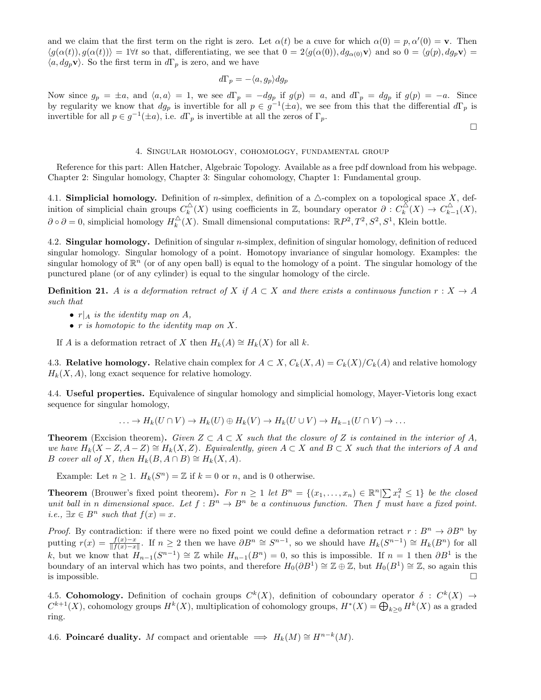and we claim that the first term on the right is zero. Let  $\alpha(t)$  be a cuve for which  $\alpha(0) = p, \alpha'(0) = \mathbf{v}$ . Then  $\langle g(\alpha(t)), g(\alpha(t)) \rangle = 1 \forall t$  so that, differentiating, we see that  $0 = 2\langle g(\alpha(0)), dg_{\alpha(0)}\mathbf{v} \rangle$  and so  $0 = \langle g(p), dg_p\mathbf{v} \rangle =$  $\langle a, dg_p \mathbf{v} \rangle$ . So the first term in  $d\Gamma_p$  is zero, and we have

$$
d\Gamma_p = -\langle a, g_p \rangle dg_p
$$

Now since  $g_p = \pm a$ , and  $\langle a, a \rangle = 1$ , we see  $d\Gamma_p = -dg_p$  if  $g(p) = a$ , and  $d\Gamma_p = dg_p$  if  $g(p) = -a$ . Since by regularity we know that  $dg_p$  is invertible for all  $p \in g^{-1}(\pm a)$ , we see from this that the differential  $d\Gamma_p$  is invertible for all  $p \in g^{-1}(\pm a)$ , i.e.  $d\Gamma_p$  is invertible at all the zeros of  $\Gamma_p$ .

 $\hfill \square$ 

#### 4. Singular homology, cohomology, fundamental group

Reference for this part: Allen Hatcher, Algebraic Topology. Available as a free pdf download from his webpage. Chapter 2: Singular homology, Chapter 3: Singular cohomology, Chapter 1: Fundamental group.

4.1. Simplicial homology. Definition of n-simplex, definition of a  $\triangle$ -complex on a topological space X, definition of simplicial chain groups  $C_k^{\triangle}(X)$  using coefficients in Z, boundary operator  $\partial: C_k^{\triangle}(X) \to C_{k-1}^{\triangle}(X)$ ,  $\partial \circ \partial = 0$ , simplicial homology  $H_k^{\triangle}(X)$ . Small dimensional computations:  $\mathbb{R}P^2$ ,  $T^2$ ,  $S^2$ ,  $S^1$ , Klein bottle.

4.2. Singular homology. Definition of singular n-simplex, definition of singular homology, definition of reduced singular homology. Singular homology of a point. Homotopy invariance of singular homology. Examples: the singular homology of  $\mathbb{R}^n$  (or of any open ball) is equal to the homology of a point. The singular homology of the punctured plane (or of any cylinder) is equal to the singular homology of the circle.

**Definition 21.** A is a deformation retract of X if  $A \subset X$  and there exists a continuous function  $r : X \to A$ such that

- $r|_A$  is the identity map on A,
- $\bullet$  r is homotopic to the identity map on X.

If A is a deformation retract of X then  $H_k(A) \cong H_k(X)$  for all k.

4.3. Relative homology. Relative chain complex for  $A \subset X$ ,  $C_k(X, A) = C_k(X)/C_k(A)$  and relative homology  $H_k(X, A)$ , long exact sequence for relative homology.

4.4. Useful properties. Equivalence of singular homology and simplicial homology, Mayer-Vietoris long exact sequence for singular homology,

$$
\ldots \to H_k(U \cap V) \to H_k(U) \oplus H_k(V) \to H_k(U \cup V) \to H_{k-1}(U \cap V) \to \ldots
$$

**Theorem** (Excision theorem). Given  $Z \subset A \subset X$  such that the closure of Z is contained in the interior of A, we have  $H_k(X-Z, A-Z) \cong H_k(X,Z)$ . Equivalently, given  $A \subset X$  and  $B \subset X$  such that the interiors of A and B cover all of X, then  $H_k(B, A \cap B) \cong H_k(X, A)$ .

Example: Let  $n \geq 1$ .  $H_k(S^n) = \mathbb{Z}$  if  $k = 0$  or n, and is 0 otherwise.

**Theorem** (Brouwer's fixed point theorem). For  $n \geq 1$  let  $B^n = \{(x_1, \ldots, x_n) \in \mathbb{R}^n | \sum x_i^2 \leq 1\}$  be the closed unit ball in n dimensional space. Let  $f : B^n \to B^n$  be a continuous function. Then f must have a fixed point. *i.e.*,  $\exists x \in B^n$  such that  $f(x) = x$ .

*Proof.* By contradiction: if there were no fixed point we could define a deformation retract  $r : B^n \to \partial B^n$  by putting  $r(x) = \frac{f(x)-x}{\|f(x)-x\|}$ . If  $n \ge 2$  then we have  $\partial B^n \cong S^{n-1}$ , so we should have  $H_k(S^{n-1}) \cong H_k(B^n)$  for all k, but we know that  $H_{n-1}(S^{n-1}) \cong \mathbb{Z}$  while  $H_{n-1}(B^n) = 0$ , so this is impossible. If  $n = 1$  then  $\partial B^1$  is the boundary of an interval which has two points, and therefore  $H_0(\partial B^1) \cong \mathbb{Z} \oplus \mathbb{Z}$ , but  $H_0(B^1) \cong \mathbb{Z}$ , so again this is impossible.  $\Box$ 

4.5. Cohomology. Definition of cochain groups  $C^k(X)$ , definition of coboundary operator  $\delta: C^k(X) \to$  $C^{k+1}(X)$ , cohomology groups  $H^k(X)$ , multiplication of cohomology groups,  $H^*(X) = \bigoplus_{k \geq 0} H^k(X)$  as a graded ring.

4.6. Poincaré duality. M compact and orientable  $\implies H_k(M) \cong H^{n-k}(M)$ .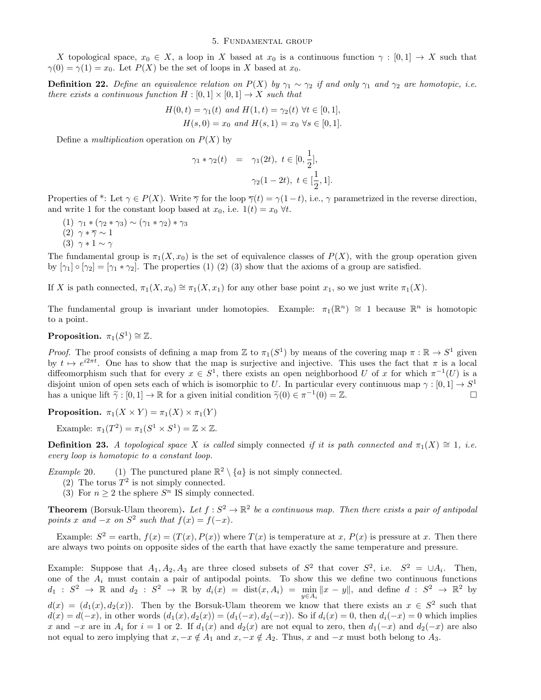#### 5. Fundamental group

X topological space,  $x_0 \in X$ , a loop in X based at  $x_0$  is a continuous function  $\gamma : [0,1] \to X$  such that  $\gamma(0) = \gamma(1) = x_0$ . Let  $P(X)$  be the set of loops in X based at  $x_0$ .

**Definition 22.** Define an equivalence relation on  $P(X)$  by  $\gamma_1 \sim \gamma_2$  if and only  $\gamma_1$  and  $\gamma_2$  are homotopic, i.e. there exists a continuous function  $H : [0,1] \times [0,1] \rightarrow X$  such that

$$
H(0,t) = \gamma_1(t) \text{ and } H(1,t) = \gamma_2(t) \ \forall t \in [0,1],
$$
  

$$
H(s,0) = x_0 \text{ and } H(s,1) = x_0 \ \forall s \in [0,1].
$$

Define a *multiplication* operation on  $P(X)$  by

$$
\gamma_1 * \gamma_2(t) = \gamma_1(2t), \ t \in [0, \frac{1}{2}],
$$
  

$$
\gamma_2(1 - 2t), \ t \in [\frac{1}{2}, 1].
$$

Properties of \*: Let  $\gamma \in P(X)$ . Write  $\overline{\gamma}$  for the loop  $\overline{\gamma}(t) = \gamma(1-t)$ , i.e.,  $\gamma$  parametrized in the reverse direction, and write 1 for the constant loop based at  $x_0$ , i.e.  $1(t) = x_0 \ \forall t$ .

- (1)  $\gamma_1 * (\gamma_2 * \gamma_3) \sim (\gamma_1 * \gamma_2) * \gamma_3$
- (2)  $\gamma * \overline{\gamma} \sim 1$
- (3)  $\gamma * 1 \sim \gamma$

The fundamental group is  $\pi_1(X, x_0)$  is the set of equivalence classes of  $P(X)$ , with the group operation given by  $[\gamma_1] \circ [\gamma_2] = [\gamma_1 * \gamma_2]$ . The properties (1) (2) (3) show that the axioms of a group are satisfied.

If X is path connected,  $\pi_1(X, x_0) \cong \pi_1(X, x_1)$  for any other base point  $x_1$ , so we just write  $\pi_1(X)$ .

The fundamental group is invariant under homotopies. Example:  $\pi_1(\mathbb{R}^n) \cong 1$  because  $\mathbb{R}^n$  is homotopic to a point.

Proposition.  $\pi_1(S^1) \cong \mathbb{Z}$ .

*Proof.* The proof consists of defining a map from Z to  $\pi_1(S^1)$  by means of the covering map  $\pi : \mathbb{R} \to S^1$  given by  $t \mapsto e^{i2\pi t}$ . One has to show that the map is surjective and injective. This uses the fact that  $\pi$  is a local diffeomorphism such that for every  $x \in S^1$ , there exists an open neighborhood U of x for which  $\pi^{-1}(U)$  is a disjoint union of open sets each of which is isomorphic to U. In particular every continuous map  $\gamma : [0,1] \to S^1$ has a unique lift  $\tilde{\gamma} : [0, 1] \to \mathbb{R}$  for a given initial condition  $\tilde{\gamma}(0) \in \pi^{-1}(0) = \mathbb{Z}$ .

**Proposition.**  $\pi_1(X \times Y) = \pi_1(X) \times \pi_1(Y)$ 

Example:  $\pi_1(T^2) = \pi_1(S^1 \times S^1) = \mathbb{Z} \times \mathbb{Z}$ .

**Definition 23.** A topological space X is called simply connected if it is path connected and  $\pi_1(X) \cong 1$ , i.e. every loop is homotopic to a constant loop.

*Example* 20. (1) The punctured plane  $\mathbb{R}^2 \setminus \{a\}$  is not simply connected.

- (2) The torus  $T^2$  is not simply connected.
- (3) For  $n \geq 2$  the sphere  $S<sup>n</sup>$  IS simply connected.

**Theorem** (Borsuk-Ulam theorem). Let  $f: S^2 \to \mathbb{R}^2$  be a continuous map. Then there exists a pair of antipodal points x and  $-x$  on  $S^2$  such that  $f(x) = f(-x)$ .

Example:  $S^2 =$  earth,  $f(x) = (T(x), P(x))$  where  $T(x)$  is temperature at x,  $P(x)$  is pressure at x. Then there are always two points on opposite sides of the earth that have exactly the same temperature and pressure.

Example: Suppose that  $A_1, A_2, A_3$  are three closed subsets of  $S^2$  that cover  $S^2$ , i.e.  $S^2 = \cup A_i$ . Then, one of the  $A_i$  must contain a pair of antipodal points. To show this we define two continuous functions  $d_1: S^2 \to \mathbb{R}$  and  $d_2: S^2 \to \mathbb{R}$  by  $d_i(x) = \text{dist}(x, A_i) = \min_{y \in A_i} ||x - y||$ , and define  $d: S^2 \to \mathbb{R}^2$  by  $d(x) = (d_1(x), d_2(x))$ . Then by the Borsuk-Ulam theorem we know that there exists an  $x \in S^2$  such that  $d(x) = d(-x)$ , in other words  $(d_1(x), d_2(x)) = (d_1(-x), d_2(-x))$ . So if  $d_i(x) = 0$ , then  $d_i(-x) = 0$  which implies x and  $-x$  are in  $A_i$  for  $i = 1$  or 2. If  $d_1(x)$  and  $d_2(x)$  are not equal to zero, then  $d_1(-x)$  and  $d_2(-x)$  are also not equal to zero implying that  $x, -x \notin A_1$  and  $x, -x \notin A_2$ . Thus, x and  $-x$  must both belong to  $A_3$ .